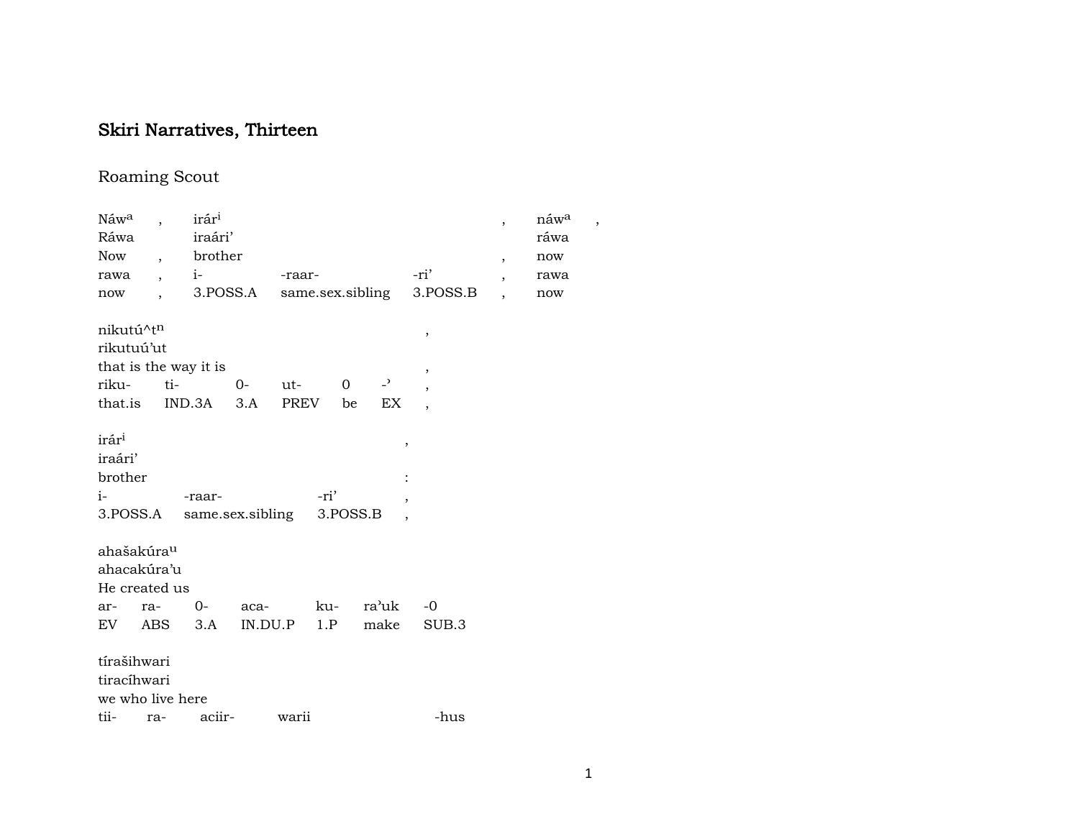# Skiri Narratives, Thirteen

## Roaming Scout

| Náw <sup>a</sup><br>Ráwa<br>Now<br>rawa<br>now                                                   | $\overline{\phantom{a}}$<br>$\ddot{\phantom{0}}$ | irár <sup>i</sup><br>iraári'<br>brother<br>$i-$ |      | -raar- |                              | 3. POSS.A same.sex.sibling       | -ri'<br>3.POSS.B              | $\overline{ }$<br>$\overline{\phantom{a}}$<br>$\overline{\phantom{a}}$ | náwa<br>ráwa<br>now<br>rawa<br>now |
|--------------------------------------------------------------------------------------------------|--------------------------------------------------|-------------------------------------------------|------|--------|------------------------------|----------------------------------|-------------------------------|------------------------------------------------------------------------|------------------------------------|
| nikutú^t <sup>n</sup><br>rikutuú'ut<br>that is the way it is<br>riku-<br>that.is IND.3A 3.A PREV | $ti-$                                            |                                                 | $O-$ | ut-    | $\overline{0}$<br>be         | $\rightarrow$<br>EX              | $\, ,$<br>,<br>$\overline{ }$ |                                                                        |                                    |
| irár <sup>i</sup><br>iraári'<br>brother<br>$i-$<br>3.POSS.A same.sex.sibling                     |                                                  | -raar-                                          |      |        | -ri'<br>3.POSS.B             | $\,$<br>$\overline{\phantom{a}}$ |                               |                                                                        |                                    |
| ahašakúra <sup>u</sup><br>ahacakúra'u<br>He created us<br>ar- ra-<br>EV ABS 3.A                  |                                                  | 0-                                              |      |        | aca- ku-<br>$IN.DU.P$ 1. $P$ | ra'uk<br>make                    | $-0$<br>SUB.3                 |                                                                        |                                    |
| tírašihwari<br>tiracíhwari<br>we who live here<br>tii- ra- aciir-                                |                                                  |                                                 |      | warii  |                              |                                  | -hus                          |                                                                        |                                    |

 $\overline{\phantom{a}}$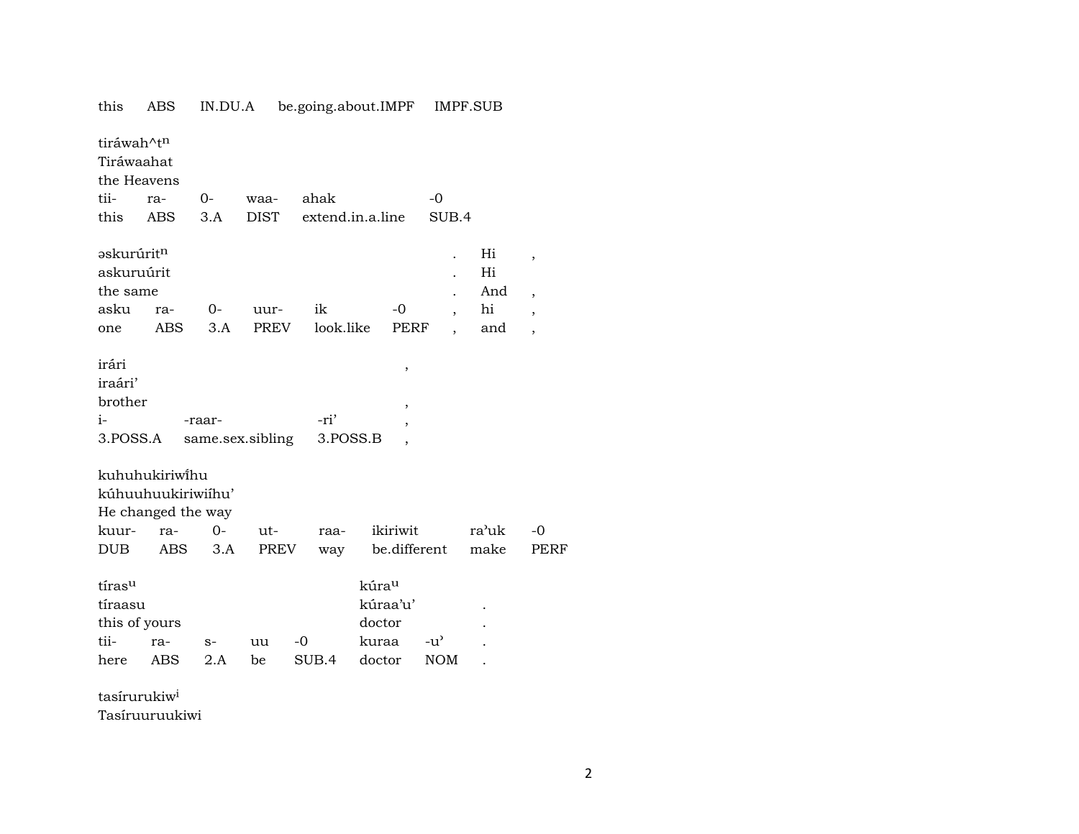| tiráwah^t <sup>n</sup><br>Tiráwaahat<br>the Heavens<br>tii-<br>this | $ra-$<br><b>ABS</b>                                                      | 0-<br>3.A    | waa-<br><b>DIST</b> | ahak             | extend.in.a.line                                           | $-0$<br>SUB.4                                        |                              |                                                                                                    |
|---------------------------------------------------------------------|--------------------------------------------------------------------------|--------------|---------------------|------------------|------------------------------------------------------------|------------------------------------------------------|------------------------------|----------------------------------------------------------------------------------------------------|
| əskurúrit <sup>n</sup><br>askuruúrit<br>the same<br>asku<br>one     | ra-<br><b>ABS</b>                                                        | $O-$<br>3.A  | uur-<br><b>PREV</b> | ik<br>look.like  | $-0$<br>PERF                                               | $\overline{\phantom{a}}$<br>$\overline{\phantom{a}}$ | Hi<br>Hi<br>And<br>hi<br>and | $\overline{\phantom{a}}$<br>$\overline{\phantom{a}}$<br>$\overline{\phantom{a}}$<br>$\overline{ }$ |
| irári<br>iraári'<br>brother<br>$i-$<br>3.POSS.A                     |                                                                          | -raar-       | same.sex.sibling    | -ri'<br>3.POSS.B | $\, ,$<br>$\,$<br>$\overline{ }$<br>,                      |                                                      |                              |                                                                                                    |
| kuur-<br><b>DUB</b>                                                 | kuhuhukiriwihu<br>kúhuuhuukiriwiíhu'<br>He changed the way<br>ra-<br>ABS | $O -$<br>3.A | ut-<br>PREV         | raa-<br>way      | ikiriwit<br>be.different                                   |                                                      | ra'uk<br>make                | $-0$<br><b>PERF</b>                                                                                |
| tírasu<br>tíraasu<br>this of yours<br>tii-<br>here                  | ra-<br>ABS                                                               | $S-$<br>2.A  | uu<br>be            | -0<br>SUB.4      | kúra <sup>u</sup><br>kúraa'u'<br>doctor<br>kuraa<br>doctor | $-u^{\prime}$<br><b>NOM</b>                          |                              |                                                                                                    |

IN.DU.A be.going.about.IMPF IMPF.SUB

tasírurukiw<sup>i</sup>

this ABS

Tasíruuruukiwi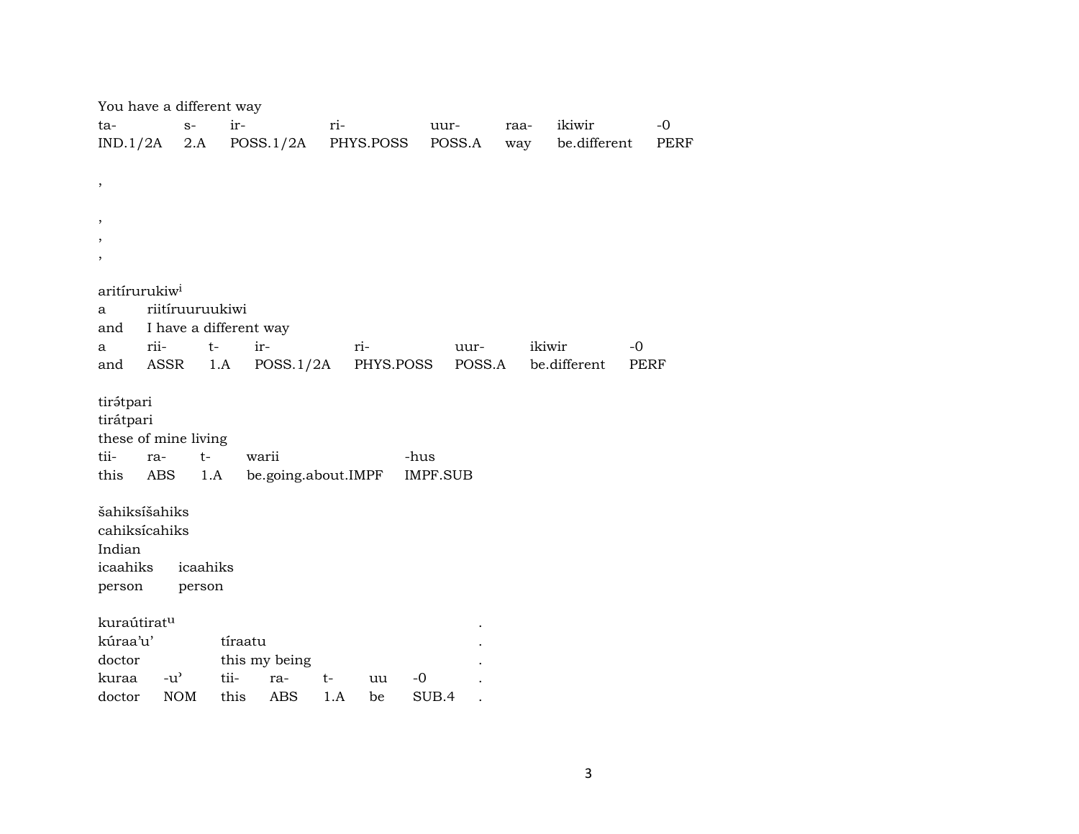| You have a different way  |                                     |                        |                     |          |                     |             |
|---------------------------|-------------------------------------|------------------------|---------------------|----------|---------------------|-------------|
| ta-                       | $S-$                                | ir-                    | ri-                 | uur-     | ikiwir<br>raa-      | $-0$        |
| IND.1/2A                  | 2.A                                 | POSS.1/2A              | PHYS.POSS           | POSS.A   | be.different<br>way | PERF        |
|                           |                                     |                        |                     |          |                     |             |
| $\,$                      |                                     |                        |                     |          |                     |             |
|                           |                                     |                        |                     |          |                     |             |
| $\cdot$                   |                                     |                        |                     |          |                     |             |
|                           |                                     |                        |                     |          |                     |             |
| ,                         |                                     |                        |                     |          |                     |             |
| aritírurukiw <sup>i</sup> |                                     |                        |                     |          |                     |             |
| a                         | riitíruuruukiwi                     |                        |                     |          |                     |             |
| and                       |                                     | I have a different way |                     |          |                     |             |
| a                         | rii-                                | $t-$<br>ir-            | ri-                 | uur-     | ikiwir              | $-0$        |
| and                       | ASSR                                | 1.A<br>POSS.1/2A       | PHYS.POSS           | POSS.A   | be.different        | <b>PERF</b> |
|                           |                                     |                        |                     |          |                     |             |
| tirátpari                 |                                     |                        |                     |          |                     |             |
| tirátpari                 |                                     |                        |                     |          |                     |             |
| these of mine living      |                                     |                        |                     |          |                     |             |
| tii-                      | $t-$<br>ra-                         | warii                  |                     | -hus     |                     |             |
| this                      | ABS                                 | 1.A                    | be.going.about.IMPF | IMPF.SUB |                     |             |
|                           |                                     |                        |                     |          |                     |             |
| šahiksíšahiks             |                                     |                        |                     |          |                     |             |
| cahiksícahiks             |                                     |                        |                     |          |                     |             |
| Indian<br>icaahiks        | icaahiks                            |                        |                     |          |                     |             |
|                           |                                     |                        |                     |          |                     |             |
| person                    | person                              |                        |                     |          |                     |             |
| kuraútirat <sup>u</sup>   |                                     |                        |                     |          |                     |             |
| kúraa'u'                  |                                     | tíraatu                |                     |          |                     |             |
| doctor                    |                                     | this my being          |                     |          |                     |             |
| kuraa                     | $-u$ <sup><math>\prime</math></sup> | tii-<br>ra-            | t-<br>uu            | $-0$     |                     |             |
| doctor                    | <b>NOM</b>                          | <b>ABS</b><br>this     | 1.A<br>be           | SUB.4    |                     |             |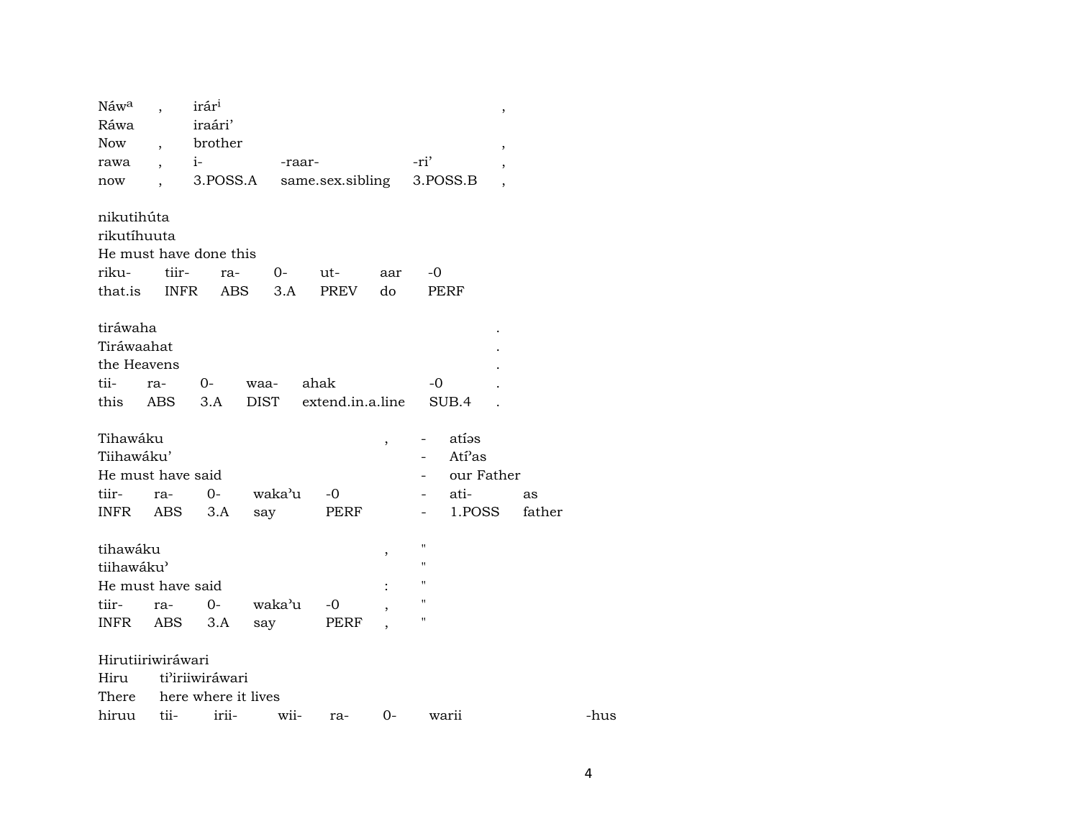| Náwa                                                                              |                          | irár <sup>i</sup>                           |               |                  |                          | $\, ,$                                                                                    |        |      |
|-----------------------------------------------------------------------------------|--------------------------|---------------------------------------------|---------------|------------------|--------------------------|-------------------------------------------------------------------------------------------|--------|------|
| Ráwa                                                                              |                          | iraári'                                     |               |                  |                          |                                                                                           |        |      |
| Now                                                                               | $\overline{\phantom{a}}$ | brother                                     |               |                  |                          | $\, ,$                                                                                    |        |      |
| rawa                                                                              | $\ddot{\phantom{0}}$     | $i-$                                        | -raar-        |                  |                          | -ri'<br>$\overline{\phantom{a}}$                                                          |        |      |
| now                                                                               | $\ddot{\phantom{0}}$     | 3.POSS.A                                    |               | same.sex.sibling |                          | 3.POSS.B                                                                                  |        |      |
| nikutihúta<br>rikutíhuuta<br>riku-<br>that.is                                     | tiir-<br><b>INFR</b>     | He must have done this<br>ra-<br><b>ABS</b> | $O-$<br>3.A   | ut-<br>PREV      | aar<br>do                | -0<br><b>PERF</b>                                                                         |        |      |
| tiráwaha<br>Tiráwaahat<br>the Heavens<br>tii-                                     | ra-                      | $0-$                                        | waa-          | ahak             |                          | $-0$                                                                                      |        |      |
| this                                                                              | ABS                      | 3.A                                         | <b>DIST</b>   | extend.in.a.line |                          | SUB.4                                                                                     |        |      |
| Tihawáku<br>Tiihawáku'<br>He must have said<br>tiir-                              | ra-                      | $0-$                                        | waka'u        | $-0$             | $\overline{\phantom{a}}$ | atías<br>Atí'as<br>our Father<br>ati-                                                     | as     |      |
| INFR                                                                              | ABS                      | 3.A                                         | say           | PERF             |                          | 1.POSS                                                                                    | father |      |
| tihawáku<br>tiihawáku'<br>He must have said<br>tiir-<br>INFR<br>Hirutiiriwiráwari | ra-<br>ABS               | $0-$<br>3.A                                 | waka'u<br>say | $-0$<br>PERF     | ,<br>$\ddot{\cdot}$      | $\pmb{\mathsf{H}}$<br>$\pmb{\mathsf{H}}$<br>п<br>$\pmb{\mathsf{H}}$<br>$\pmb{\mathsf{H}}$ |        |      |
| Hiru                                                                              |                          | ti'iriiwiráwari                             |               |                  |                          |                                                                                           |        |      |
| There                                                                             |                          | here where it lives                         |               |                  |                          |                                                                                           |        |      |
| hiruu                                                                             | tii-                     | irii-                                       | wii-          | ra-              | $0-$                     | warii                                                                                     |        | -hus |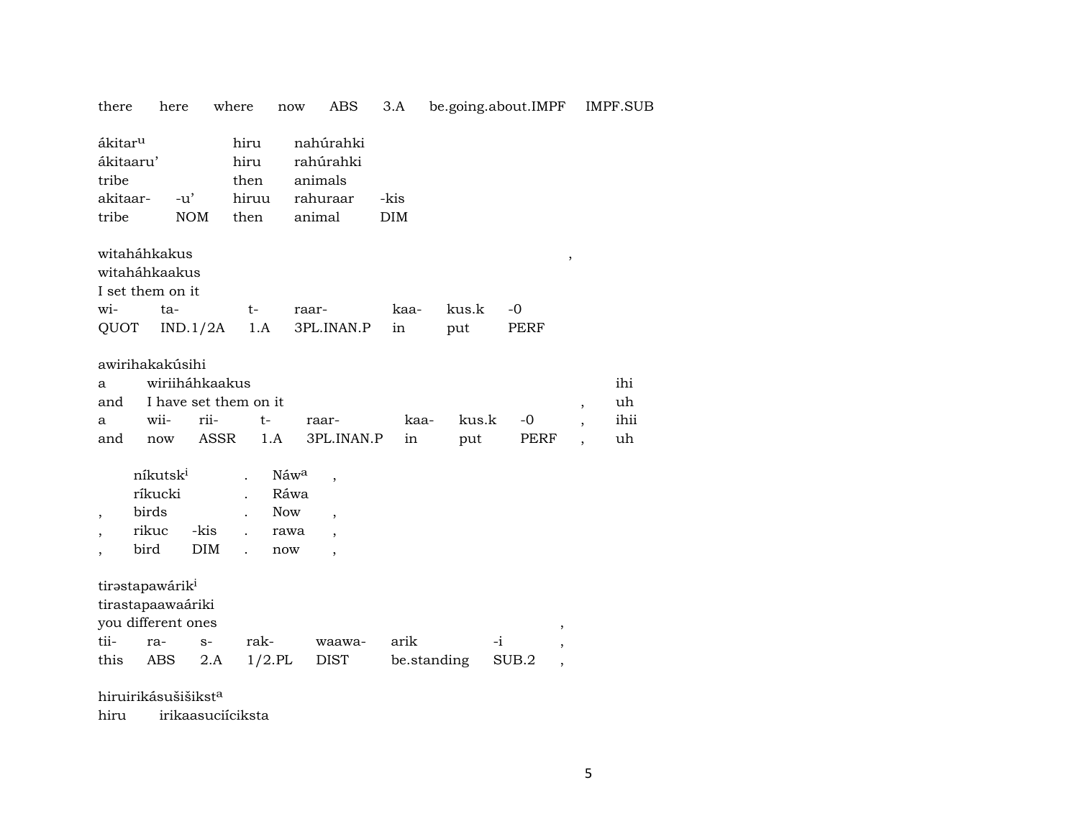| there                                                          | here                                                  | where                                        | now                                | ABS                                                                              | 3.A                 |              | be.going.about.IMPF |                          | <b>IMPF.SUB</b>         |
|----------------------------------------------------------------|-------------------------------------------------------|----------------------------------------------|------------------------------------|----------------------------------------------------------------------------------|---------------------|--------------|---------------------|--------------------------|-------------------------|
| ákitar <sup>u</sup><br>ákitaaru'<br>tribe<br>akitaar-<br>tribe | $-u'$<br><b>NOM</b>                                   | hiru<br>hiru<br>then<br>hiruu<br>then        |                                    | nahúrahki<br>rahúrahki<br>animals<br>rahuraar<br>animal                          | -kis<br><b>DIM</b>  |              |                     |                          |                         |
| witaháhkakus<br>wi-<br>QUOT                                    | witaháhkaakus<br>I set them on it<br>ta-<br>IND.1/2A  | t-<br>1.A                                    | raar-                              | 3PL.INAN.P                                                                       | kaa-<br>in          | kus.k<br>put | $-0$<br><b>PERF</b> | $\, ,$                   |                         |
| a<br>and<br>a<br>and                                           | awirihakakúsihi<br>wiriiháhkaakus<br>wii-<br>now      | I have set them on it<br>rii-<br><b>ASSR</b> | $t-$<br>1.A                        | raar-<br>3PL.INAN.P                                                              | kaa-<br>in          | kus.k<br>put | $-0$<br>PERF        | $\overline{\phantom{a}}$ | ihi<br>uh<br>ihii<br>uh |
| bird                                                           | níkutsk <sup>i</sup><br>ríkucki<br>birds<br>rikuc     | -kis<br>DIM                                  | Náwa<br>Ráwa<br>Now<br>rawa<br>now | $\overline{\phantom{a}}$<br>$\overline{\phantom{a}}$<br>$\overline{\phantom{a}}$ |                     |              |                     |                          |                         |
| tirastapawárik <sup>i</sup><br>tii-<br>this                    | tirastapaawaáriki<br>you different ones<br>ra-<br>ABS | rak-<br>$S-$<br>2.A                          | $1/2$ .PL                          | waawa-<br><b>DIST</b>                                                            | arik<br>be.standing | $-i$         | ,<br>SUB.2<br>,     |                          |                         |

hiruirikásušišikst $^a$ 

hiru irikaasuciíciksta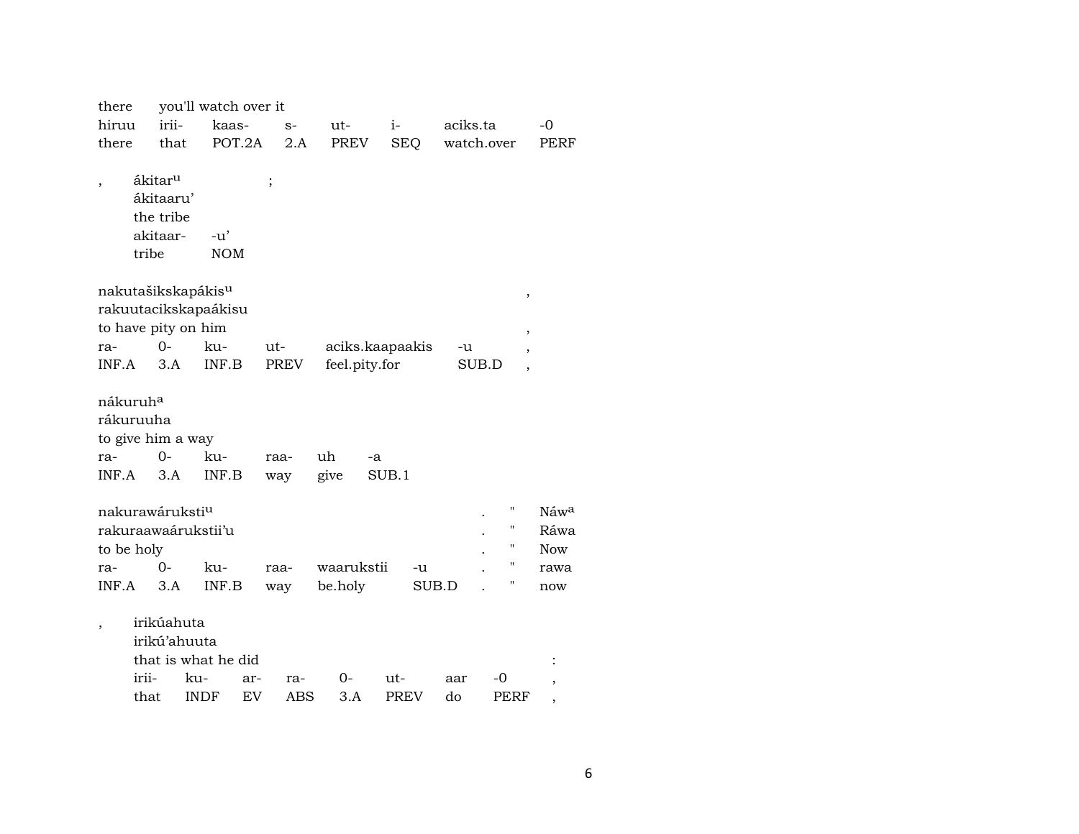| there                |                     |                             | you'll watch over it           |             |      |                 |       |             |            |       |                    |                               |
|----------------------|---------------------|-----------------------------|--------------------------------|-------------|------|-----------------|-------|-------------|------------|-------|--------------------|-------------------------------|
| hiruu                |                     | irii-                       | kaas-                          |             | $S-$ | ut-             | $i-$  |             | aciks.ta   |       |                    | -0                            |
| there                |                     | that                        | POT.2A                         |             | 2.A  | PREV            |       | <b>SEQ</b>  | watch.over |       |                    | PERF                          |
|                      |                     |                             |                                |             |      |                 |       |             |            |       |                    |                               |
|                      | ákitar <sup>u</sup> |                             |                                | $\vdots$    |      |                 |       |             |            |       |                    |                               |
|                      |                     | ákitaaru'                   |                                |             |      |                 |       |             |            |       |                    |                               |
|                      |                     | the tribe                   |                                |             |      |                 |       |             |            |       |                    |                               |
|                      | akitaar-            |                             | -u'                            |             |      |                 |       |             |            |       |                    |                               |
|                      | tribe               |                             | <b>NOM</b>                     |             |      |                 |       |             |            |       |                    |                               |
|                      |                     |                             | nakutašikskapákis <sup>u</sup> |             |      |                 |       |             |            |       | $\,$               |                               |
|                      |                     |                             | rakuutacikskapaákisu           |             |      |                 |       |             |            |       |                    |                               |
|                      |                     | to have pity on him         |                                |             |      |                 |       |             |            |       | ,                  |                               |
| ra-                  |                     | $O -$                       | ku-                            | ut-         |      | aciks.kaapaakis |       |             | -u         |       |                    |                               |
| INF.A                |                     | 3.A                         | INF.B                          | <b>PREV</b> |      | feel.pity.for   |       |             |            | SUB.D | $\overline{ }$     |                               |
|                      |                     |                             |                                |             |      |                 |       |             |            |       |                    |                               |
| nákuruh <sup>a</sup> |                     |                             |                                |             |      |                 |       |             |            |       |                    |                               |
| rákuruuha            |                     |                             |                                |             |      |                 |       |             |            |       |                    |                               |
|                      |                     | to give him a way           |                                |             |      |                 |       |             |            |       |                    |                               |
| ra-                  |                     | $O -$                       | ku-                            | raa-        |      | uh              | -a    |             |            |       |                    |                               |
| INF.A                |                     | 3.A                         | INF.B                          | way         |      | give            | SUB.1 |             |            |       |                    |                               |
|                      |                     |                             |                                |             |      |                 |       |             |            |       |                    |                               |
|                      |                     | nakurawáruksti <sup>u</sup> |                                |             |      |                 |       |             |            |       | П                  | Náw <sup>a</sup>              |
|                      |                     |                             | rakuraawaárukstii'u            |             |      |                 |       |             |            |       | н                  | Ráwa                          |
| to be holy           |                     |                             |                                |             |      |                 |       |             |            |       | н                  | <b>Now</b>                    |
| ra-                  |                     | 0-                          | ku-                            | raa-        |      | waarukstii      |       | -u          |            |       | $\pmb{\mathsf{H}}$ | rawa                          |
| INF.A                |                     | 3.A                         | INF.B                          | way         |      | be.holy         |       | SUB.D       |            |       | Η                  | now                           |
|                      |                     | irikúahuta                  |                                |             |      |                 |       |             |            |       |                    |                               |
|                      |                     | irikú'ahuuta                |                                |             |      |                 |       |             |            |       |                    |                               |
|                      |                     |                             | that is what he did            |             |      |                 |       |             |            |       |                    |                               |
|                      | irii-               | ku-                         | ar-                            |             | ra-  | 0-              | ut-   |             | aar        | -0    |                    |                               |
|                      | that                |                             | <b>INDF</b><br>EV              |             | ABS  | 3.A             |       | <b>PREV</b> | do         |       | PERF               | ,<br>$\overline{\phantom{a}}$ |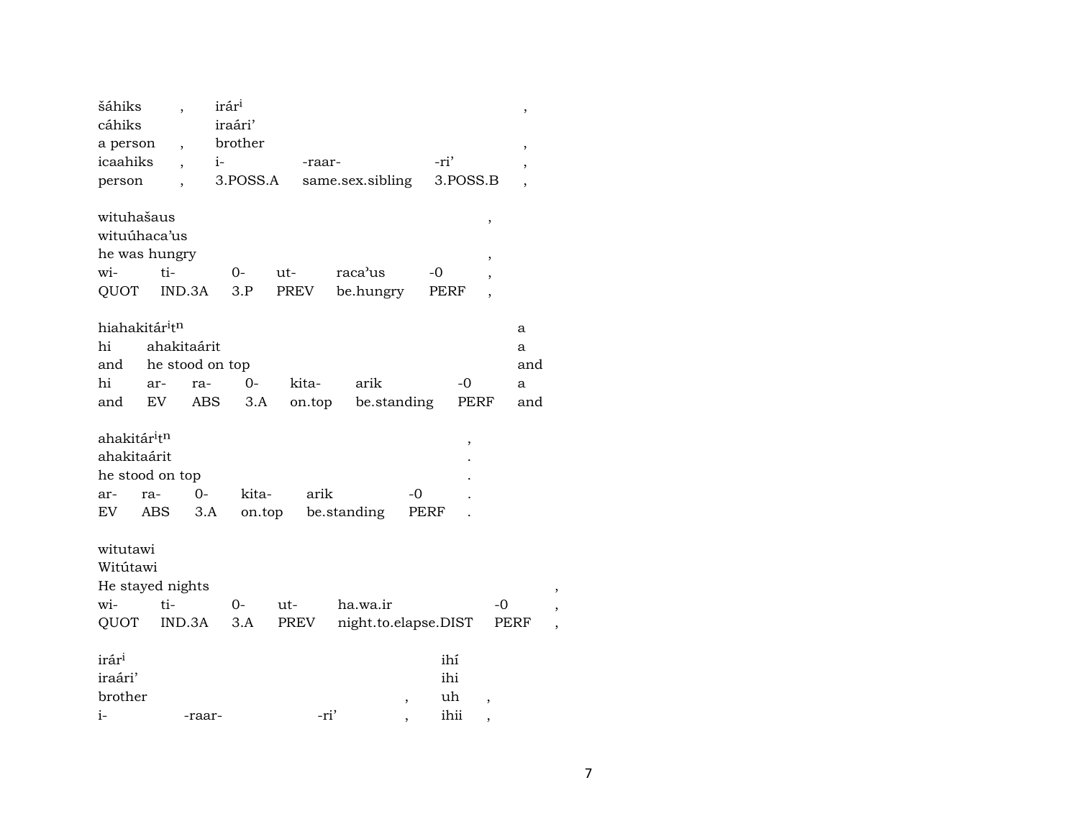| šáhiks<br>cáhiks                       |         | ,                        | irár <sup>i</sup><br>iraári' |        |                  |                      |      |          |                          | $\,$                     |  |
|----------------------------------------|---------|--------------------------|------------------------------|--------|------------------|----------------------|------|----------|--------------------------|--------------------------|--|
| a person                               |         | $\overline{\phantom{a}}$ | brother                      |        |                  |                      |      |          |                          |                          |  |
| icaahiks                               |         | $\overline{ }$           | $i-$                         |        | -raar-           |                      | -ri' |          |                          | ,                        |  |
| person                                 |         |                          | 3.POSS.A                     |        | same.sex.sibling |                      |      | 3.POSS.B |                          | ,                        |  |
|                                        |         | $\overline{\phantom{a}}$ |                              |        |                  |                      |      |          |                          | $\overline{\phantom{a}}$ |  |
| wituhašaus                             |         |                          |                              |        |                  |                      |      |          | $\,$                     |                          |  |
| wituúhaca'us                           |         |                          |                              |        |                  |                      |      |          |                          |                          |  |
| he was hungry                          |         |                          |                              |        |                  |                      |      |          | $\, ,$                   |                          |  |
| wi-                                    | $t_i$ - |                          | 0-                           | ut-    | raca'us          |                      | -0   |          | $\overline{ }$           |                          |  |
| QUOT                                   |         | IND.3A                   | 3.P                          | PREV   |                  | be.hungry            | PERF |          | $\overline{ }$           |                          |  |
|                                        |         |                          |                              |        |                  |                      |      |          |                          |                          |  |
| hiahakitár <sup>i</sup> t <sup>n</sup> |         |                          |                              |        |                  |                      |      |          |                          | a                        |  |
| hi                                     |         | ahakitaárit              |                              |        |                  |                      |      |          |                          | a                        |  |
| and                                    |         | he stood on top          |                              |        |                  |                      |      |          |                          | and                      |  |
| hi                                     | ar-     | ra-                      | $0-$                         | kita-  | arik             |                      |      | $-0$     |                          | a                        |  |
| and                                    | EV      | ABS                      | 3.A                          | on.top |                  | be.standing          |      | PERF     |                          | and                      |  |
|                                        |         |                          |                              |        |                  |                      |      |          |                          |                          |  |
| ahakitár <sup>i</sup> t <sup>n</sup>   |         |                          |                              |        |                  |                      |      | $\,$     |                          |                          |  |
| ahakitaárit                            |         |                          |                              |        |                  |                      |      |          |                          |                          |  |
| he stood on top                        |         |                          |                              |        |                  |                      |      |          |                          |                          |  |
| ar-                                    | ra-     | $0-$                     | kita-                        |        | arik             | $-0$                 |      |          |                          |                          |  |
| EV                                     | ABS     | 3.A                      | on.top                       |        | be.standing      |                      | PERF |          |                          |                          |  |
|                                        |         |                          |                              |        |                  |                      |      |          |                          |                          |  |
| witutawi                               |         |                          |                              |        |                  |                      |      |          |                          |                          |  |
| Witútawi                               |         |                          |                              |        |                  |                      |      |          |                          |                          |  |
| He stayed nights                       |         |                          |                              |        |                  |                      |      |          |                          |                          |  |
| wi-                                    | ti-     |                          | 0-                           | $ut -$ | ha.wa.ir         |                      |      |          | -0                       |                          |  |
| QUOT                                   |         | IND.3A                   | 3.A                          | PREV   |                  | night.to.elapse.DIST |      |          | <b>PERF</b>              |                          |  |
|                                        |         |                          |                              |        |                  |                      |      |          |                          |                          |  |
| irár <sup>i</sup>                      |         |                          |                              |        |                  |                      | ihí  |          |                          |                          |  |
| iraári'                                |         |                          |                              |        |                  |                      | ihi  |          |                          |                          |  |
| brother                                |         |                          |                              |        |                  |                      | uh   |          |                          |                          |  |
| i-                                     |         | -raar-                   |                              |        | -ri'             | ,                    | ihii |          | $\overline{\phantom{a}}$ |                          |  |
|                                        |         |                          |                              |        |                  | ,                    |      |          | $\overline{\phantom{a}}$ |                          |  |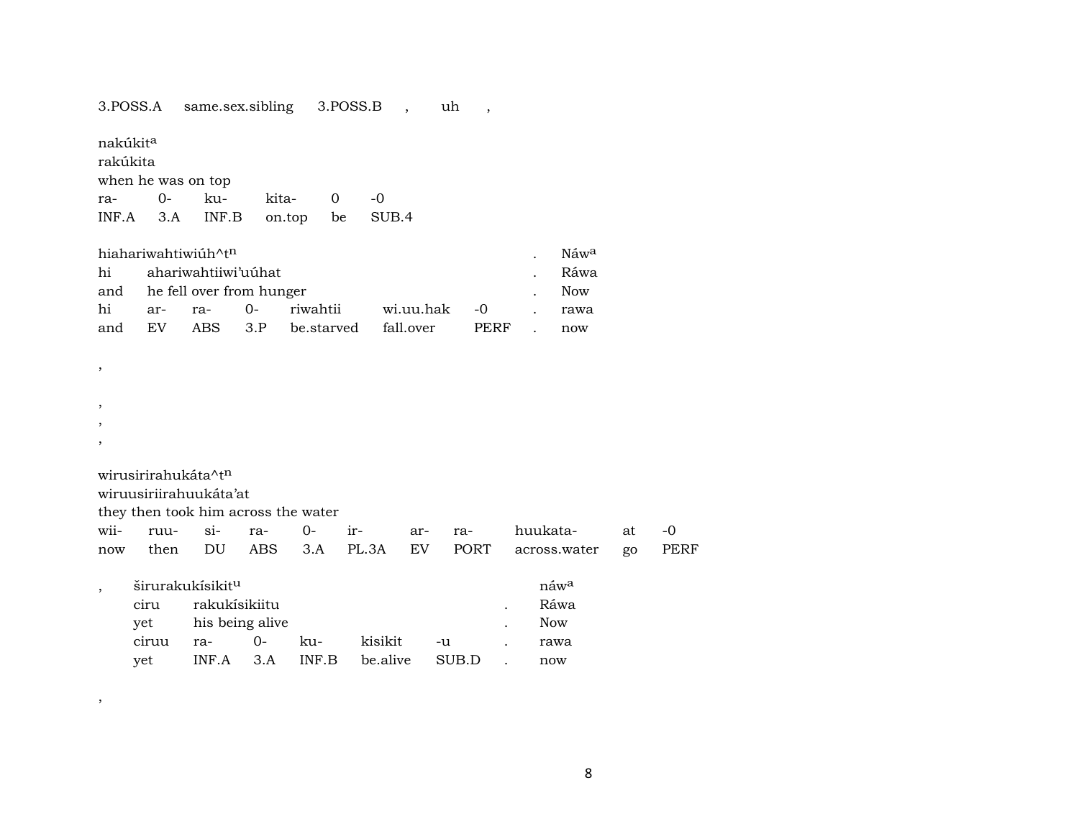3.POSS.A same.sex.sibling 3.POSS.B , uh ,

nakúkit<sup>a</sup>

rakúkita when he was on top

ra- 0- ku- kita- 0 -0 INF.A 3.A INF.B on.top be SUB.4

|    | hiahariwahtiwiúh^t <sup>n</sup> |                              |  |                                           |  |  |  |      |  |  |
|----|---------------------------------|------------------------------|--|-------------------------------------------|--|--|--|------|--|--|
|    |                                 | hi ahariwahtiiwi'uúhat       |  |                                           |  |  |  | Ráwa |  |  |
|    |                                 | and he fell over from hunger |  |                                           |  |  |  |      |  |  |
| hi |                                 |                              |  | ar- ra- 0- riwahtii  wi.uu.hak -0  . rawa |  |  |  |      |  |  |
|    |                                 |                              |  | and EV ABS 3.P be.starved fall.over PERF  |  |  |  | now  |  |  |

, ,

,

,

,

wirusirirahukáta^t<sup>n</sup>

wiruusiriirahuukáta'at

they then took him across the water

|  |  |  |  | wii- ruu- si- ra- 0- ir- ar- ra- huukata- at -0        |  |
|--|--|--|--|--------------------------------------------------------|--|
|  |  |  |  | now then DU ABS 3.A PL.3A EV PORT across.water go PERF |  |

|       | širurakukísikit <sup>u</sup> |          |            |          |       | náw <sup>a</sup> |
|-------|------------------------------|----------|------------|----------|-------|------------------|
| ciru  | rakukisikiitu                |          |            |          |       | Ráwa             |
| vet   | his being alive              |          | <b>Now</b> |          |       |                  |
| ciruu | $ra-$                        | $\Omega$ | ku-        | kisikit  | -u    | rawa             |
| vet   | $INF.A$ $3.A$ $INF.B$        |          |            | be.alive | SUB.D | now              |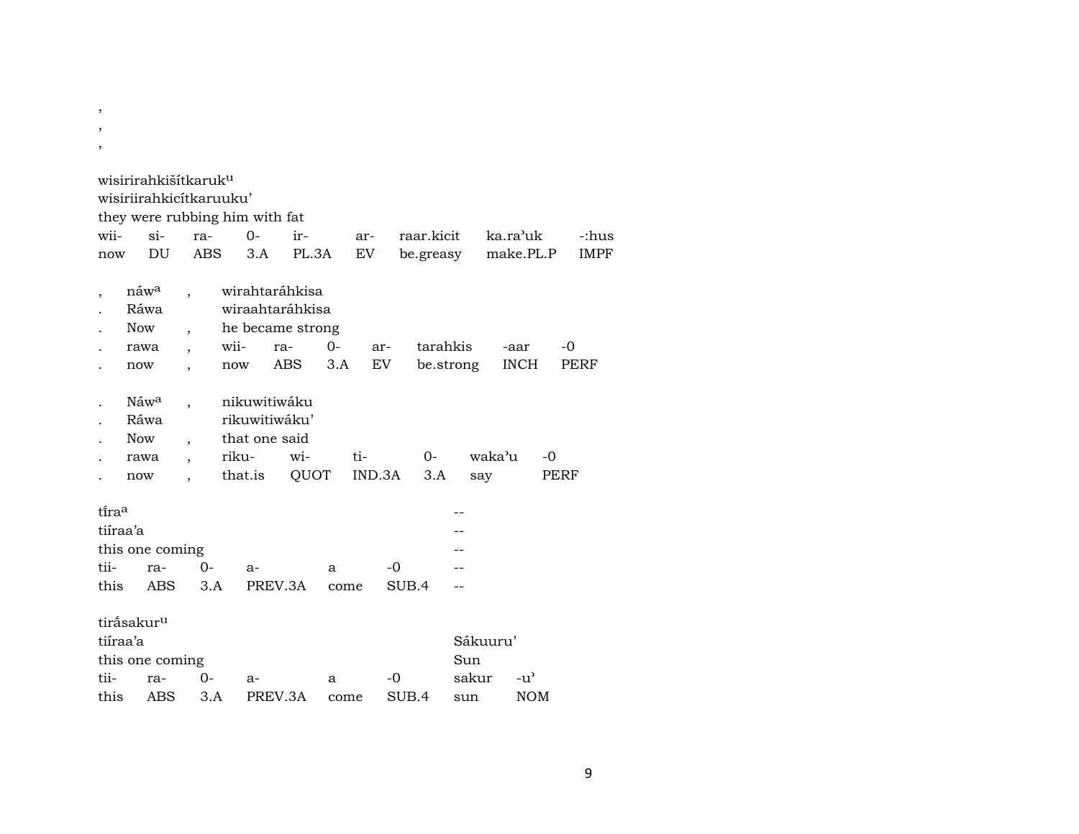| $\, ,$ |                                                       |            |                                                                    |                                                                            |             |               |              |                       |                     |            |             |
|--------|-------------------------------------------------------|------------|--------------------------------------------------------------------|----------------------------------------------------------------------------|-------------|---------------|--------------|-----------------------|---------------------|------------|-------------|
|        | wisirirahkišítkaruk <sup>u</sup>                      |            |                                                                    |                                                                            |             |               |              |                       |                     |            |             |
|        | wisiriirahkicitkaruuku'                               |            |                                                                    |                                                                            |             |               |              |                       |                     |            |             |
|        |                                                       |            | they were rubbing him with fat                                     |                                                                            |             |               |              |                       |                     |            |             |
| wii-   | $\sin$                                                | ra-        | $0 -$                                                              | ir-                                                                        |             | ar-           | raar.kicit   |                       | ka.ra'uk            |            | -:hus       |
| now    | DU                                                    | <b>ABS</b> | 3.A                                                                | PL.3A                                                                      |             | EV            | be.greasy    |                       | make.PL.P           |            | <b>IMPF</b> |
|        | náw <sup>a</sup><br>Ráwa<br><b>Now</b><br>rawa<br>now |            | wii-<br>now                                                        | wirahtaráhkisa<br>wiraahtaráhkisa<br>he became strong<br>ra-<br><b>ABS</b> | $0-$<br>3.A | ar-<br>EV     |              | tarahkis<br>be.strong | -aar<br><b>INCH</b> | -0         | PERF        |
|        |                                                       |            |                                                                    |                                                                            |             |               |              |                       |                     |            |             |
|        | Náw <sup>a</sup><br>Ráwa<br><b>Now</b><br>rawa<br>now |            | nikuwitiwáku<br>rikuwitiwáku'<br>that one said<br>riku-<br>that.is | wi-<br>QUOT                                                                |             | ti-<br>IND.3A | $O -$<br>3.A |                       | waka'u<br>say       | -0<br>PERF |             |
| tiraa  |                                                       |            |                                                                    |                                                                            |             |               |              |                       |                     |            |             |
|        | tiíraa'a                                              |            |                                                                    |                                                                            |             |               |              |                       |                     |            |             |
|        | this one coming                                       |            |                                                                    |                                                                            |             |               |              |                       |                     |            |             |
| tii-   | ra-                                                   | $0-$       | $a-$                                                               |                                                                            | a           | -0            |              |                       |                     |            |             |
| this   | <b>ABS</b>                                            | 3.A        |                                                                    | PREV.3A                                                                    | come        |               | SUB.4        |                       |                     |            |             |
|        | tiråsakur <sup>u</sup><br>tiíraa'a<br>this one coming |            |                                                                    |                                                                            |             |               |              | Sun                   | Sákuuru'            |            |             |
| tii-   | ra-                                                   | 0-         | a-                                                                 |                                                                            | a           | -0            |              | sakur                 | -u'                 |            |             |
| this   | ABS                                                   | 3.A        |                                                                    | PREV.3A                                                                    | come        |               | SUB.4        | sun                   | <b>NOM</b>          |            |             |

, ,

9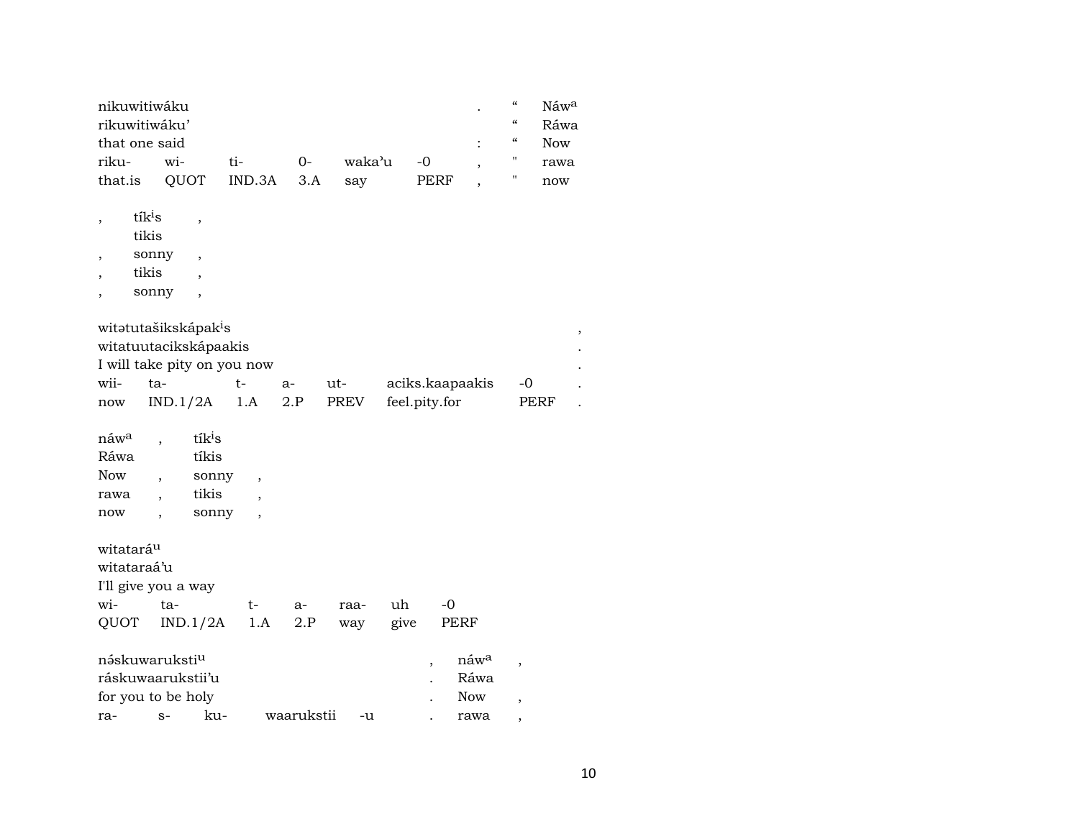| nikuwitiwáku  |                     |           |      | "          | $N$ áw $^a$ |
|---------------|---------------------|-----------|------|------------|-------------|
| rikuwitiwáku' |                     |           |      | "          | Ráwa        |
| that one said |                     |           |      | $\epsilon$ | Now         |
| riku- wi-     | ti- O-              | waka'u -0 |      |            | rawa        |
| that.is       | QUOT IND.3A 3.A say |           | PERF |            | now         |

| ٠ | tík <sup>i</sup> s |  |
|---|--------------------|--|
|   | tikis              |  |

, sonny ,

, tikis ,

, sonny ,

| witətutašikskápak <sup>i</sup> s |                    |    |      |      |                 |             |  |  |  |
|----------------------------------|--------------------|----|------|------|-----------------|-------------|--|--|--|
| witatuutacikskápaakis            |                    |    |      |      |                 |             |  |  |  |
| I will take pity on you now      |                    |    |      |      |                 |             |  |  |  |
| wii-                             | ta-                | t- | $a-$ | ut-  | aciks.kaapaakis | $-$ ()      |  |  |  |
| now                              | $IND.1/2A$ 1.A 2.P |    |      | PREV | feel.pity.for   | <b>PERF</b> |  |  |  |

| náw <sup>a</sup> | tík <sup>i</sup> s |  |
|------------------|--------------------|--|
| Ráwa             | tíkis              |  |
| <b>Now</b>       | sonny              |  |
| rawa             | tikis              |  |
| now              | sonny              |  |

| witatará <sup>u</sup><br>witataraá'u<br>I'll give you a way           |          |     |     |            |      |      |                                        |  |
|-----------------------------------------------------------------------|----------|-----|-----|------------|------|------|----------------------------------------|--|
| wi-                                                                   | ta-      |     | t-  | $a-$       | raa- | uh   | -0                                     |  |
| <b>QUOT</b>                                                           | IND.1/2A |     | 1.A | 2.P        | way  | give | PERF                                   |  |
| náskuwaruksti <sup>u</sup><br>ráskuwaarukstii'u<br>for you to be holy |          |     |     |            |      |      | náw <sup>a</sup><br>Ráwa<br><b>Now</b> |  |
| ra-                                                                   | $S-$     | ku- |     | waarukstii | -u   |      | rawa                                   |  |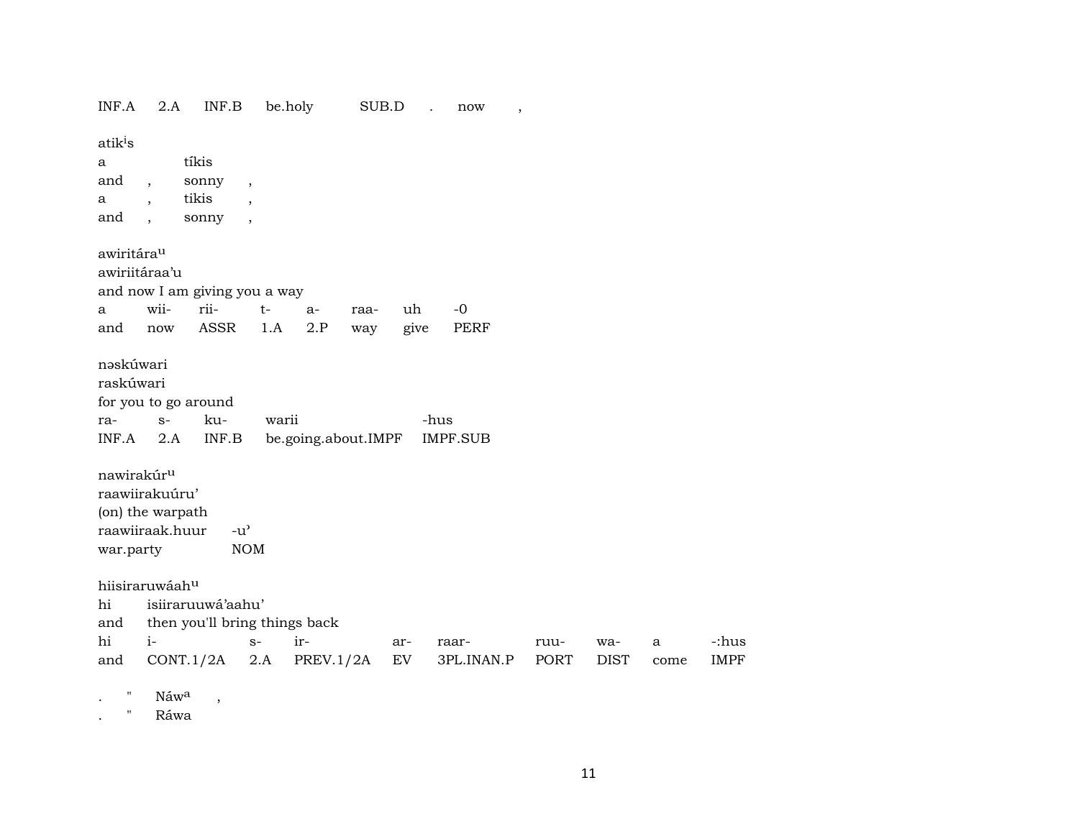$2.A$ be.holy INF.A INF.B SUB.D. now  $\overline{\phantom{a}}$ atik<sup>i</sup>s tíkis a sonny and  $\overline{\phantom{a}}$  $\overline{\phantom{a}}$ tikis  $\mathbf{a}$  $\overline{\phantom{a}}$  $\ddot{\phantom{1}}$ and sonny  $\overline{\phantom{a}}$  $\overline{\phantom{a}}$ awiritára<sup>u</sup> awiriitáraa'u and now I am giving you a way wiirii- $-0$  $t \mathbf{a}$  $a$ raauh give PERF ASSR  $2.P$ and now 1.A way nəskúwari raskúwari for you to go around kura- $S$ warii -hus  $INF.A$  $2.A$  $INF.B$ be.going.about.IMPF **IMPF.SUB** nawirakúr<sup>u</sup> raawiirakuúru' (on) the warpath raawiiraak.huur  $-u^{\prime}$ war.party **NOM** hiisiraruwáah<sup>u</sup> hi isiiraruuwá'aahu' and then you'll bring things back  $i$ hi  $S$ irarraarruuwa- $\mathbf{a}$  $CONT.1/2A$  2.A  $PREV.1/2A$  $EV$ 3PL.INAN.P **PORT DIST** and come Náwa  $\overline{\phantom{a}}$  $\bullet$ 

Ráwa  $\mathbf{u}$  $\ddot{\phantom{a}}$ 

-:hus

**IMPF**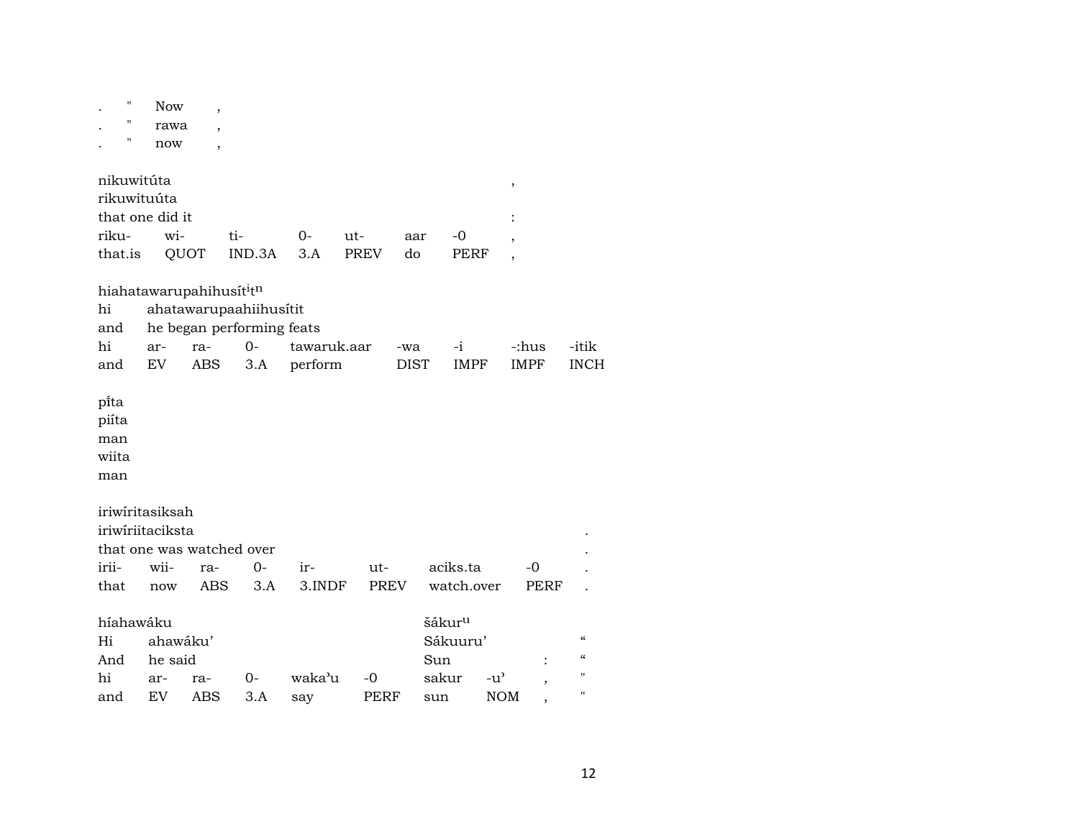| $\pmb{\mathsf{H}}$        | <b>Now</b> | $\overline{\phantom{a}}$ |                           |             |             |             |                    |               |             |                                        |
|---------------------------|------------|--------------------------|---------------------------|-------------|-------------|-------------|--------------------|---------------|-------------|----------------------------------------|
| П                         | rawa       |                          |                           |             |             |             |                    |               |             |                                        |
| Π                         | now        | $\overline{\phantom{a}}$ |                           |             |             |             |                    |               |             |                                        |
|                           |            |                          |                           |             |             |             |                    |               |             |                                        |
| nikuwitúta                |            |                          |                           |             |             |             |                    | ,             |             |                                        |
| rikuwituúta               |            |                          |                           |             |             |             |                    |               |             |                                        |
| that one did it           |            |                          |                           |             |             |             |                    |               |             |                                        |
| riku-                     | wi-        |                          | ti-                       | $0-$        | ut-         | aar         | $-0$               |               |             |                                        |
| that.is                   | QUOT       |                          | IND.3A                    | 3.A         | <b>PREV</b> | do          | <b>PERF</b>        |               |             |                                        |
|                           |            |                          |                           |             |             |             |                    |               |             |                                        |
| hiahatawarupahihusititn   |            |                          |                           |             |             |             |                    |               |             |                                        |
| hi                        |            |                          | ahatawarupaahiihusítit    |             |             |             |                    |               |             |                                        |
| and                       |            |                          | he began performing feats |             |             |             |                    |               |             |                                        |
| hi                        | ar-        | ra-                      | $0-$                      | tawaruk.aar |             | -wa         | $-i$               |               | -:hus       | -itik                                  |
| and                       | EV         | <b>ABS</b>               | 3.A                       | perform     |             | <b>DIST</b> | <b>IMPF</b>        |               | <b>IMPF</b> | <b>INCH</b>                            |
|                           |            |                          |                           |             |             |             |                    |               |             |                                        |
| pi̇̃ta                    |            |                          |                           |             |             |             |                    |               |             |                                        |
| piíta                     |            |                          |                           |             |             |             |                    |               |             |                                        |
| man                       |            |                          |                           |             |             |             |                    |               |             |                                        |
| wiita                     |            |                          |                           |             |             |             |                    |               |             |                                        |
| man                       |            |                          |                           |             |             |             |                    |               |             |                                        |
|                           |            |                          |                           |             |             |             |                    |               |             |                                        |
| iriwiritasiksah           |            |                          |                           |             |             |             |                    |               |             |                                        |
| iriwiriitaciksta          |            |                          |                           |             |             |             |                    |               |             |                                        |
| that one was watched over |            |                          |                           |             |             |             |                    |               |             |                                        |
| irii-                     | wii-       | ra-                      | $0-$                      | ir-         | $ut-$       |             | aciks.ta           |               | -0          |                                        |
| that                      | now        | <b>ABS</b>               | 3.A                       | 3.INDF      | PREV        |             | watch.over         |               | <b>PERF</b> |                                        |
|                           |            |                          |                           |             |             |             |                    |               |             |                                        |
| híahawáku                 |            |                          |                           |             |             |             | šákur <sup>u</sup> |               |             |                                        |
| Hi                        | ahawáku'   |                          |                           |             |             |             | Sákuuru'           |               |             | $\boldsymbol{\zeta}\boldsymbol{\zeta}$ |
| And                       | he said    |                          |                           |             |             |             | Sun                |               |             | $\epsilon\epsilon$                     |
| hi                        | ar-        | ra-                      | $0-$                      | waka'u      | $-0$        |             | sakur              | $-u^{\prime}$ |             | $\pmb{\mathsf{H}}$                     |
| and                       | ${\rm EV}$ | ABS                      | 3.A                       | say         | PERF        |             | sun                | <b>NOM</b>    |             | $\pmb{\mathsf{H}}$                     |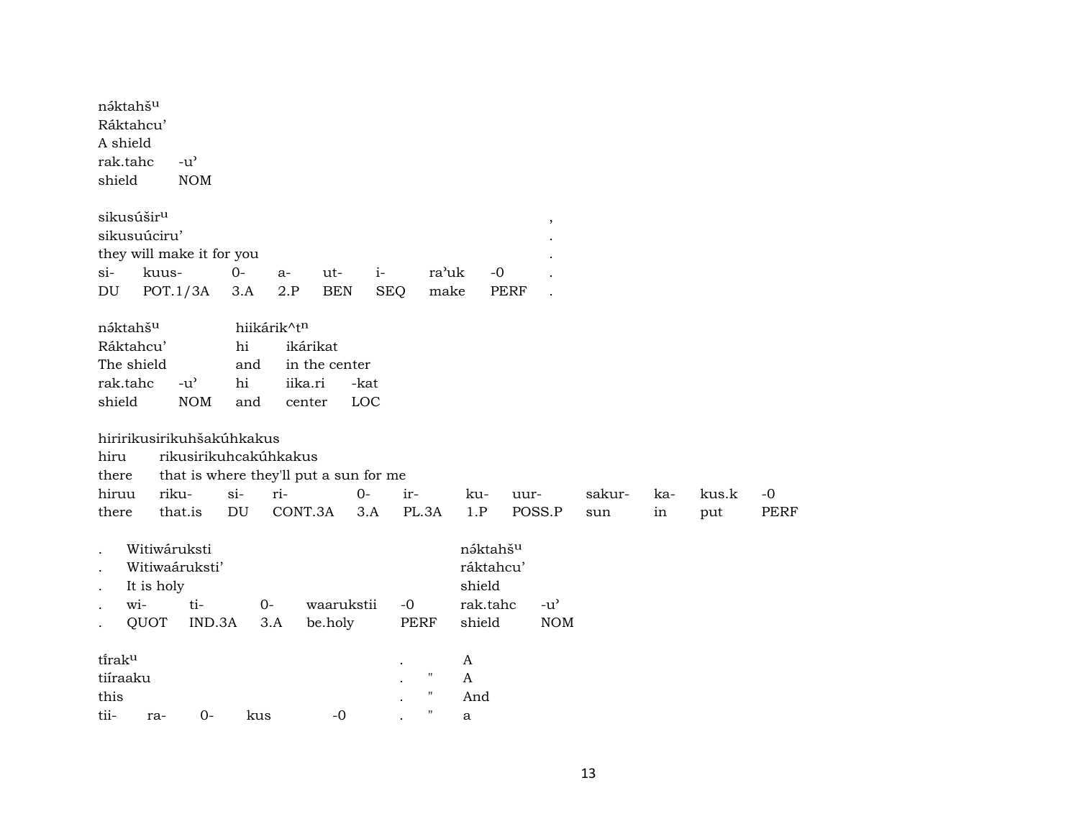| náktahšu<br>Ráktahcu'<br>A shield<br>rak.tahc<br>shield           |                                    | $-u^{\prime}$<br><b>NOM</b>                                                       |                        |                                  |                                        |              |                                        |                                                       |             |                             |               |           |              |                     |
|-------------------------------------------------------------------|------------------------------------|-----------------------------------------------------------------------------------|------------------------|----------------------------------|----------------------------------------|--------------|----------------------------------------|-------------------------------------------------------|-------------|-----------------------------|---------------|-----------|--------------|---------------------|
| sikusúšir <sup>u</sup><br>sikusuúciru'<br>$\sin$                  | kuus-                              | they will make it for you                                                         | $0-$                   | a-                               | ut-                                    | $i-$         | ra'uk                                  |                                                       | $-0$        | $^\mathrm{,}$               |               |           |              |                     |
| DU                                                                | POT.1/3A                           |                                                                                   | 3.A                    | 2.P                              | <b>BEN</b>                             | <b>SEQ</b>   | make                                   |                                                       | <b>PERF</b> |                             |               |           |              |                     |
| náktahšu<br>Ráktahcu'<br>The shield<br>rak.tahc<br>shield<br>hiru |                                    | $-u^{\prime}$<br><b>NOM</b><br>hiririkusirikuhšakúhkakus<br>rikusirikuhcakúhkakus | hi<br>and<br>hi<br>and | hiikárik^tn<br>iika.ri<br>center | ikárikat<br>in the center              | -kat<br>LOC  |                                        |                                                       |             |                             |               |           |              |                     |
| there                                                             |                                    |                                                                                   |                        |                                  | that is where they'll put a sun for me |              |                                        |                                                       |             |                             |               |           |              |                     |
| hiruu<br>there                                                    | riku-                              | that.is                                                                           | $si-$<br>DU            | ri-<br>CONT.3A                   |                                        | $O -$<br>3.A | ir-<br>PL.3A                           | ku-<br>1.P                                            | uur-        | POSS.P                      | sakur-<br>sun | ka-<br>in | kus.k<br>put | $-0$<br><b>PERF</b> |
| $\bullet$<br>$\ddot{\phantom{a}}$<br>wi-                          | Witiwáruksti<br>It is holy<br>QUOT | Witiwaáruksti'<br>ti-<br>IND.3A                                                   |                        | $0-$<br>3.A                      | waarukstii<br>be.holy                  |              | $-0$<br>PERF                           | náktahšu<br>ráktahcu'<br>shield<br>rak.tahc<br>shield |             | $-u^{\prime}$<br><b>NOM</b> |               |           |              |                     |
| tiraku<br>tiíraaku<br>this<br>tii-                                | ra-                                | $O -$                                                                             | kus                    |                                  | $-0$                                   |              | $\blacksquare$<br>$\blacksquare$<br>11 | A<br>A<br>And<br>a                                    |             |                             |               |           |              |                     |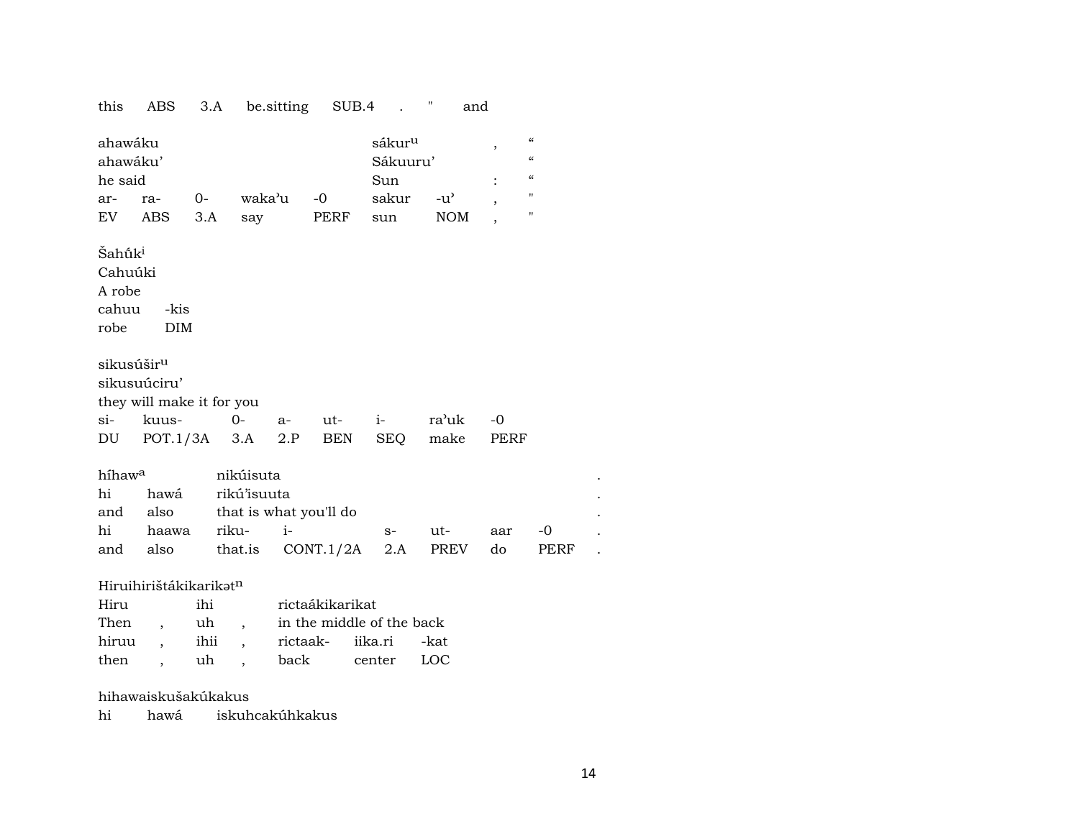this ABS 3.A be.sitting SUB.4 . " and

| ahawáku                |                           |                        |      |           | sákur <sup>u</sup> |               | ,       | $\pmb{\zeta}\pmb{\zeta}$ |  |
|------------------------|---------------------------|------------------------|------|-----------|--------------------|---------------|---------|--------------------------|--|
| ahawáku'               |                           |                        |      |           | Sákuuru'           |               |         | $\epsilon$               |  |
| he said                |                           |                        |      |           | Sun                |               |         | $\epsilon$               |  |
| ar-                    | $O -$<br>ra-              | waka'u                 |      | $-0$      | sakur              | $-u^{\prime}$ | $\cdot$ | 11                       |  |
|                        | EV ABS                    | 3.A<br>say             |      | PERF      | sun                | <b>NOM</b>    |         | "                        |  |
| Šahū́k <sup>i</sup>    |                           |                        |      |           |                    |               |         |                          |  |
| Cahuúki                |                           |                        |      |           |                    |               |         |                          |  |
| A robe                 |                           |                        |      |           |                    |               |         |                          |  |
| cahuu                  | -kis                      |                        |      |           |                    |               |         |                          |  |
| robe                   | DIM                       |                        |      |           |                    |               |         |                          |  |
|                        |                           |                        |      |           |                    |               |         |                          |  |
| sikusúšir <sup>u</sup> |                           |                        |      |           |                    |               |         |                          |  |
|                        | sikusuúciru'              |                        |      |           |                    |               |         |                          |  |
|                        | they will make it for you |                        |      |           |                    |               |         |                          |  |
| $si$ -                 | kuus-                     | $0-$                   |      | a- ut- i- |                    | ra'uk         | $-0$    |                          |  |
| DU                     | POT.1/3A 3.A              |                        | 2.P  | BEN       | SEQ                | make          | PERF    |                          |  |
|                        |                           |                        |      |           |                    |               |         |                          |  |
| híhaw <sup>a</sup>     |                           | nikúisuta              |      |           |                    |               |         |                          |  |
| hi                     | hawá                      | rikú'isuuta            |      |           |                    |               |         |                          |  |
| and                    | also                      | that is what you'll do |      |           |                    |               |         |                          |  |
| hi                     | haawa                     | riku-                  | $i-$ |           | $S-$               | ut-           | aar     | -0                       |  |
| and                    | also                      | that.is                |      | CONT.1/2A | 2.A                | <b>PREV</b>   | do      | PERF                     |  |

#### Hiruihirištákikarikatn

| Hiru  | ihi  | rictaákikarikat           |            |  |
|-------|------|---------------------------|------------|--|
| Then  | uh   | in the middle of the back |            |  |
| hiruu | ihii | rictaak- iika.ri -kat     |            |  |
| then  | uh   | back                      | center LOC |  |

#### hihawaiskušakúkakus

hi iskuhcakúhkakus hawá

 $\sim 100$  $\sim$   $\sim$  $\sim$   $\sim$  $\sim 100$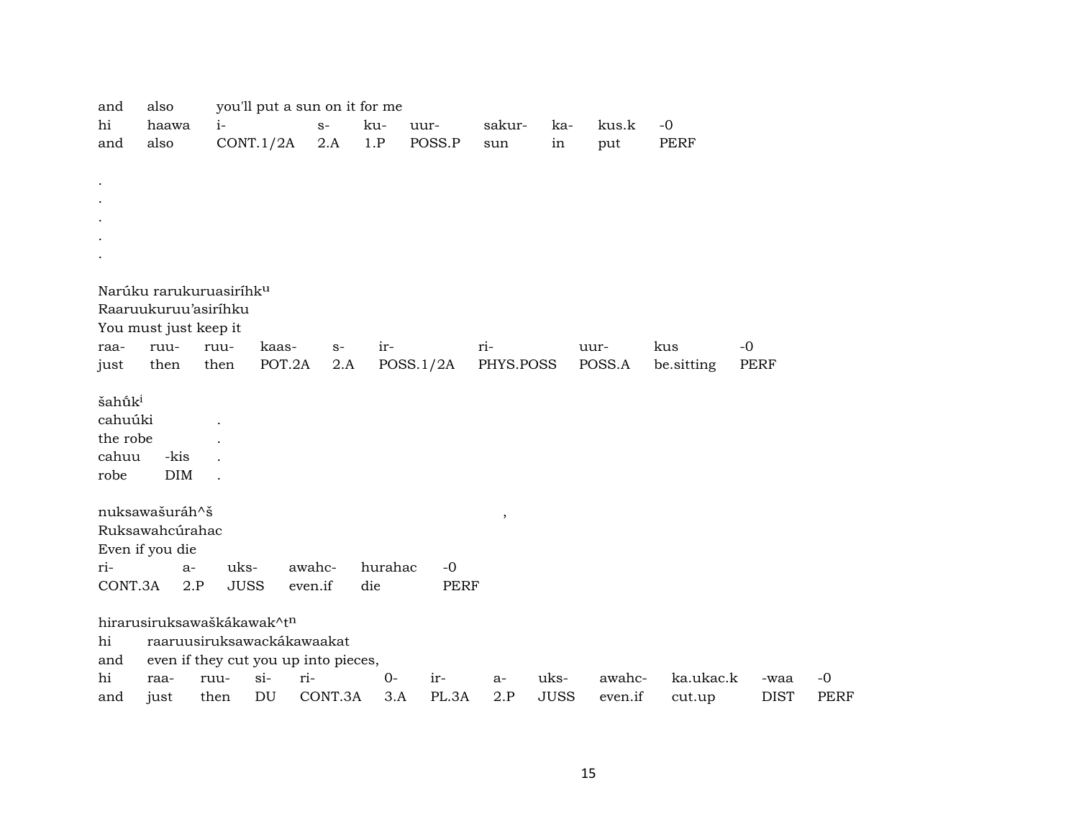| and                 | also                                |             | you'll put a sun on it for me        |         |         |             |                         |             |         |            |             |             |
|---------------------|-------------------------------------|-------------|--------------------------------------|---------|---------|-------------|-------------------------|-------------|---------|------------|-------------|-------------|
| hi                  | haawa                               | $i-$        |                                      | $S-$    | ku-     | uur-        | sakur-                  | ka-         | kus.k   | $-0$       |             |             |
| and                 | also                                |             | CONT.1/2A                            | 2.A     | 1.P     | POSS.P      | sun                     | in          | put     | PERF       |             |             |
|                     |                                     |             |                                      |         |         |             |                         |             |         |            |             |             |
|                     |                                     |             |                                      |         |         |             |                         |             |         |            |             |             |
|                     |                                     |             |                                      |         |         |             |                         |             |         |            |             |             |
|                     |                                     |             |                                      |         |         |             |                         |             |         |            |             |             |
|                     |                                     |             |                                      |         |         |             |                         |             |         |            |             |             |
|                     |                                     |             |                                      |         |         |             |                         |             |         |            |             |             |
|                     |                                     |             |                                      |         |         |             |                         |             |         |            |             |             |
|                     | Narúku rarukuruasiríhk <sup>u</sup> |             |                                      |         |         |             |                         |             |         |            |             |             |
|                     | Raaruukuruu'asiríhku                |             |                                      |         |         |             |                         |             |         |            |             |             |
|                     |                                     |             |                                      |         |         |             |                         |             |         |            |             |             |
|                     | You must just keep it               |             |                                      |         |         |             |                         |             |         |            |             |             |
| raa-                | ruu-                                | ruu-        | kaas-                                | $S-$    | ir-     |             | ri-                     |             | uur-    | kus        | $-0$        |             |
| just                | then                                | then        | POT.2A                               | 2.A     |         | POSS.1/2A   | PHYS.POSS               |             | POSS.A  | be.sitting | PERF        |             |
|                     |                                     |             |                                      |         |         |             |                         |             |         |            |             |             |
| šahū̃k <sup>i</sup> |                                     |             |                                      |         |         |             |                         |             |         |            |             |             |
| cahuúki             |                                     |             |                                      |         |         |             |                         |             |         |            |             |             |
| the robe            |                                     |             |                                      |         |         |             |                         |             |         |            |             |             |
| cahuu               | -kis                                |             |                                      |         |         |             |                         |             |         |            |             |             |
| robe                | DIM                                 |             |                                      |         |         |             |                         |             |         |            |             |             |
|                     |                                     |             |                                      |         |         |             |                         |             |         |            |             |             |
|                     | nuksawašuráh^š                      |             |                                      |         |         |             | $^\mathrm{^\mathrm{o}}$ |             |         |            |             |             |
|                     | Ruksawahcúrahac                     |             |                                      |         |         |             |                         |             |         |            |             |             |
|                     | Even if you die                     |             |                                      |         |         |             |                         |             |         |            |             |             |
| ri-                 | $a-$                                | uks-        |                                      | awahc-  | hurahac | $-0$        |                         |             |         |            |             |             |
| CONT.3A             | 2.P                                 | <b>JUSS</b> |                                      | even.if | die     | <b>PERF</b> |                         |             |         |            |             |             |
|                     |                                     |             |                                      |         |         |             |                         |             |         |            |             |             |
|                     | hirarusiruksawaškákawak^tn          |             |                                      |         |         |             |                         |             |         |            |             |             |
| hi                  |                                     |             | raaruusiruksawackákawaakat           |         |         |             |                         |             |         |            |             |             |
| and                 |                                     |             | even if they cut you up into pieces, |         |         |             |                         |             |         |            |             |             |
| hi                  | raa-                                | ruu-        | $si-$                                | ri-     | $O -$   | ir-         | a-                      | uks-        | awahc-  | ka.ukac.k  | -waa        | $-0$        |
| and                 | just                                | then        | DU                                   | CONT.3A | 3.A     | PL.3A       | 2.P                     | <b>JUSS</b> | even.if | cut.up     | <b>DIST</b> | <b>PERF</b> |
|                     |                                     |             |                                      |         |         |             |                         |             |         |            |             |             |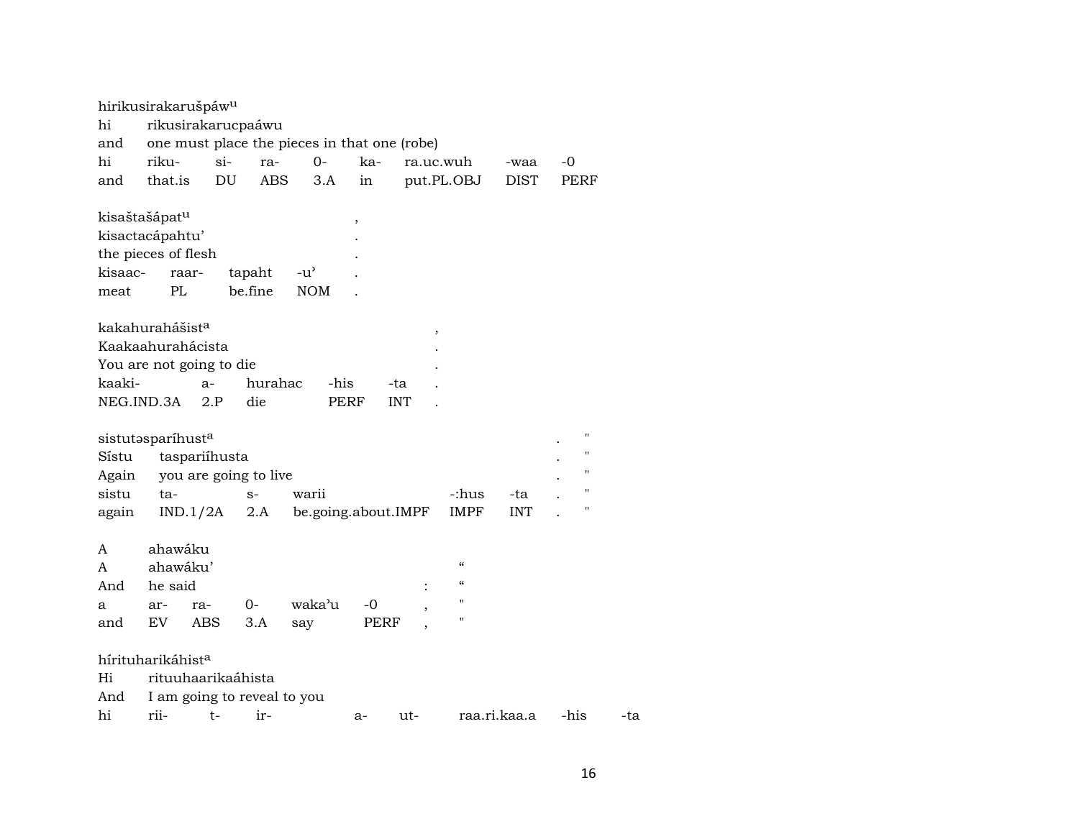|                           | hirikusirakarušpáw <sup>u</sup> |        |                       |                                              |      |            |                          |              |              |
|---------------------------|---------------------------------|--------|-----------------------|----------------------------------------------|------|------------|--------------------------|--------------|--------------|
| hi                        | rikusirakarucpaáwu              |        |                       |                                              |      |            |                          |              |              |
| and                       |                                 |        |                       | one must place the pieces in that one (robe) |      |            |                          |              |              |
| hi                        | riku-                           | $\sin$ | ra-                   | $0-$                                         | ka-  |            | ra.uc.wuh                | -waa         | -0           |
| and                       | that.is                         | DU     | <b>ABS</b>            | 3.A                                          | in   |            | put.PL.OBJ               | <b>DIST</b>  | PERF         |
| kisaštašápat <sup>u</sup> |                                 |        |                       |                                              | ,    |            |                          |              |              |
|                           | kisactacápahtu'                 |        |                       |                                              |      |            |                          |              |              |
|                           | the pieces of flesh             |        |                       |                                              |      |            |                          |              |              |
| kisaac-                   | raar-                           |        | tapaht                | $-u^{\prime}$                                |      |            |                          |              |              |
| meat                      | PL                              |        | be.fine               | <b>NOM</b>                                   |      |            |                          |              |              |
|                           | kakahurahášist <sup>a</sup>     |        |                       |                                              |      |            |                          |              |              |
|                           | Kaakaahurahácista               |        |                       |                                              |      |            |                          |              |              |
|                           | You are not going to die        |        |                       |                                              |      |            |                          |              |              |
| kaaki-                    |                                 | $a-$   | hurahac               | -his                                         |      | -ta        |                          |              |              |
| NEG.IND.3A                |                                 | 2.P    | die                   |                                              | PERF | <b>INT</b> |                          |              |              |
|                           | sistutasparíhusta               |        |                       |                                              |      |            |                          |              | $\mathbf{H}$ |
| Sístu                     | taspariíhusta                   |        |                       |                                              |      |            |                          |              | п            |
| Again                     |                                 |        | you are going to live |                                              |      |            |                          |              | п            |
| sistu                     | ta-                             |        | $S-$                  | warii                                        |      |            | -:hus                    | -ta          | $\mathbf{H}$ |
| again                     | IND.1/2A                        |        | 2.A                   | be.going.about.IMPF                          |      |            | <b>IMPF</b>              | <b>INT</b>   | п            |
| A                         | ahawáku                         |        |                       |                                              |      |            |                          |              |              |
| A                         | ahawáku'                        |        |                       |                                              |      |            | $\epsilon\epsilon$       |              |              |
| And                       | he said                         |        |                       |                                              |      |            | $\pmb{\zeta}\pmb{\zeta}$ |              |              |
| a                         | ar-                             | ra-    | $0-$                  | waka'u                                       | -0   |            | $^{\prime\prime}$        |              |              |
| and                       | EV                              | ABS    | 3.A                   | say                                          | PERF |            | 11                       |              |              |
|                           | hírituharikáhist <sup>a</sup>   |        |                       |                                              |      |            |                          |              |              |
| Hi                        | rituuhaarikaáhista              |        |                       |                                              |      |            |                          |              |              |
| And                       | I am going to reveal to you     |        |                       |                                              |      |            |                          |              |              |
| hi                        | rii-                            | $t-$   | ir-                   |                                              | a-   | ut-        |                          | raa.ri.kaa.a | -his         |

-ta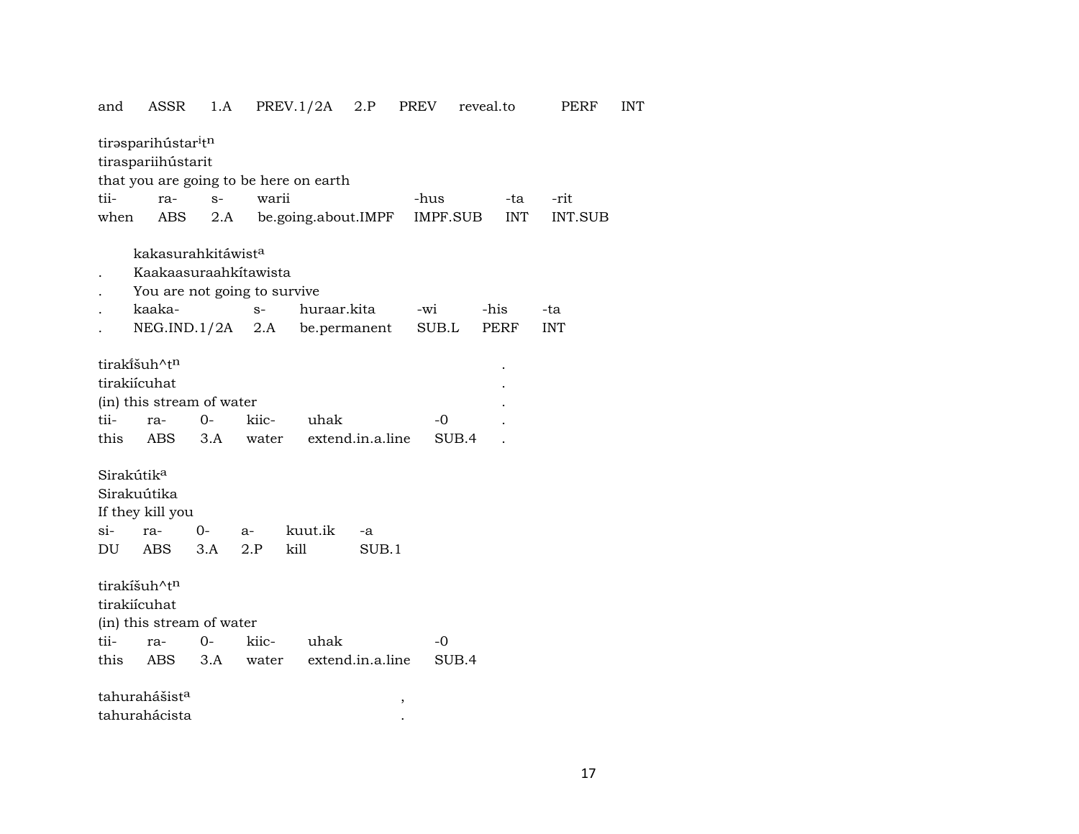| and                    | ASSR                            | 1.A   |       | PREV.1/2A                              | 2.P              | PREV     | reveal.to |            | PERF           | INT |
|------------------------|---------------------------------|-------|-------|----------------------------------------|------------------|----------|-----------|------------|----------------|-----|
|                        | tirasparihústar <sup>i</sup> tn |       |       |                                        |                  |          |           |            |                |     |
|                        | tiraspariihústarit              |       |       |                                        |                  |          |           |            |                |     |
|                        |                                 |       |       | that you are going to be here on earth |                  |          |           |            |                |     |
| tii-                   | ra-                             | $S-$  | warii |                                        |                  | -hus     |           | -ta        | -rit           |     |
| when                   | ABS                             | 2.A   |       | be.going.about.IMPF                    |                  | IMPF.SUB |           | <b>INT</b> | <b>INT.SUB</b> |     |
|                        | kakasurahkitáwist <sup>a</sup>  |       |       |                                        |                  |          |           |            |                |     |
|                        | Kaakaasuraahkitawista           |       |       |                                        |                  |          |           |            |                |     |
|                        | You are not going to survive    |       |       |                                        |                  |          |           |            |                |     |
|                        | kaaka-                          |       | $S-$  | huraar.kita                            |                  | -wi      | -his      |            | -ta            |     |
|                        | NEG.IND.1/2A                    |       | 2.A   |                                        | be.permanent     | SUB.L    |           | PERF       | <b>INT</b>     |     |
|                        |                                 |       |       |                                        |                  |          |           |            |                |     |
|                        | tirakišuh^tn                    |       |       |                                        |                  |          |           |            |                |     |
|                        | tirakiícuhat                    |       |       |                                        |                  |          |           |            |                |     |
|                        | (in) this stream of water       |       |       |                                        |                  |          |           |            |                |     |
| tii-                   | ra-                             | 0-    | kiic- | uhak                                   |                  | -0       |           |            |                |     |
| this                   | ABS                             | 3.A   | water |                                        | extend.in.a.line |          | SUB.4     |            |                |     |
|                        |                                 |       |       |                                        |                  |          |           |            |                |     |
| Sirakútik <sup>a</sup> |                                 |       |       |                                        |                  |          |           |            |                |     |
|                        | Sirakuútika                     |       |       |                                        |                  |          |           |            |                |     |
| si-                    | If they kill you                | $0-$  |       | kuut.ik                                |                  |          |           |            |                |     |
|                        | ra-                             |       | $a-$  |                                        | -a               |          |           |            |                |     |
| DU                     | <b>ABS</b>                      | 3.A   | 2.P   | kill                                   | SUB.1            |          |           |            |                |     |
|                        | tirakíšuh^tn                    |       |       |                                        |                  |          |           |            |                |     |
|                        | tirakiícuhat                    |       |       |                                        |                  |          |           |            |                |     |
|                        | (in) this stream of water       |       |       |                                        |                  |          |           |            |                |     |
| tii-                   | ra-                             | $O -$ | kiic- | uhak                                   |                  | -0       |           |            |                |     |
| this                   | ABS                             | 3.A   | water |                                        | extend.in.a.line |          | SUB.4     |            |                |     |
|                        | tahurahášist <sup>a</sup>       |       |       |                                        |                  |          |           |            |                |     |
|                        | tahurahácista                   |       |       |                                        |                  | $\, ,$   |           |            |                |     |
|                        |                                 |       |       |                                        |                  |          |           |            |                |     |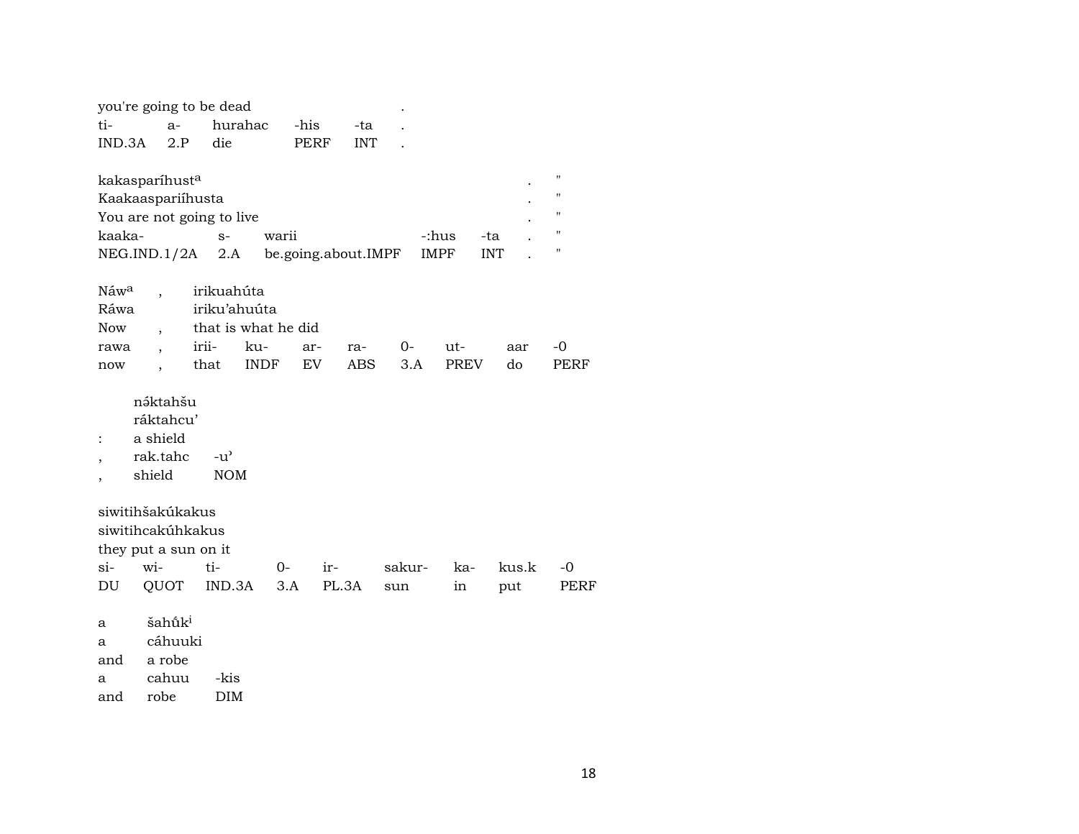|                  |                            | you're going to be dead   |             |                     |            |                    |            |                    |
|------------------|----------------------------|---------------------------|-------------|---------------------|------------|--------------------|------------|--------------------|
| ti-              | $a-$                       | hurahac                   |             | -his                | -ta        |                    |            |                    |
| IND.3A           | 2.P                        | die                       |             | <b>PERF</b>         | <b>INT</b> |                    |            |                    |
|                  |                            |                           |             |                     |            |                    |            | $\pmb{\mathsf{H}}$ |
|                  | kakasparíhust <sup>a</sup> |                           |             |                     |            |                    |            |                    |
|                  | Kaakaaspariihusta          |                           |             |                     |            |                    |            | $\pmb{\mathsf{H}}$ |
|                  |                            | You are not going to live |             |                     |            |                    |            | $\pmb{\mathsf{H}}$ |
| kaaka-           |                            | $S-$                      | warii       |                     |            | -:hus              | -ta        | $\pmb{\mathsf{H}}$ |
|                  |                            | $NEG.ID.1/2A$ 2.A         |             | be.going.about.IMPF |            | IMPF               | <b>INT</b> | п                  |
| Náw <sup>a</sup> |                            | irikuahúta                |             |                     |            |                    |            |                    |
| Ráwa             |                            | iriku'ahuúta              |             |                     |            |                    |            |                    |
|                  |                            |                           |             |                     |            |                    |            |                    |
| <b>Now</b>       |                            | that is what he did       |             |                     |            |                    |            |                    |
| rawa             |                            | irii-                     | ku-         | ar-<br>ra-          | $0-$       | ut-                | aar        | $-0$               |
| now              |                            | that                      | <b>INDF</b> | EV                  | ABS        | <b>PREV</b><br>3.A | do         | PERF               |
|                  | náktahšu                   |                           |             |                     |            |                    |            |                    |
|                  | ráktahcu'                  |                           |             |                     |            |                    |            |                    |
|                  | a shield                   |                           |             |                     |            |                    |            |                    |
|                  | rak.tahc                   | $-u^{\prime}$             |             |                     |            |                    |            |                    |
|                  | shield                     | <b>NOM</b>                |             |                     |            |                    |            |                    |
|                  |                            |                           |             |                     |            |                    |            |                    |
|                  | siwitihšakúkakus           |                           |             |                     |            |                    |            |                    |
|                  | siwitihcakúhkakus          |                           |             |                     |            |                    |            |                    |
|                  | they put a sun on it       |                           |             |                     |            |                    |            |                    |
| $\sin$           | wi-                        | ti-                       | $0-$        | ir-                 | sakur-     | ka-                | kus.k      | $-0$               |
| DU               | QUOT                       | IND.3A                    | 3.A         | PL.3A               | sun        | in                 | put        | PERF               |
|                  |                            |                           |             |                     |            |                    |            |                    |
| a                | šahūk <sup>i</sup>         |                           |             |                     |            |                    |            |                    |
| a                | cáhuuki                    |                           |             |                     |            |                    |            |                    |
| and              | a robe                     |                           |             |                     |            |                    |            |                    |

a cahuu -kis

and robe DIM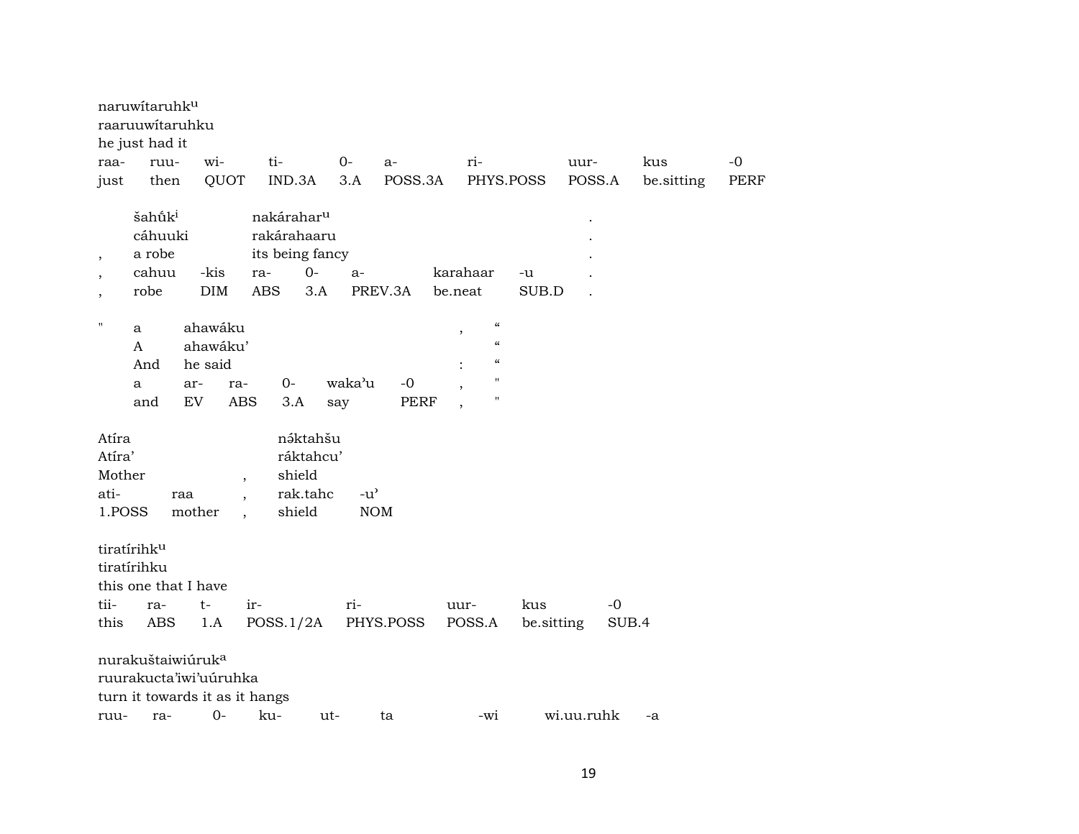|                                             | naruwitaruhku<br>raaruuwitaruhku<br>he just had it        |                                                                                                   |                                                                                              |               |             |                                                  |             |            |            |      |
|---------------------------------------------|-----------------------------------------------------------|---------------------------------------------------------------------------------------------------|----------------------------------------------------------------------------------------------|---------------|-------------|--------------------------------------------------|-------------|------------|------------|------|
| raa-                                        | ruu-                                                      | wi-                                                                                               | ti-                                                                                          | $O -$         | a-          | ri-                                              |             | uur-       | kus        | $-0$ |
| just                                        | then                                                      | QUOT                                                                                              | IND.3A                                                                                       | 3.A           | POSS.3A     | PHYS.POSS                                        |             | POSS.A     | be.sitting | PERF |
| $\cdot$<br>$\overline{\phantom{a}}$         | šahū̃k <sup>i</sup><br>cáhuuki<br>a robe<br>cahuu<br>robe | -kis<br><b>DIM</b>                                                                                | nakárahar <sup>u</sup><br>rakárahaaru<br>its being fancy<br>$0-$<br>ra-<br>3.A<br><b>ABS</b> | $a-$          | PREV.3A     | karahaar<br>be.neat                              | -u<br>SUB.D |            |            |      |
| $\mathbf{H}$                                | a                                                         | ahawáku                                                                                           |                                                                                              |               |             | $\mathcal{C}$                                    |             |            |            |      |
|                                             | A                                                         | ahawáku'                                                                                          |                                                                                              |               |             | $\, ,$<br>$\boldsymbol{\zeta}\boldsymbol{\zeta}$ |             |            |            |      |
|                                             | And                                                       | he said                                                                                           |                                                                                              |               |             | $\mathcal{C}$                                    |             |            |            |      |
|                                             | a                                                         | ar-<br>ra-                                                                                        | $0-$                                                                                         | waka'u        | $-0$        | Ħ<br>$\overline{\phantom{a}}$                    |             |            |            |      |
|                                             | and                                                       | <b>ABS</b><br>EV                                                                                  | 3.A                                                                                          | say           | <b>PERF</b> | Ħ<br>$\overline{\phantom{a}}$                    |             |            |            |      |
| Atíra<br>Atíra'<br>Mother<br>ati-<br>1.POSS |                                                           | raa<br>$\ddot{\phantom{0}}$<br>mother                                                             | náktahšu<br>ráktahcu'<br>shield<br>rak.tahc<br>shield<br>$\ddot{\phantom{a}}$                | $-u^{\prime}$ | <b>NOM</b>  |                                                  |             |            |            |      |
|                                             | tiratírihk <sup>u</sup><br>tiratírihku                    | this one that I have                                                                              |                                                                                              |               |             |                                                  |             |            |            |      |
| tii-                                        | ra-                                                       | $t-$                                                                                              | ir-                                                                                          | ri-           |             | uur-                                             | kus         | $-0$       |            |      |
| this                                        | ABS                                                       | 1.A                                                                                               | POSS.1/2A                                                                                    |               | PHYS.POSS   | POSS.A                                           | be.sitting  | SUB.4      |            |      |
| ruu-                                        | ra-                                                       | nurakuštaiwiúruk <sup>a</sup><br>ruurakucta'iwi'uuruhka<br>turn it towards it as it hangs<br>$0-$ | ku-                                                                                          | $ut-$         | ta          | -wi                                              |             | wi.uu.ruhk | $-a$       |      |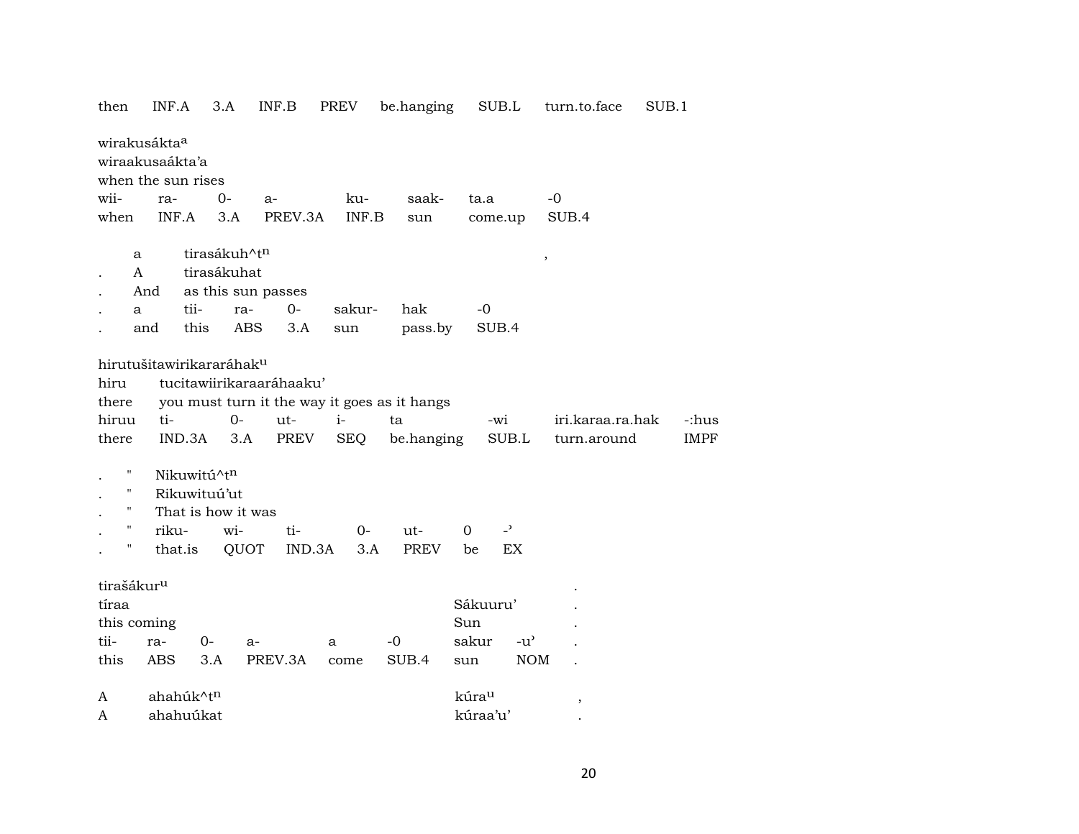| then                                                              | INF.A     |              | 3.A                      | INF.B                    | PREV       | be.hanging                                   |          | SUB.L                    | turn.to.face     | SUB.1       |
|-------------------------------------------------------------------|-----------|--------------|--------------------------|--------------------------|------------|----------------------------------------------|----------|--------------------------|------------------|-------------|
| wirakusákta <sup>a</sup><br>wiraakusaákta'a<br>when the sun rises |           |              |                          |                          |            |                                              |          |                          |                  |             |
| wii-                                                              |           |              | $0-$                     |                          | ku-        | saak-                                        | ta.a     |                          | -0               |             |
|                                                                   | ra-       |              |                          | $a-$                     |            |                                              |          |                          |                  |             |
| when                                                              | INF.A     |              | 3.A                      | PREV.3A                  | INF.B      | sun                                          |          | come.up                  | SUB.4            |             |
| a                                                                 |           |              | tirasákuh^t <sup>n</sup> |                          |            |                                              |          |                          | $\, ,$           |             |
| A                                                                 |           |              | tirasákuhat              |                          |            |                                              |          |                          |                  |             |
|                                                                   | And       |              |                          | as this sun passes       |            |                                              |          |                          |                  |             |
| a                                                                 |           | tii-         | ra-                      | $O -$                    | sakur-     | hak                                          | $-0$     |                          |                  |             |
|                                                                   | and       | this         | ABS                      | 3.A                      | sun        | pass.by                                      |          | SUB.4                    |                  |             |
|                                                                   |           |              |                          |                          |            |                                              |          |                          |                  |             |
| hirutušitawirikararáhak <sup>u</sup>                              |           |              |                          |                          |            |                                              |          |                          |                  |             |
| hiru                                                              |           |              |                          | tucitawiirikaraaráhaaku' |            |                                              |          |                          |                  |             |
| there                                                             |           |              |                          |                          |            | you must turn it the way it goes as it hangs |          |                          |                  |             |
| hiruu                                                             | ti-       |              | $O -$                    | ut-                      | $i-$       | ta                                           |          | -wi                      | iri.karaa.ra.hak | -:hus       |
| there                                                             |           | IND.3A       | 3.A                      | PREV                     | <b>SEQ</b> | be.hanging                                   |          | SUB.L                    | turn.around      | <b>IMPF</b> |
|                                                                   |           |              |                          |                          |            |                                              |          |                          |                  |             |
| Ħ                                                                 |           | Nikuwitú^tn  |                          |                          |            |                                              |          |                          |                  |             |
| 11                                                                |           | Rikuwituú'ut |                          |                          |            |                                              |          |                          |                  |             |
| $\pmb{\mathsf{H}}$                                                |           |              | That is how it was       |                          |            |                                              |          |                          |                  |             |
| н                                                                 | riku-     |              | wi-                      | ti-                      | $0-$       | $ut-$                                        | $\Omega$ | $\overline{\phantom{a}}$ |                  |             |
| Ħ                                                                 | that.is   |              | QUOT                     | IND.3A                   | 3.A        | PREV                                         | be       | EX                       |                  |             |
|                                                                   |           |              |                          |                          |            |                                              |          |                          |                  |             |
| tirašákur <sup>u</sup>                                            |           |              |                          |                          |            |                                              |          |                          |                  |             |
| tíraa                                                             |           |              |                          |                          |            |                                              | Sákuuru' |                          |                  |             |
| this coming                                                       |           |              |                          |                          |            |                                              | Sun      |                          |                  |             |
| tii-                                                              | ra-       | $0-$         | $a-$                     |                          | a          | $-0$                                         | sakur    | $-u^{\prime}$            |                  |             |
| this                                                              | ABS       | 3.A          |                          | PREV.3A                  | come       | SUB.4                                        | sun      | <b>NOM</b>               |                  |             |
|                                                                   |           |              |                          |                          |            |                                              |          |                          |                  |             |
| A                                                                 | ahahúk^tn |              |                          |                          |            |                                              | kúrau    |                          | $\, ,$           |             |
| A                                                                 | ahahuúkat |              |                          |                          |            |                                              | kúraa'u' |                          |                  |             |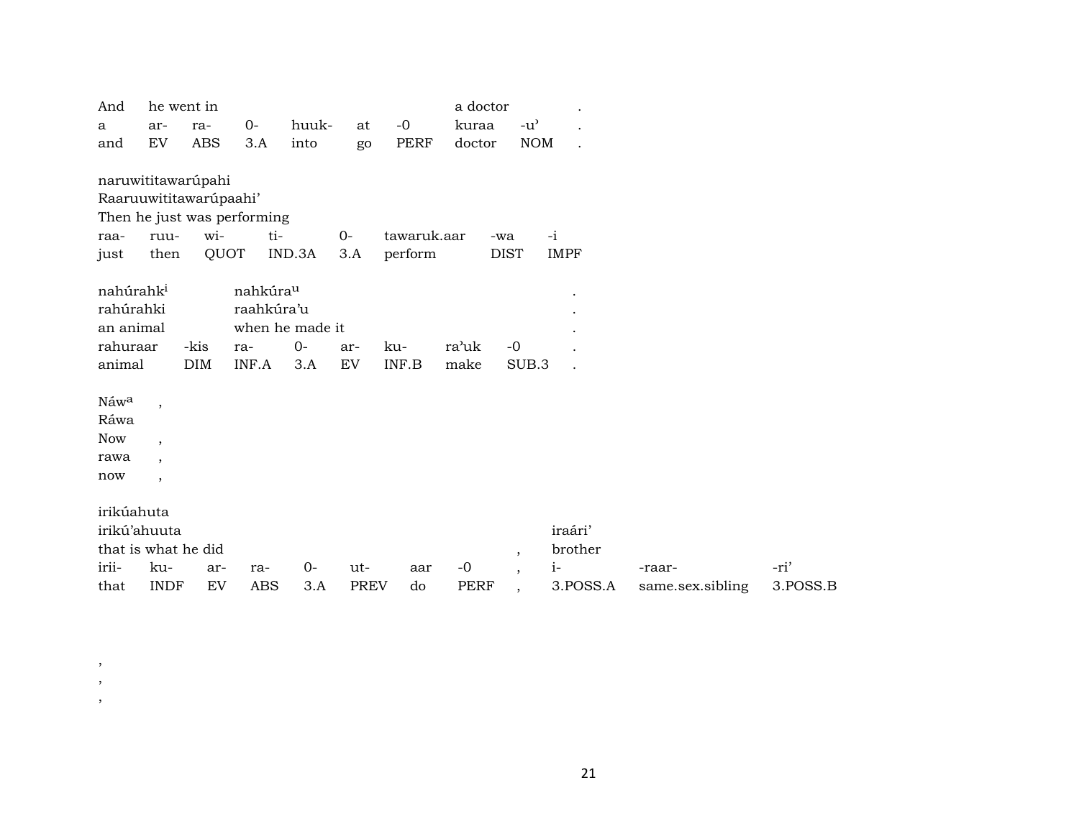| And                   | he went in               |                        |                             |                 |             |             | a doctor    |                                     |             |                  |          |
|-----------------------|--------------------------|------------------------|-----------------------------|-----------------|-------------|-------------|-------------|-------------------------------------|-------------|------------------|----------|
| a                     | ar-                      | ra-                    | $0-$                        | huuk-           | at          | $-0$        | kuraa       | $-u$ <sup><math>\prime</math></sup> |             |                  |          |
| and                   | EV                       | <b>ABS</b>             | 3.A                         | into            | go          | <b>PERF</b> | doctor      | <b>NOM</b>                          |             |                  |          |
|                       |                          |                        |                             |                 |             |             |             |                                     |             |                  |          |
| naruwititawarúpahi    |                          |                        |                             |                 |             |             |             |                                     |             |                  |          |
|                       |                          | Raaruuwititawarúpaahi' |                             |                 |             |             |             |                                     |             |                  |          |
|                       |                          |                        | Then he just was performing |                 |             |             |             |                                     |             |                  |          |
| raa-                  | ruu-                     | wi-                    | ti-                         |                 | $0 -$       | tawaruk.aar |             | -wa                                 | $-i$        |                  |          |
| just                  | then                     | QUOT                   |                             | IND.3A          | 3.A         | perform     |             | <b>DIST</b>                         | <b>IMPF</b> |                  |          |
|                       |                          |                        |                             |                 |             |             |             |                                     |             |                  |          |
| nahúrahk <sup>i</sup> |                          |                        | nahkúra <sup>u</sup>        |                 |             |             |             |                                     |             |                  |          |
| rahúrahki             |                          |                        | raahkúra'u                  |                 |             |             |             |                                     |             |                  |          |
| an animal             |                          |                        |                             | when he made it |             |             |             |                                     |             |                  |          |
| rahuraar              |                          | -kis                   | ra-                         | $0-$            | ar-         | ku-         | ra'uk       | $-0$                                |             |                  |          |
| animal                |                          | <b>DIM</b>             | INF.A                       | 3.A             | EV          | INF.B       | make        | SUB.3                               |             |                  |          |
|                       |                          |                        |                             |                 |             |             |             |                                     |             |                  |          |
| Náwa                  | $\overline{\phantom{a}}$ |                        |                             |                 |             |             |             |                                     |             |                  |          |
| Ráwa                  |                          |                        |                             |                 |             |             |             |                                     |             |                  |          |
| Now                   | $\cdot$                  |                        |                             |                 |             |             |             |                                     |             |                  |          |
| rawa                  | $\overline{\phantom{a}}$ |                        |                             |                 |             |             |             |                                     |             |                  |          |
| now                   | $\overline{ }$           |                        |                             |                 |             |             |             |                                     |             |                  |          |
|                       |                          |                        |                             |                 |             |             |             |                                     |             |                  |          |
| irikúahuta            |                          |                        |                             |                 |             |             |             |                                     |             |                  |          |
| irikú'ahuuta          |                          |                        |                             |                 |             |             |             |                                     | iraári'     |                  |          |
| that is what he did   |                          |                        |                             |                 |             |             |             | $\cdot$                             | brother     |                  |          |
| irii-                 | ku-                      | ar-                    | ra-                         | $0-$            | ut-         | aar         | $-0$        | $\cdot$                             | $i-$        | -raar-           | -ri'     |
| that                  | <b>INDF</b>              | EV                     | <b>ABS</b>                  | 3.A             | <b>PREV</b> | do          | <b>PERF</b> | $\overline{\phantom{a}}$            | 3.POSS.A    | same.sex.sibling | 3.POSS.B |

, , ,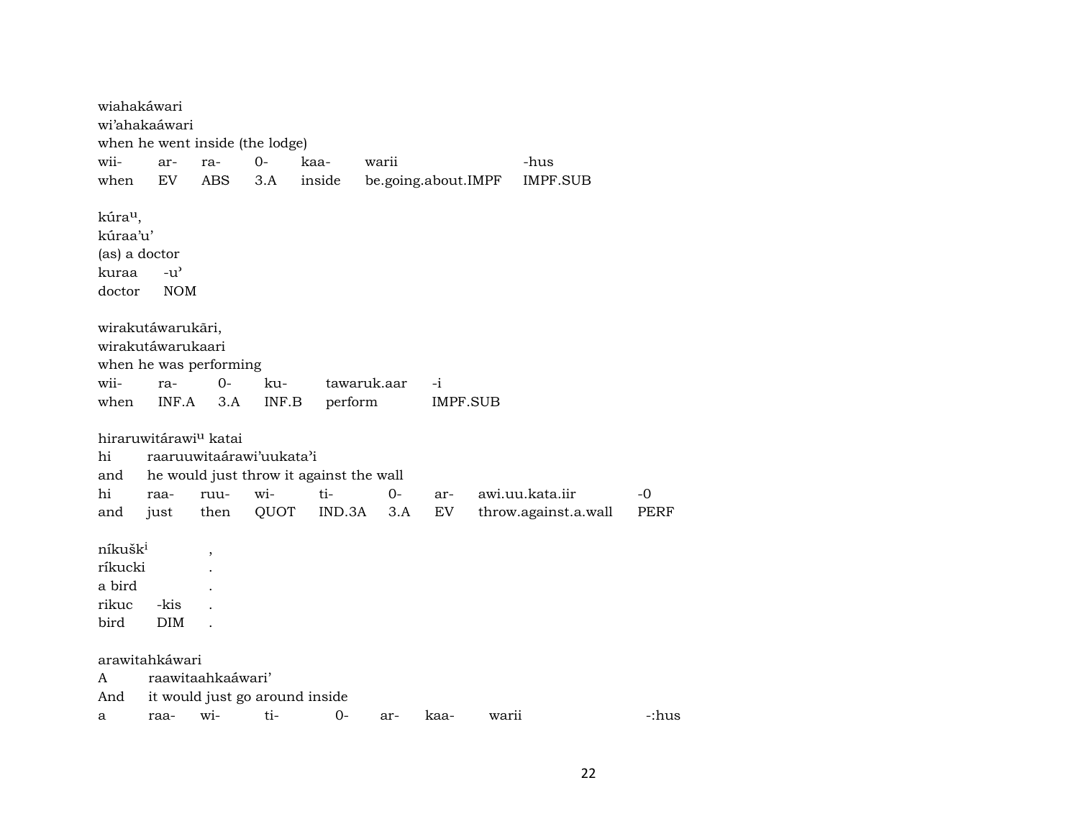| wiahakáwari         |               |                                   |                                 |                                         |                     |          |                      |       |
|---------------------|---------------|-----------------------------------|---------------------------------|-----------------------------------------|---------------------|----------|----------------------|-------|
| wi'ahakaáwari       |               |                                   |                                 |                                         |                     |          |                      |       |
|                     |               |                                   | when he went inside (the lodge) |                                         |                     |          |                      |       |
| wii-                | ar-           | ra-                               | $0-$                            | kaa-                                    | warii               |          | -hus                 |       |
| when                | EV            | ABS                               | 3.A                             | inside                                  | be.going.about.IMPF |          | <b>IMPF.SUB</b>      |       |
| kúra <sup>u</sup> , |               |                                   |                                 |                                         |                     |          |                      |       |
| kúraa'u'            |               |                                   |                                 |                                         |                     |          |                      |       |
| (as) a doctor       |               |                                   |                                 |                                         |                     |          |                      |       |
| kuraa               | $-u^{\prime}$ |                                   |                                 |                                         |                     |          |                      |       |
| doctor              | <b>NOM</b>    |                                   |                                 |                                         |                     |          |                      |       |
|                     |               |                                   |                                 |                                         |                     |          |                      |       |
| wirakutáwarukāri,   |               |                                   |                                 |                                         |                     |          |                      |       |
| wirakutáwarukaari   |               |                                   |                                 |                                         |                     |          |                      |       |
|                     |               | when he was performing            |                                 |                                         |                     |          |                      |       |
| wii-                | ra-           | $0-$                              | ku-                             |                                         | tawaruk.aar         | $-i$     |                      |       |
| when                | INF.A         | 3.A                               | INF.B                           | perform                                 |                     | IMPF.SUB |                      |       |
|                     |               |                                   |                                 |                                         |                     |          |                      |       |
|                     |               | hiraruwitárawi <sup>u</sup> katai |                                 |                                         |                     |          |                      |       |
| hi                  |               |                                   | raaruuwitaárawi'uukata'i        |                                         |                     |          |                      |       |
| and                 |               |                                   |                                 | he would just throw it against the wall |                     |          |                      |       |
| hi                  | raa-          | ruu-                              | wi-                             | ti-                                     | $0-$                | ar-      | awi.uu.kata.iir      | -0    |
| and                 | just          | then                              | QUOT                            | IND.3A                                  | 3.A                 | EV       | throw.against.a.wall | PERF  |
|                     |               |                                   |                                 |                                         |                     |          |                      |       |
| níkušk <sup>i</sup> |               | $\overline{\phantom{a}}$          |                                 |                                         |                     |          |                      |       |
| ríkucki             |               |                                   |                                 |                                         |                     |          |                      |       |
| a bird              |               |                                   |                                 |                                         |                     |          |                      |       |
| rikuc               | -kis          |                                   |                                 |                                         |                     |          |                      |       |
| bird                | <b>DIM</b>    |                                   |                                 |                                         |                     |          |                      |       |
|                     |               |                                   |                                 |                                         |                     |          |                      |       |
| arawitahkáwari      |               |                                   |                                 |                                         |                     |          |                      |       |
| A                   |               | raawitaahkaáwari'                 |                                 |                                         |                     |          |                      |       |
| And                 |               |                                   | it would just go around inside  |                                         |                     |          |                      |       |
| а                   | raa-          | wi-                               | ti-                             | $0-$                                    | ar-                 | kaa-     | warii                | -:hus |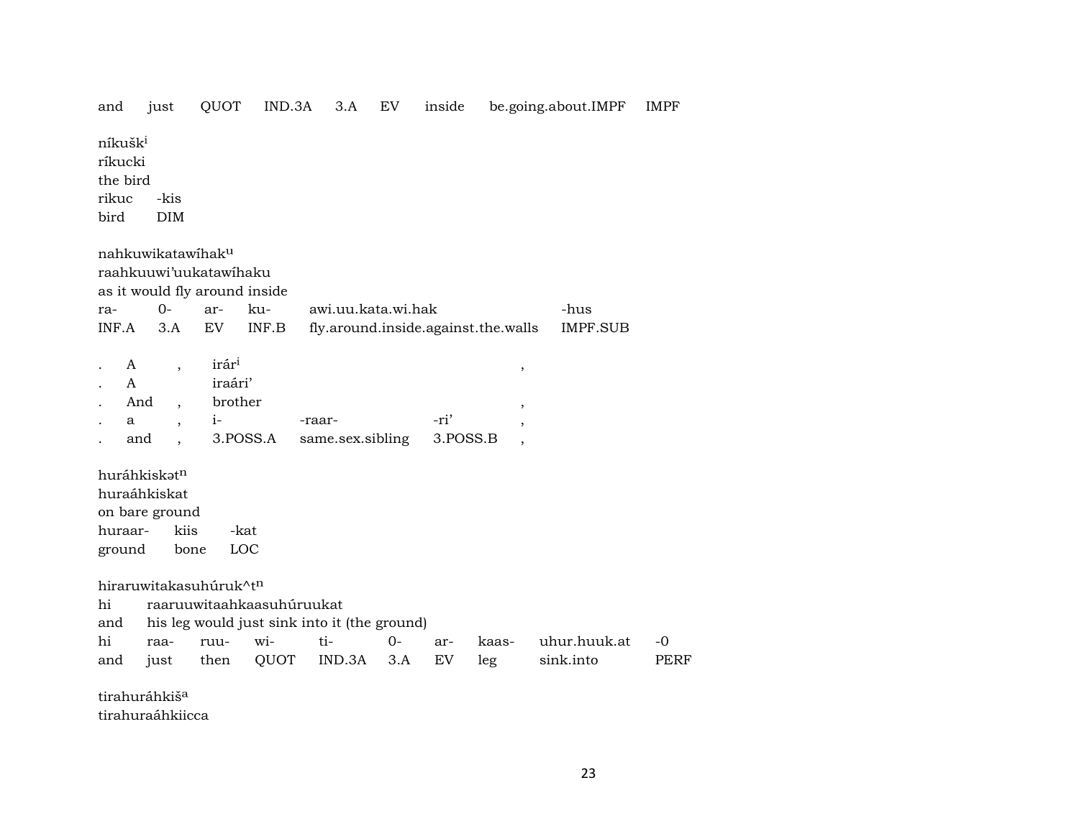| and                                        | just                                                                             | QUOT                                                    | IND.3A                                                                    | 3.A                | EV           | inside    |                                     | be.going.about.IMPF       | <b>IMPF</b>         |
|--------------------------------------------|----------------------------------------------------------------------------------|---------------------------------------------------------|---------------------------------------------------------------------------|--------------------|--------------|-----------|-------------------------------------|---------------------------|---------------------|
| níkušk <sup>i</sup><br>ríkucki<br>the bird |                                                                                  |                                                         |                                                                           |                    |              |           |                                     |                           |                     |
| rikuc<br>bird                              | -kis<br><b>DIM</b>                                                               |                                                         |                                                                           |                    |              |           |                                     |                           |                     |
|                                            | nahkuwikatawihaku                                                                | raahkuuwi'uukatawihaku<br>as it would fly around inside |                                                                           |                    |              |           |                                     |                           |                     |
| ra-<br>INF.A                               | $O -$<br>3.A                                                                     | ar-<br>EV                                               | ku-<br>INF.B                                                              | awi.uu.kata.wi.hak |              |           | fly.around.inside.against.the.walls | -hus<br><b>IMPF.SUB</b>   |                     |
| A<br>A<br>And<br>a                         | $\overline{\phantom{a}}$<br>$\overline{\phantom{a}}$<br>$\overline{\phantom{a}}$ | irár <sup>i</sup><br>iraári'<br>brother<br>i-           | -raar-                                                                    |                    |              | -ri'      | $\, ,$<br>$^\mathrm{,}$             |                           |                     |
| and                                        | $\ddot{\phantom{a}}$                                                             | 3.POSS.A                                                |                                                                           | same.sex.sibling   |              | 3.POSS.B  | $\overline{\phantom{a}}$            |                           |                     |
| huraar-<br>ground                          | huráhkiskət <sup>n</sup><br>huraáhkiskat<br>on bare ground<br>kiis<br>bone       | -kat<br>LOC                                             |                                                                           |                    |              |           |                                     |                           |                     |
| hi<br>and                                  |                                                                                  | hiraruwitakasuhúruk^tn                                  | raaruuwitaahkaasuhúruukat<br>his leg would just sink into it (the ground) |                    |              |           |                                     |                           |                     |
| hi<br>and                                  | raa-<br>just                                                                     | ruu-<br>then                                            | wi-<br>QUOT                                                               | ti-<br>IND.3A      | $0 -$<br>3.A | ar-<br>EV | kaas-<br>leg                        | uhur.huuk.at<br>sink.into | $-0$<br><b>PERF</b> |
|                                            | tirahuráhkiš <sup>a</sup>                                                        |                                                         |                                                                           |                    |              |           |                                     |                           |                     |

tirahuraáhkiicca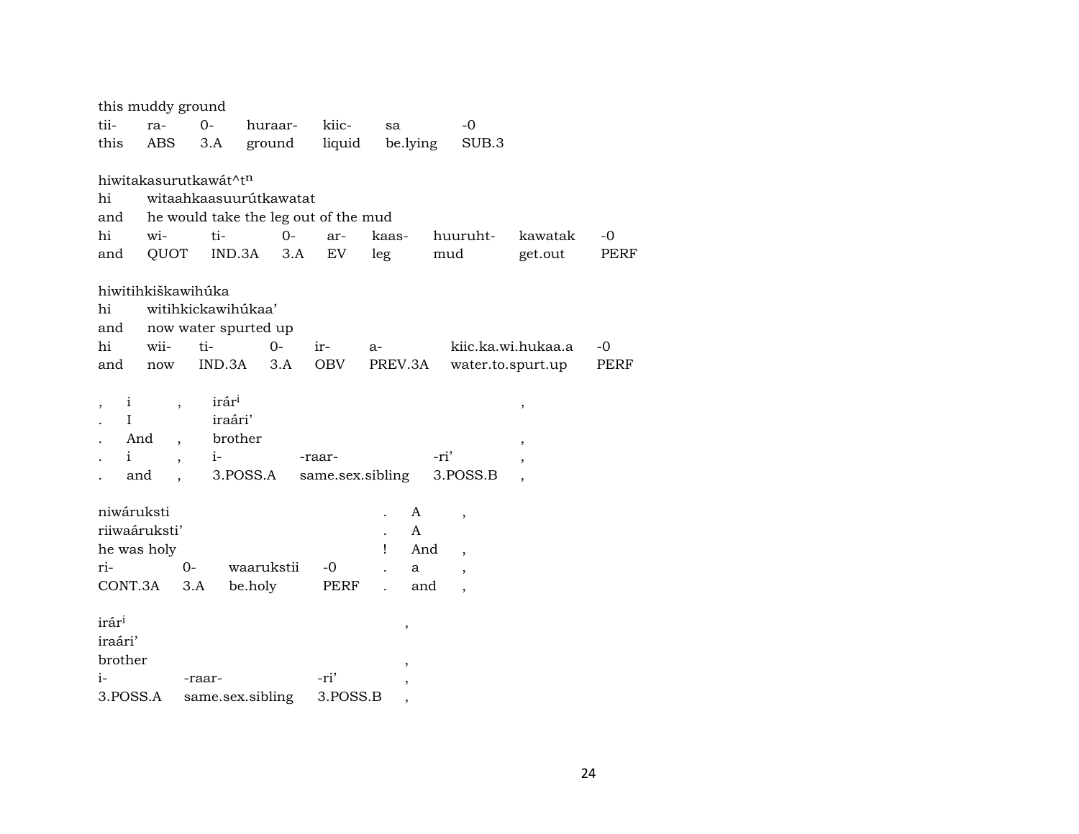|                   | this muddy ground               |                                   |                                      |                  |       |          |                          |                          |             |
|-------------------|---------------------------------|-----------------------------------|--------------------------------------|------------------|-------|----------|--------------------------|--------------------------|-------------|
| tii-              | ra-                             | $O -$                             | huraar-                              | kiic-            | sa    |          | -0                       |                          |             |
| this              | ABS                             | 3.A                               | ground                               | liquid           |       | be.lying | SUB.3                    |                          |             |
|                   |                                 |                                   |                                      |                  |       |          |                          |                          |             |
|                   |                                 | hiwitakasurutkawát^t <sup>n</sup> |                                      |                  |       |          |                          |                          |             |
| hi                |                                 |                                   | witaahkaasuurútkawatat               |                  |       |          |                          |                          |             |
| and               |                                 |                                   | he would take the leg out of the mud |                  |       |          |                          |                          |             |
| hi                | wi-                             | ti-                               | $0 -$                                | ar-              | kaas- |          | huuruht-                 | kawatak                  | $-0$        |
| and               | QUOT                            | IND.3A                            | 3.A                                  | EV               | leg   |          | mud                      | get.out                  | <b>PERF</b> |
|                   |                                 |                                   |                                      |                  |       |          |                          |                          |             |
|                   | hiwitihkiškawihúka              |                                   |                                      |                  |       |          |                          |                          |             |
| hi                |                                 | witihkickawihúkaa'                |                                      |                  |       |          |                          |                          |             |
| and               |                                 |                                   | now water spurted up                 |                  |       |          |                          |                          |             |
| hi                | wii-                            | ti-                               | $0-$                                 | ir-              | $a-$  |          |                          | kiic.ka.wi.hukaa.a       | $-0$        |
| and               | now                             |                                   | $IND.3A$ $3.A$                       | OBV              |       | PREV.3A  |                          | water.to.spurt.up        | PERF        |
|                   |                                 | irár <sup>i</sup>                 |                                      |                  |       |          |                          |                          |             |
| $\mathbf{i}$<br>I |                                 | iraári'                           |                                      |                  |       |          |                          | $\,$                     |             |
|                   | And                             | brother                           |                                      |                  |       |          |                          |                          |             |
| $\mathbf{i}$      | $\ddot{\phantom{0}}$            | $i-$                              |                                      | -raar-           |       |          | -ri'                     | $\overline{\phantom{a}}$ |             |
|                   | $\overline{\phantom{a}}$<br>and |                                   | 3.POSS.A                             | same.sex.sibling |       |          | 3.POSS.B                 |                          |             |
|                   |                                 |                                   |                                      |                  |       |          |                          |                          |             |
| niwáruksti        |                                 |                                   |                                      |                  |       | A        | $\overline{\phantom{a}}$ |                          |             |
|                   | riiwaáruksti'                   |                                   |                                      |                  |       | A        |                          |                          |             |
| he was holy       |                                 |                                   |                                      |                  | Ţ     | And      | $\overline{ }$           |                          |             |
| ri-               |                                 | $0-$                              | waarukstii                           | $-0$             |       | a        | $\cdot$                  |                          |             |
| CONT.3A           |                                 | 3.A                               | be.holy                              | PERF             |       | and      |                          |                          |             |
|                   |                                 |                                   |                                      |                  |       |          |                          |                          |             |
| irár <sup>i</sup> |                                 |                                   |                                      |                  |       | ,        |                          |                          |             |
| iraári'           |                                 |                                   |                                      |                  |       |          |                          |                          |             |
| brother           |                                 |                                   |                                      |                  |       |          |                          |                          |             |
| i-                |                                 | -raar-                            |                                      | -ri'             |       |          |                          |                          |             |
| 3.POSS.A          |                                 |                                   | same.sex.sibling                     | 3.POSS.B         |       |          |                          |                          |             |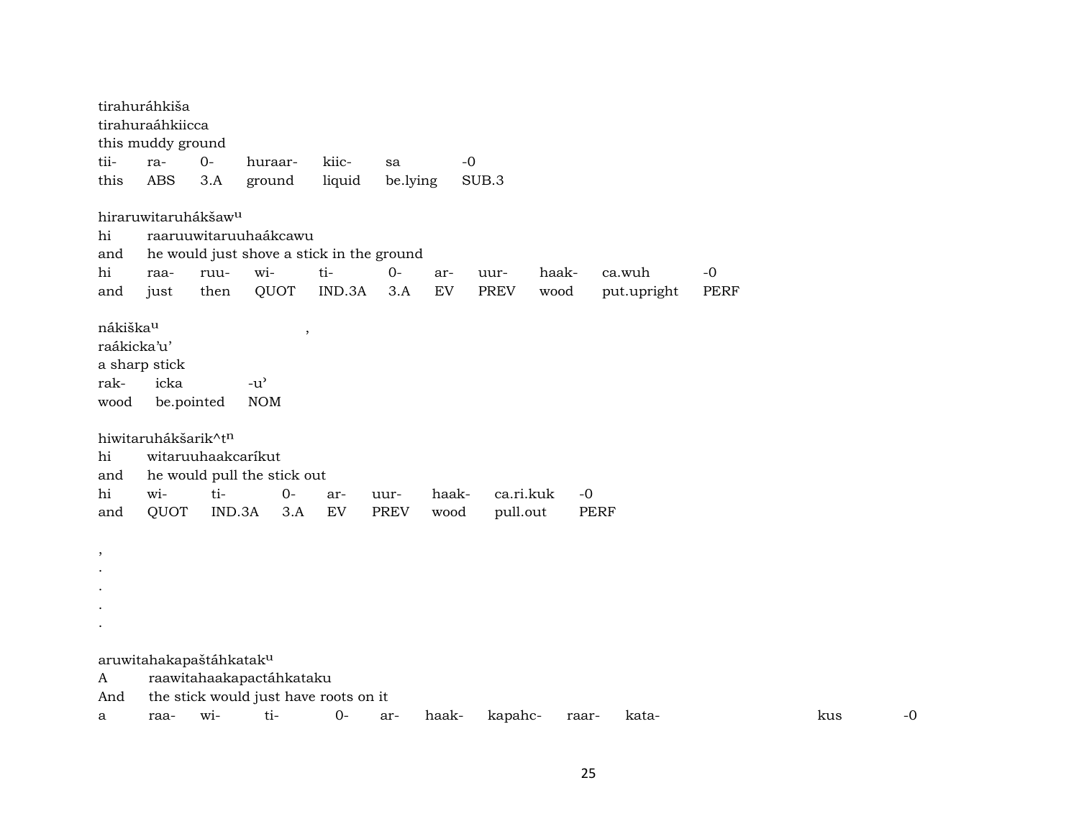tirahuráhkiša tirahuraáhkiicca this muddy ground tii- ra- 0- huraar- kiic- sa -0 this ABS 3.A ground liquid be.lying SUB.3 hiraruwitaruhákšaw<sup>u</sup> hi raaruuwitaruuhaákcawu and he would just shove a stick in the ground hi raa- ruu- wi- ti- 0- ar- uur- haak- ca.wuh -0 and just then QUOT IND.3A 3.A EV PREV wood put.upright PERF nákiškaµ , raákicka'u' a sharp stick rak- icka -u" wood be.pointed NOM hiwitaruhákšarik^tn hi witaruuhaakcaríkut and he would pull the stick out hi wi- ti- 0- ar- uur- haak- ca.ri.kuk -0 and QUOT IND.3A 3.A EV PREV wood pull.out PERF , . . . . aruwitahakapaštáhkatak<sup>u</sup> A raawitahaakapactáhkataku And the stick would just have roots on it a raa- wi- ti- 0- ar- haak- kapahc- raar- kata- kus -0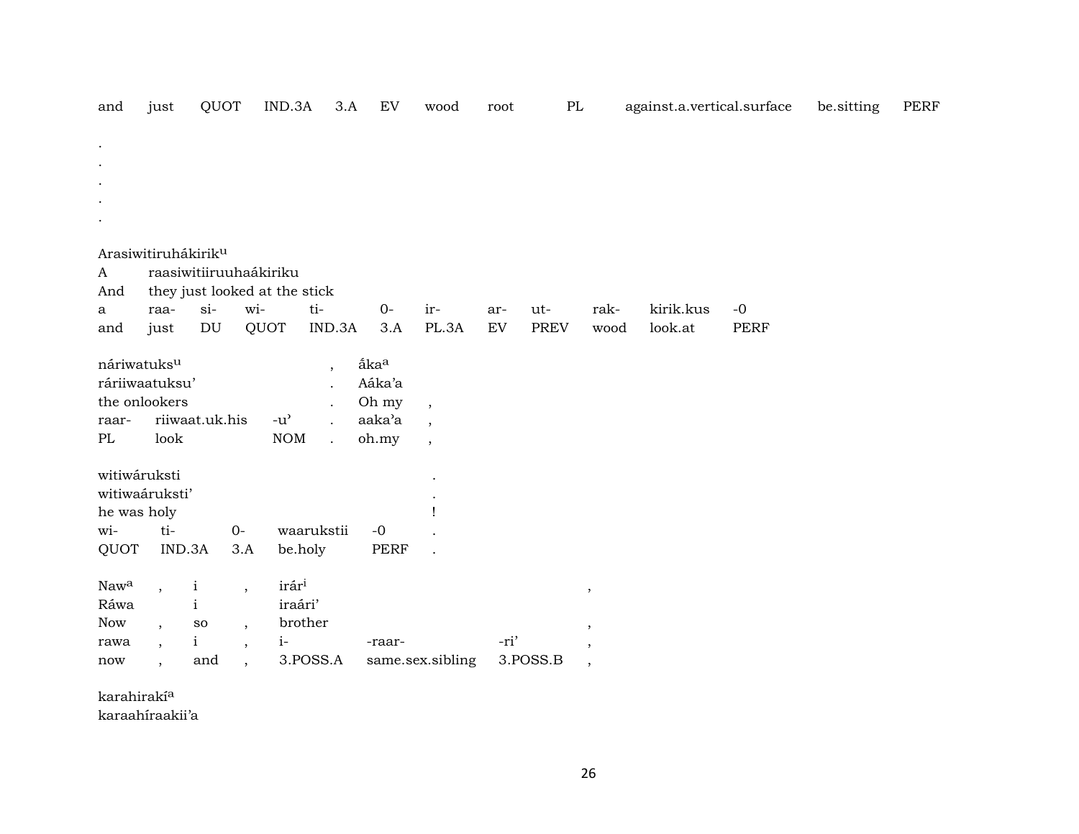| and                 | just                            | QUOT                                   |                          | IND.3A            | 3.A                      | EV               | wood                     | root | $\rm PL$    |                          | against.a.vertical.surface |             | be.sitting | PERF |
|---------------------|---------------------------------|----------------------------------------|--------------------------|-------------------|--------------------------|------------------|--------------------------|------|-------------|--------------------------|----------------------------|-------------|------------|------|
|                     |                                 |                                        |                          |                   |                          |                  |                          |      |             |                          |                            |             |            |      |
|                     |                                 |                                        |                          |                   |                          |                  |                          |      |             |                          |                            |             |            |      |
|                     |                                 |                                        |                          |                   |                          |                  |                          |      |             |                          |                            |             |            |      |
|                     |                                 |                                        |                          |                   |                          |                  |                          |      |             |                          |                            |             |            |      |
|                     |                                 |                                        |                          |                   |                          |                  |                          |      |             |                          |                            |             |            |      |
|                     | Arasiwitiruhákirik <sup>u</sup> |                                        |                          |                   |                          |                  |                          |      |             |                          |                            |             |            |      |
| A                   |                                 | raasiwitiiruuhaákiriku                 |                          |                   |                          |                  |                          |      |             |                          |                            |             |            |      |
| And<br>$\mathbf{a}$ | raa-                            | they just looked at the stick<br>$si-$ | wi-                      |                   | ti-                      | $O -$            | ir-                      | ar-  | ut-         | rak-                     | kirik.kus                  | $-0$        |            |      |
| and                 | just                            | DU                                     |                          | QUOT              | IND.3A                   | 3.A              | PL.3A                    | EV   | <b>PREV</b> | wood                     | look.at                    | <b>PERF</b> |            |      |
|                     |                                 |                                        |                          |                   |                          |                  |                          |      |             |                          |                            |             |            |      |
| náriwatuksu         |                                 |                                        |                          |                   | $\overline{\phantom{a}}$ | åka <sup>a</sup> |                          |      |             |                          |                            |             |            |      |
|                     | ráriiwaatuksu'                  |                                        |                          |                   |                          | Aáka'a           |                          |      |             |                          |                            |             |            |      |
|                     | the onlookers                   |                                        |                          |                   |                          | Oh my            | $\overline{\phantom{a}}$ |      |             |                          |                            |             |            |      |
| raar-               |                                 | riiwaat.uk.his                         |                          | $-u^{\prime}$     | $\ddot{\phantom{a}}$     | aaka'a           | $\cdot$                  |      |             |                          |                            |             |            |      |
| $\rm PL$            | look                            |                                        |                          | <b>NOM</b>        | $\ddot{\phantom{a}}$     | oh.my            | $\overline{\phantom{a}}$ |      |             |                          |                            |             |            |      |
| witiwáruksti        |                                 |                                        |                          |                   |                          |                  |                          |      |             |                          |                            |             |            |      |
|                     | witiwaáruksti'                  |                                        |                          |                   |                          |                  |                          |      |             |                          |                            |             |            |      |
| he was holy         |                                 |                                        |                          |                   |                          |                  |                          |      |             |                          |                            |             |            |      |
| wi-                 | ti-                             |                                        | $0-$                     |                   | waarukstii               | $-0$             |                          |      |             |                          |                            |             |            |      |
| QUOT                |                                 | IND.3A                                 | 3.A                      | be.holy           |                          | PERF             |                          |      |             |                          |                            |             |            |      |
|                     |                                 |                                        |                          |                   |                          |                  |                          |      |             |                          |                            |             |            |      |
| Nawa                | $\ddot{\phantom{0}}$            | $\mathbf{i}$                           | $\overline{\phantom{a}}$ | irár <sup>i</sup> |                          |                  |                          |      |             | $\,$                     |                            |             |            |      |
| Ráwa                |                                 | $\mathbf{i}$                           |                          | iraári'           |                          |                  |                          |      |             |                          |                            |             |            |      |
| <b>Now</b>          | $\overline{\phantom{a}}$        | SO                                     | $\overline{\phantom{a}}$ |                   | brother                  |                  |                          |      |             | $\,$                     |                            |             |            |      |
| rawa                | $\overline{\phantom{a}}$        | $\mathbf{i}$                           | $\overline{\phantom{a}}$ | $i-$              |                          | -raar-           |                          | -ri' |             | $\cdot$                  |                            |             |            |      |
| now                 | $\ddot{\phantom{1}}$            | and                                    | $\ddot{\phantom{0}}$     |                   | 3.POSS.A                 |                  | same.sex.sibling         |      | 3.POSS.B    | $\overline{\phantom{a}}$ |                            |             |            |      |

karahirakí<sup>a</sup>

karaahíraakii'a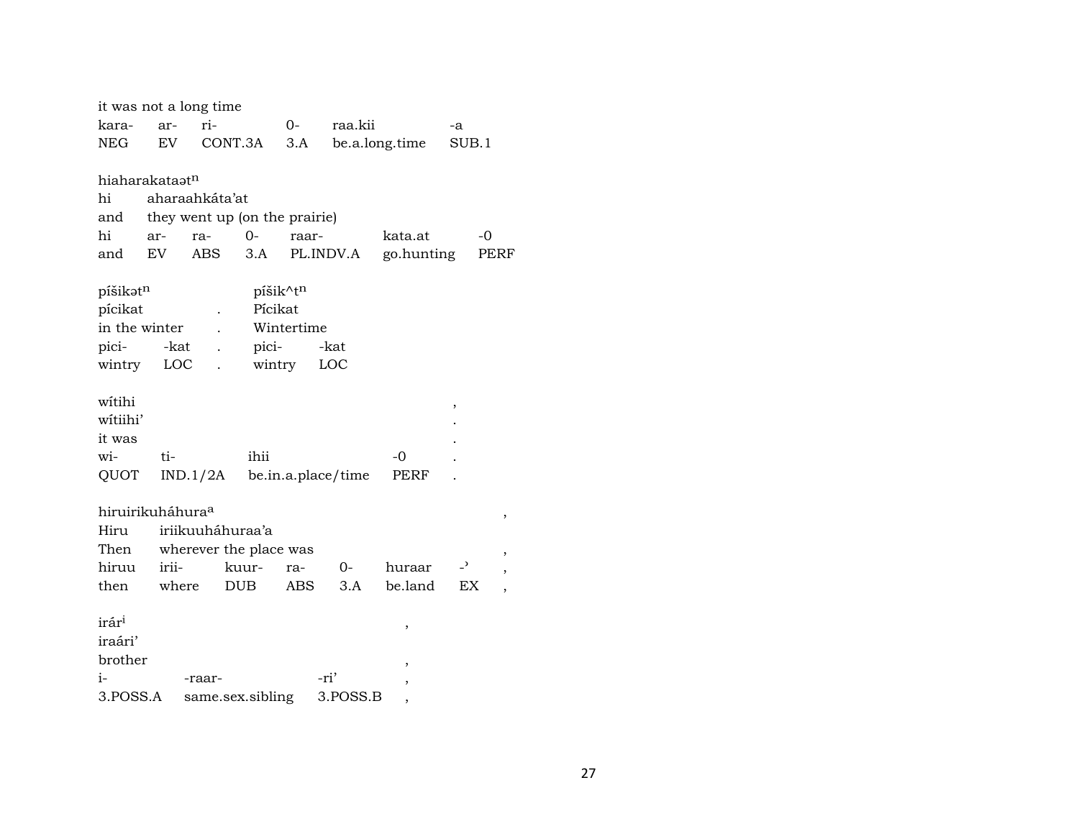|                              |           | it was not a long time        |            |            |                    |                |                          |      |
|------------------------------|-----------|-------------------------------|------------|------------|--------------------|----------------|--------------------------|------|
| kara-                        | ar-       | ri-                           |            | $0-$       | raa.kii            |                | -a                       |      |
| NEG                          | <b>EV</b> |                               | CONT.3A    | 3.A        |                    | be.a.long.time | SUB.1                    |      |
|                              |           |                               |            |            |                    |                |                          |      |
| hiaharakataət <sup>n</sup>   |           |                               |            |            |                    |                |                          |      |
| hi                           |           | aharaahkáta'at                |            |            |                    |                |                          |      |
| and                          |           | they went up (on the prairie) |            |            |                    |                |                          |      |
| hi                           | ar-       | ra-                           | $O -$      | raar-      |                    | kata.at        | $-0$                     |      |
| and                          | EV        | ABS                           | 3.A        |            | PL.INDV.A          | go.hunting     |                          | PERF |
|                              |           |                               |            | píšik^tn   |                    |                |                          |      |
| píšikatn<br>pícikat          |           |                               | Pícikat    |            |                    |                |                          |      |
| in the winter                |           |                               |            | Wintertime |                    |                |                          |      |
| pici-                        | -kat      |                               | pici-      |            | -kat               |                |                          |      |
| wintry                       |           | LOC                           |            | wintry     | LOC                |                |                          |      |
|                              |           |                               |            |            |                    |                |                          |      |
| witihi                       |           |                               |            |            |                    |                |                          |      |
| witiihi'                     |           |                               |            |            |                    |                | ,                        |      |
| it was                       |           |                               |            |            |                    |                |                          |      |
| wi-                          | ti-       |                               | ihii       |            |                    | $-0$           |                          |      |
| QUOT                         |           | IND.1/2A                      |            |            | be.in.a.place/time | PERF           |                          |      |
|                              |           |                               |            |            |                    |                |                          |      |
| hiruirikuháhura <sup>a</sup> |           |                               |            |            |                    |                |                          | ,    |
| Hiru                         |           | iriikuuháhuraa'a              |            |            |                    |                |                          |      |
| Then                         |           | wherever the place was        |            |            |                    |                |                          |      |
| hiruu                        | irii-     |                               | kuur-      | ra-        | $O-$               | huraar         | $\overline{\phantom{0}}$ |      |
| then                         | where     |                               | <b>DUB</b> | ABS        | 3.A                | be.land        | EX                       |      |
|                              |           |                               |            |            |                    |                |                          |      |
| irár <sup>i</sup>            |           |                               |            |            |                    | ,              |                          |      |
| iraári'                      |           |                               |            |            |                    |                |                          |      |
| brother                      |           |                               |            |            |                    |                |                          |      |
| i-                           |           | -raar-                        |            |            | -ri'               | ,              |                          |      |
| 3.POSS.A                     |           | same.sex.sibling              |            |            | 3.POSS.B           | ,              |                          |      |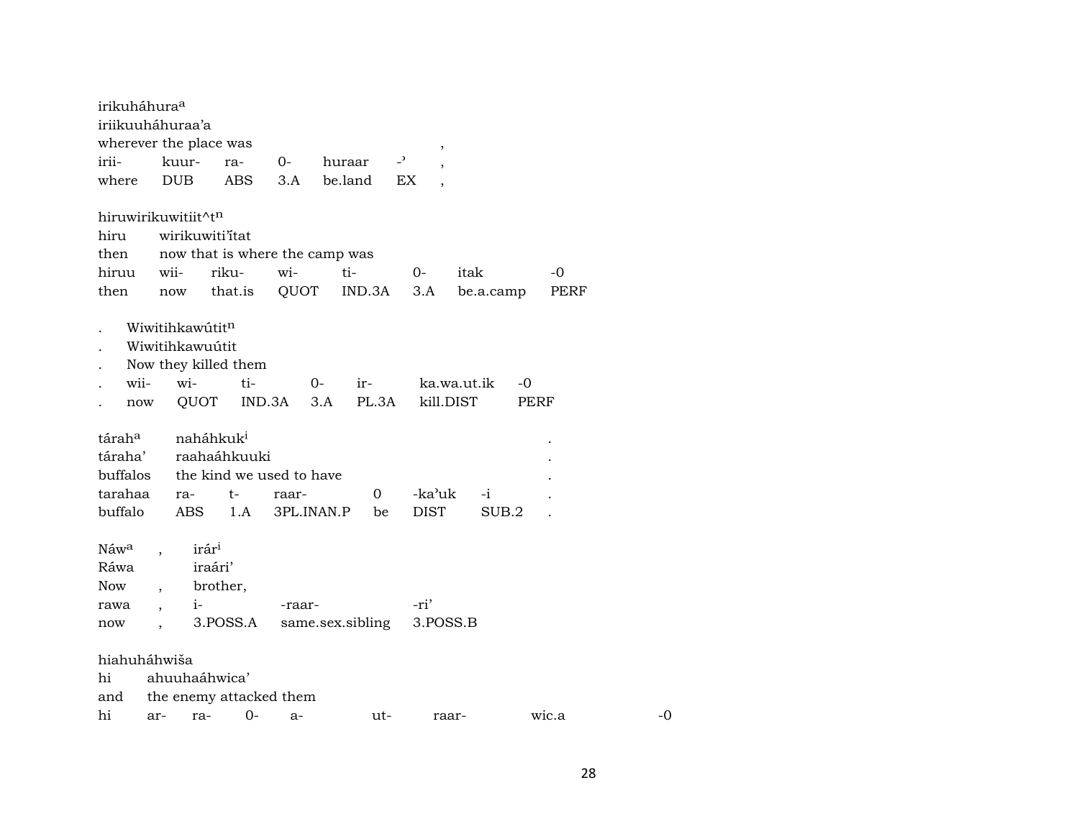| irikuháhura <sup>a</sup> |                      |                       |                      |                                |                  |                |             |       |           |       |      |    |
|--------------------------|----------------------|-----------------------|----------------------|--------------------------------|------------------|----------------|-------------|-------|-----------|-------|------|----|
| iriikuuháhuraa'a         |                      |                       |                      |                                |                  |                |             |       |           |       |      |    |
| wherever the place was   |                      |                       |                      |                                |                  |                | ,           |       |           |       |      |    |
| irii-                    |                      | kuur-                 | ra-                  | $O-$                           | huraar           | $\overline{a}$ |             |       |           |       |      |    |
| where                    |                      | <b>DUB</b>            | <b>ABS</b>           | 3.A                            | be.land          | EX             |             |       |           |       |      |    |
| hiruwirikuwitiit^tn      |                      |                       |                      |                                |                  |                |             |       |           |       |      |    |
| hiru                     |                      |                       | wirikuwiti'itat      |                                |                  |                |             |       |           |       |      |    |
| then                     |                      |                       |                      | now that is where the camp was |                  |                |             |       |           |       |      |    |
| hiruu                    | wii-                 |                       | riku-                | wi-                            | ti-              |                | $0-$        | itak  |           |       | -0   |    |
| then                     |                      | now                   | that.is              | QUOT                           |                  | IND.3A         | 3.A         |       | be.a.camp |       | PERF |    |
|                          |                      | Wiwitihkawútitn       |                      |                                |                  |                |             |       |           |       |      |    |
|                          |                      | Wiwitihkawuútit       |                      |                                |                  |                |             |       |           |       |      |    |
|                          |                      |                       | Now they killed them |                                |                  |                |             |       |           |       |      |    |
| wii-                     |                      | wi-                   | ti-                  |                                | $O-$<br>ir-      |                | ka.wa.ut.ik |       |           | -0    |      |    |
| now                      |                      | QUOT                  |                      | IND.3A                         | 3.A              | PL.3A          | kill.DIST   |       |           | PERF  |      |    |
| tárah <sup>a</sup>       |                      | naháhkuk <sup>i</sup> |                      |                                |                  |                |             |       |           |       |      |    |
| táraha'                  |                      |                       | raahaáhkuuki         |                                |                  |                |             |       |           |       |      |    |
| buffalos                 |                      |                       |                      | the kind we used to have       |                  |                |             |       |           |       |      |    |
| tarahaa                  |                      | ra-                   | t-                   | raar-                          |                  | 0              | -ka'uk      |       | $-i$      |       |      |    |
| buffalo                  |                      | <b>ABS</b>            | 1.A                  | 3PL.INAN.P                     |                  | be             | <b>DIST</b> |       | SUB.2     |       |      |    |
| Náwa                     |                      | irár <sup>i</sup>     |                      |                                |                  |                |             |       |           |       |      |    |
| Ráwa                     |                      | iraári'               |                      |                                |                  |                |             |       |           |       |      |    |
| Now                      |                      |                       | brother,             |                                |                  |                |             |       |           |       |      |    |
| rawa                     | $\ddot{\phantom{0}}$ | $i-$                  |                      | -raar-                         |                  |                | -ri'        |       |           |       |      |    |
| now                      |                      |                       | 3.POSS.A             |                                | same.sex.sibling |                | 3.POSS.B    |       |           |       |      |    |
| hiahuháhwiša             |                      |                       |                      |                                |                  |                |             |       |           |       |      |    |
| hi                       |                      | ahuuhaáhwica'         |                      |                                |                  |                |             |       |           |       |      |    |
| and                      |                      |                       |                      | the enemy attacked them        |                  |                |             |       |           |       |      |    |
| hi                       | ar-                  | ra-                   | $0-$                 | $a-$                           |                  | ut-            |             | raar- |           | wic.a |      | -0 |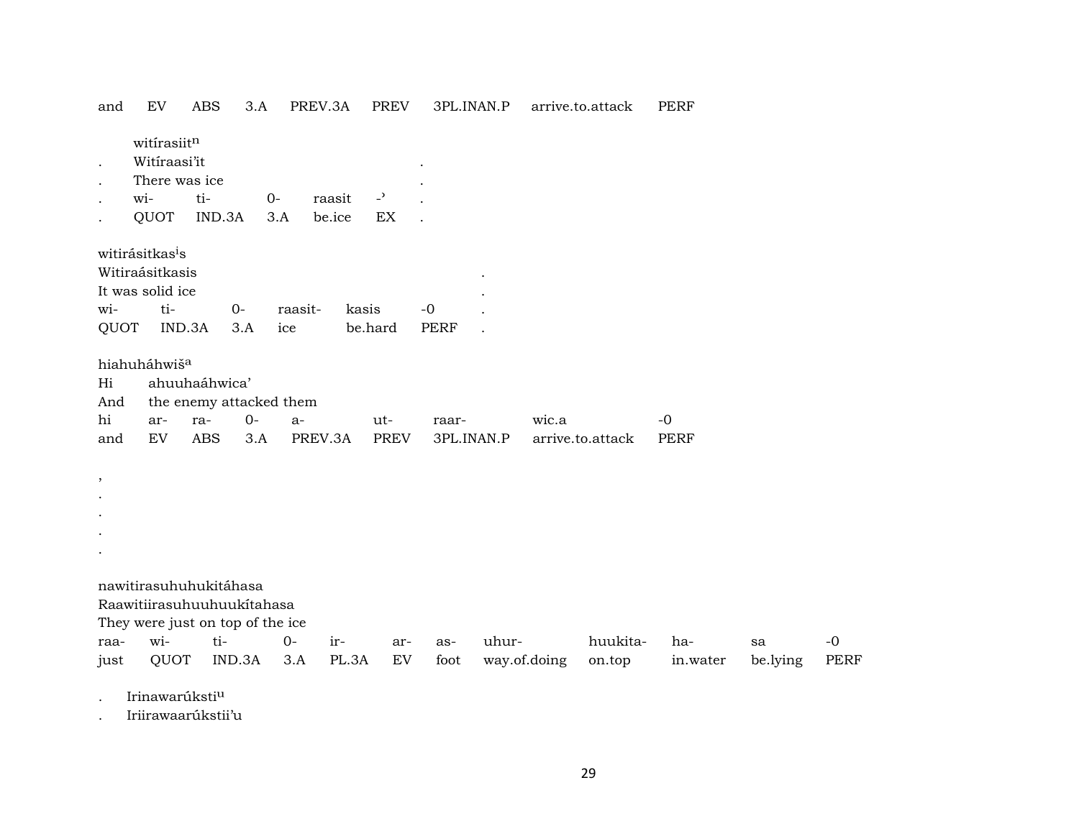| and  | EV                               | <b>ABS</b>    | 3.A    | PREV.3A                 |         | <b>PREV</b>                | 3PL.INAN.P  |       |              | arrive.to.attack | <b>PERF</b> |          |      |
|------|----------------------------------|---------------|--------|-------------------------|---------|----------------------------|-------------|-------|--------------|------------------|-------------|----------|------|
|      | witirasiitn                      |               |        |                         |         |                            |             |       |              |                  |             |          |      |
|      | Witiraasi'it                     |               |        |                         |         |                            |             |       |              |                  |             |          |      |
|      | There was ice                    |               |        |                         |         |                            |             |       |              |                  |             |          |      |
|      | wi-                              | ti-           |        | $O -$                   | raasit  | $\overline{\phantom{a}}$   |             |       |              |                  |             |          |      |
|      | QUOT                             | IND.3A        |        | 3.A                     | be.ice  | $\mathop{\rm EX}\nolimits$ |             |       |              |                  |             |          |      |
|      | witirásitkas <sup>i</sup> s      |               |        |                         |         |                            |             |       |              |                  |             |          |      |
|      | Witiraásitkasis                  |               |        |                         |         |                            |             |       |              |                  |             |          |      |
|      | It was solid ice                 |               |        |                         |         |                            |             |       |              |                  |             |          |      |
| wi-  | ti-                              |               | $0-$   | raasit-                 | kasis   |                            | $-0$        |       |              |                  |             |          |      |
| QUOT |                                  | IND.3A        | 3.A    | ice                     | be.hard |                            | <b>PERF</b> |       |              |                  |             |          |      |
|      | hiahuháhwiš <sup>a</sup>         |               |        |                         |         |                            |             |       |              |                  |             |          |      |
| Hi   |                                  | ahuuhaáhwica' |        |                         |         |                            |             |       |              |                  |             |          |      |
| And  |                                  |               |        | the enemy attacked them |         |                            |             |       |              |                  |             |          |      |
| hi   | ar-                              | ra-           | $0-$   | $a-$                    |         | ut-                        | raar-       |       | wic.a        |                  | $-0$        |          |      |
| and  | EV                               | <b>ABS</b>    | 3.A    | PREV.3A                 |         | <b>PREV</b>                | 3PL.INAN.P  |       |              | arrive.to.attack | <b>PERF</b> |          |      |
|      |                                  |               |        |                         |         |                            |             |       |              |                  |             |          |      |
| ,    |                                  |               |        |                         |         |                            |             |       |              |                  |             |          |      |
|      |                                  |               |        |                         |         |                            |             |       |              |                  |             |          |      |
|      |                                  |               |        |                         |         |                            |             |       |              |                  |             |          |      |
|      |                                  |               |        |                         |         |                            |             |       |              |                  |             |          |      |
|      |                                  |               |        |                         |         |                            |             |       |              |                  |             |          |      |
|      | nawitirasuhuhukitáhasa           |               |        |                         |         |                            |             |       |              |                  |             |          |      |
|      | Raawitiirasuhuuhuukítahasa       |               |        |                         |         |                            |             |       |              |                  |             |          |      |
|      | They were just on top of the ice |               |        |                         |         |                            |             |       |              |                  |             |          |      |
| raa- | wi-                              | ti-           |        | $0-$                    | ir-     | ar-                        | as-         | uhur- |              | huukita-         | ha-         | sa       | $-0$ |
| just | QUOT                             |               | IND.3A | 3.A                     | PL.3A   | EV                         | foot        |       | way.of.doing | on.top           | in.water    | be.lying | PERF |
|      |                                  |               |        |                         |         |                            |             |       |              |                  |             |          |      |

Irinawarúksti<sup>u</sup>  $\ddot{\phantom{a}}$ 

Iriirawaarúkstii'u  $\cdot$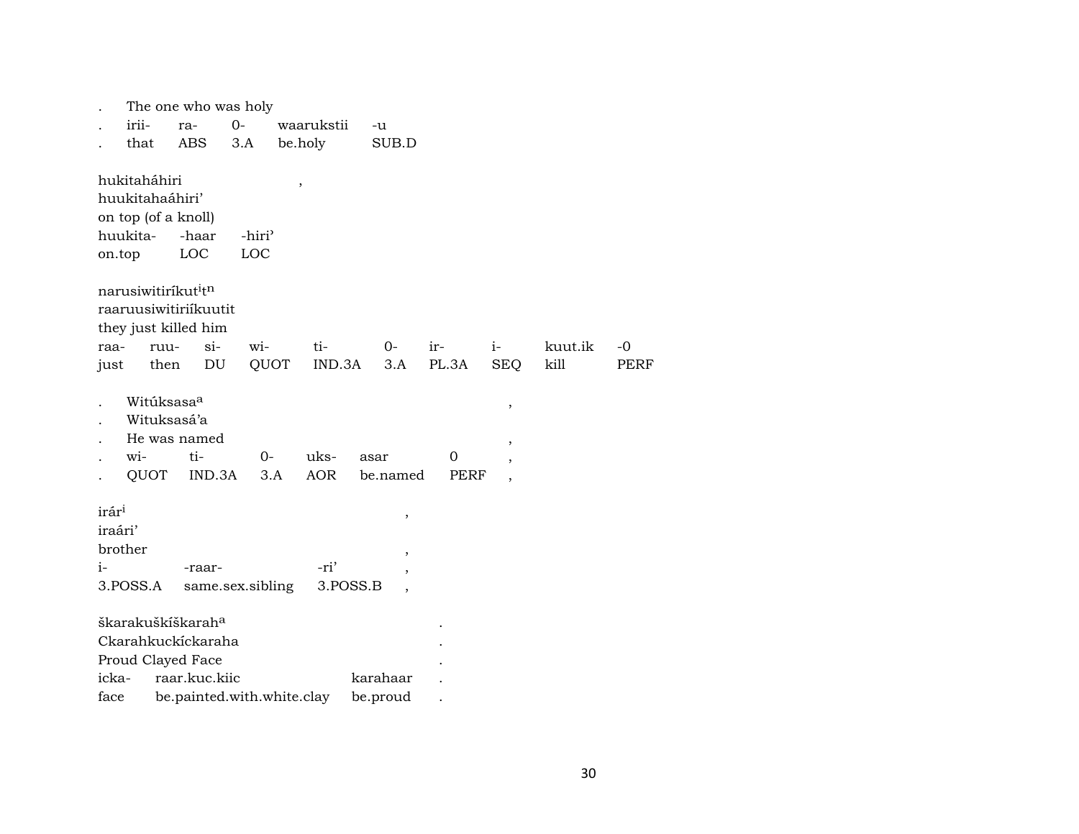|      |                                             |             | The one who was holy       |                           |         |            |          |                          |       |             |                          |         |             |
|------|---------------------------------------------|-------------|----------------------------|---------------------------|---------|------------|----------|--------------------------|-------|-------------|--------------------------|---------|-------------|
|      | irii-                                       | ra-         |                            | $0-$                      |         | waarukstii | -u       |                          |       |             |                          |         |             |
|      | that                                        |             | ABS                        | 3.A                       | be.holy |            |          | SUB.D                    |       |             |                          |         |             |
|      |                                             |             |                            |                           |         |            |          |                          |       |             |                          |         |             |
|      | hukitaháhiri                                |             |                            |                           | $\, ,$  |            |          |                          |       |             |                          |         |             |
|      | huukitahaáhiri'                             |             |                            |                           |         |            |          |                          |       |             |                          |         |             |
|      | on top (of a knoll)<br>huukita-             |             | -haar                      |                           |         |            |          |                          |       |             |                          |         |             |
|      |                                             |             | LOC                        | -hiri <sup>3</sup><br>LOC |         |            |          |                          |       |             |                          |         |             |
|      | on.top                                      |             |                            |                           |         |            |          |                          |       |             |                          |         |             |
|      | narusiwitiríkut <sup>i</sup> t <sup>n</sup> |             |                            |                           |         |            |          |                          |       |             |                          |         |             |
|      |                                             |             | raaruusiwitiriíkuutit      |                           |         |            |          |                          |       |             |                          |         |             |
|      | they just killed him                        |             |                            |                           |         |            |          |                          |       |             |                          |         |             |
|      | raa-                                        | ruu-        | $\sin$                     | wi-                       |         | ti-        |          | $0-$                     | ir-   | $i-$        |                          | kuut.ik | $-0$        |
|      | just                                        | then        | $\mathop{\rm DU}\nolimits$ | QUOT                      |         | IND.3A     |          | 3.A                      | PL.3A |             | <b>SEQ</b>               | kill    | <b>PERF</b> |
|      |                                             |             |                            |                           |         |            |          |                          |       |             |                          |         |             |
|      |                                             | Witúksasaa  |                            |                           |         |            |          |                          |       |             | $\,$                     |         |             |
|      |                                             | Wituksasá'a |                            |                           |         |            |          |                          |       |             |                          |         |             |
|      |                                             |             | He was named               |                           |         |            |          |                          |       |             | $\overline{\phantom{a}}$ |         |             |
|      | wi-                                         |             | ti-                        | $0-$                      |         | uks-       | asar     |                          | 0     |             |                          |         |             |
|      | QUOT                                        |             | IND.3A                     | 3.A                       |         | <b>AOR</b> |          | be.named                 |       | <b>PERF</b> |                          |         |             |
|      | irár <sup>i</sup>                           |             |                            |                           |         |            |          |                          |       |             |                          |         |             |
|      | iraári'                                     |             |                            |                           |         |            |          | $\, ,$                   |       |             |                          |         |             |
|      | brother                                     |             |                            |                           |         |            |          |                          |       |             |                          |         |             |
| $i-$ |                                             |             | -raar-                     |                           |         | -ri'       |          | $\overline{\phantom{a}}$ |       |             |                          |         |             |
|      | 3.POSS.A                                    |             | same.sex.sibling           |                           |         | 3.POSS.B   |          |                          |       |             |                          |         |             |
|      |                                             |             |                            |                           |         |            |          |                          |       |             |                          |         |             |
|      | škarakuškíškarah <sup>a</sup>               |             |                            |                           |         |            |          |                          |       |             |                          |         |             |
|      |                                             |             | Ckarahkuckíckaraha         |                           |         |            |          |                          |       |             |                          |         |             |
|      | Proud Clayed Face                           |             |                            |                           |         |            |          |                          |       |             |                          |         |             |
|      | icka-                                       |             | raar.kuc.kiic              |                           |         |            | karahaar |                          |       |             |                          |         |             |
|      | face                                        |             | be.painted.with.white.clay |                           |         |            | be.proud |                          |       |             |                          |         |             |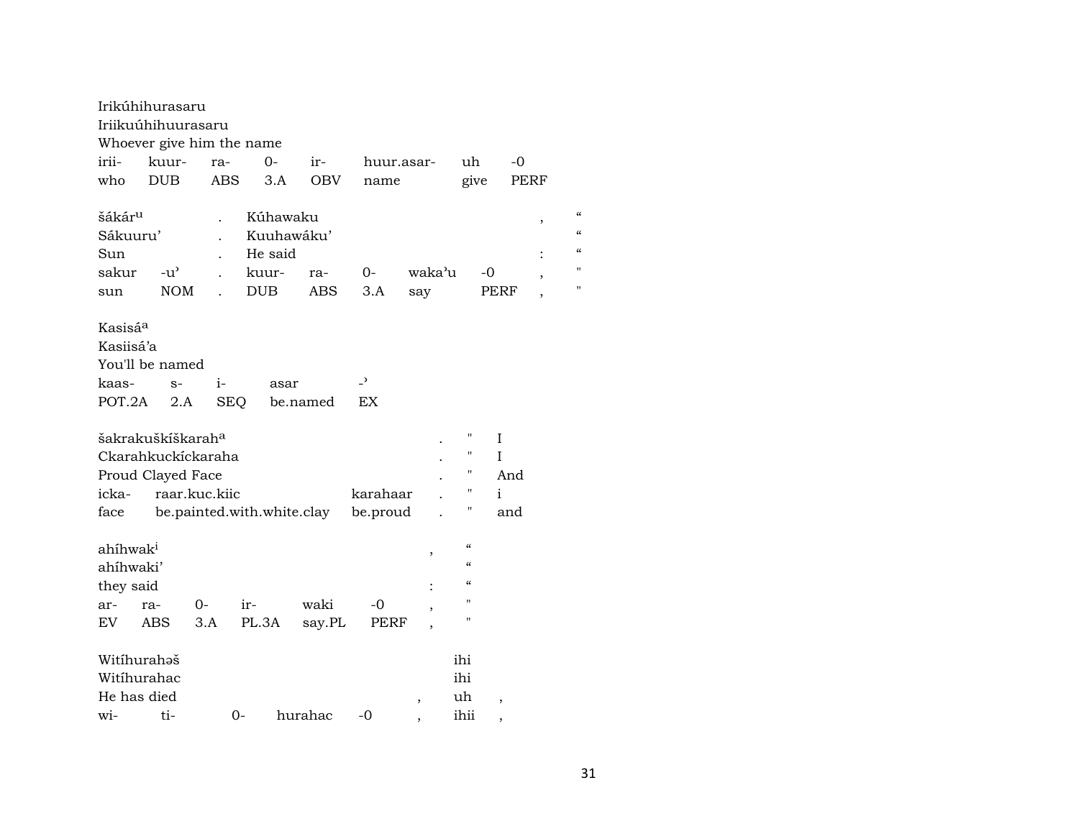|                                                | Irikúhihurasaru<br>Iriikuúhihuurasaru<br>Whoever give him the name       |               |                            |            |                |                          |                                                    |                              |                          |
|------------------------------------------------|--------------------------------------------------------------------------|---------------|----------------------------|------------|----------------|--------------------------|----------------------------------------------------|------------------------------|--------------------------|
| irii-                                          | kuur-                                                                    | ra-           | $0-$                       | ir-        | huur.asar-     |                          | uh                                                 | -0                           |                          |
| who                                            | <b>DUB</b>                                                               | <b>ABS</b>    | 3.A                        | <b>OBV</b> | name           |                          | give                                               | PERF                         |                          |
| šákár <sup>u</sup>                             |                                                                          |               | Kúhawaku                   |            |                |                          |                                                    |                              | $\epsilon$<br>$\, ,$     |
| Sákuuru'                                       |                                                                          |               | Kuuhawáku'                 |            |                |                          |                                                    |                              | $\epsilon$               |
| Sun                                            |                                                                          |               | He said                    |            |                |                          |                                                    |                              | $\pmb{\zeta}\pmb{\zeta}$ |
| sakur                                          | $-u^{\prime}$                                                            |               | kuur-                      | ra-        | $O -$          | waka'u                   |                                                    | -0                           | Ħ<br>$\,$                |
| sun                                            | <b>NOM</b>                                                               |               | <b>DUB</b>                 | ABS        | 3.A            | say                      |                                                    | PERF                         | $\blacksquare$           |
| Kasisá <sup>a</sup><br>Kasiisá'a               | You'll be named                                                          |               |                            |            |                |                          |                                                    |                              |                          |
| kaas-                                          | $S-$                                                                     | $1-$          | asar                       |            | $\overline{a}$ |                          |                                                    |                              |                          |
| POT.2A                                         | 2.A                                                                      | <b>SEQ</b>    |                            | be.named   | EX             |                          |                                                    |                              |                          |
| icka-                                          | šakrakuškíškarah <sup>a</sup><br>Ckarahkuckíckaraha<br>Proud Clayed Face | raar.kuc.kiic |                            |            | karahaar       |                          | $\pmb{\mathsf{H}}$<br>$\pmb{\mathsf{H}}$<br>П<br>П | $\mathbf I$<br>T<br>And<br>i |                          |
| face                                           |                                                                          |               | be.painted.with.white.clay |            | be.proud       |                          | Η                                                  | and                          |                          |
| ahíhwak <sup>i</sup><br>ahíhwaki'<br>they said |                                                                          |               |                            |            |                | ,                        | $\epsilon\epsilon$<br>$\epsilon$<br>$\epsilon$     |                              |                          |
| ar-                                            | ra-                                                                      | 0-            | ir-                        | waki       | -0             |                          | п                                                  |                              |                          |
| EV.                                            | ABS                                                                      | 3.A           | PL.3A                      | say.PL     | <b>PERF</b>    |                          | п                                                  |                              |                          |
| Witihurahəš<br>Witihurahac<br>He has died      |                                                                          |               |                            |            |                | $\overline{\phantom{a}}$ | ihi<br>ihi<br>uh                                   | $\overline{ }$               |                          |
| wi-                                            | ti-                                                                      | 0-            |                            | hurahac    | $-0$           |                          | ihii                                               |                              |                          |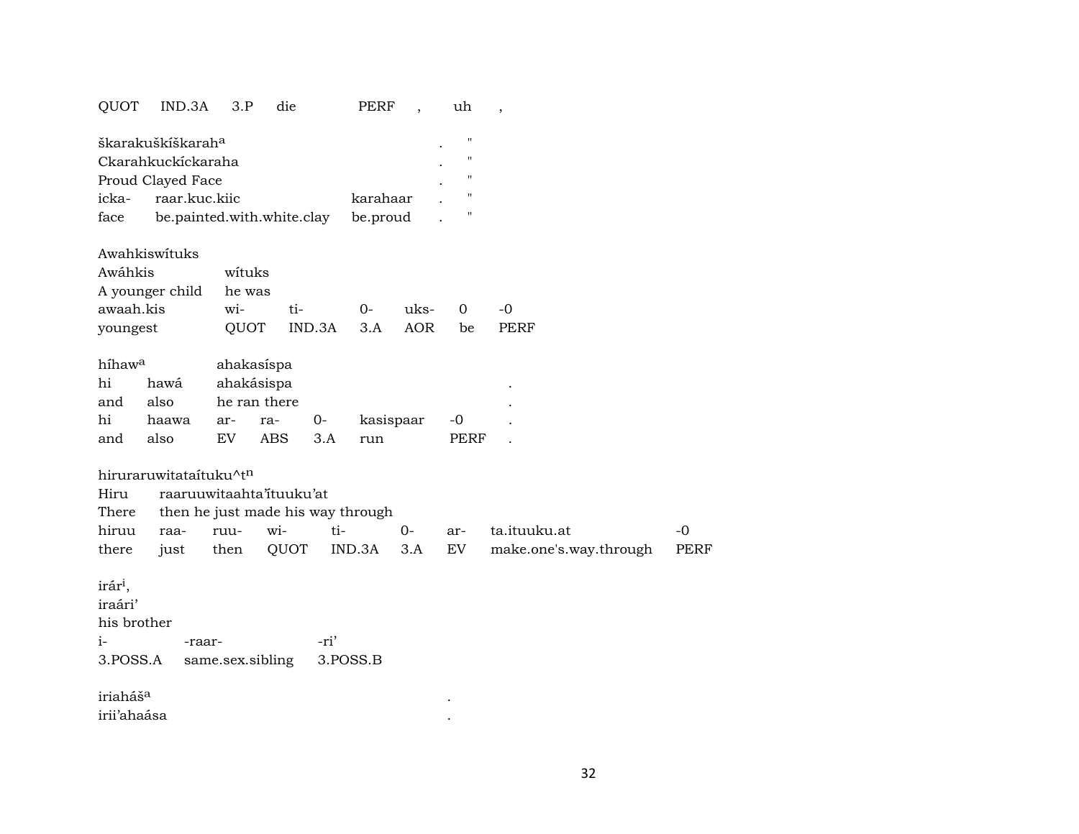#### PERF, uh, QUOT IND.3A 3.P die

|                    | škarakuškiškarah <sup>a</sup> |          |  | " |  |  |  |  |  |
|--------------------|-------------------------------|----------|--|---|--|--|--|--|--|
| Ckarahkuckíckaraha |                               |          |  |   |  |  |  |  |  |
| Proud Clayed Face  |                               |          |  |   |  |  |  |  |  |
|                    | icka- raar.kuc.kiic           | karahaar |  |   |  |  |  |  |  |
| face               | be.painted.with.white.clay    | be.proud |  |   |  |  |  |  |  |

| Awahkiswituks          |        |                           |           |    |      |
|------------------------|--------|---------------------------|-----------|----|------|
| Awáhkis                | wituks |                           |           |    |      |
| A younger child he was |        |                           |           |    |      |
| awaah.kis              | $w$ i- | $t_{1}$<br>$\overline{O}$ | $u$ ks- 0 |    | $-0$ |
| youngest               |        | OUOT IND.3A 3.A AOR       |           | be | PERF |

| híhaw <sup>a</sup> |       | ahakasispa |              |      |           |      |   |  |  |  |
|--------------------|-------|------------|--------------|------|-----------|------|---|--|--|--|
| hi                 | hawá  | ahakásispa |              |      |           |      |   |  |  |  |
| and                | also  |            | he ran there |      |           |      | ٠ |  |  |  |
| hi                 | haawa | ar-        | ra-          | $O-$ | kasispaar | -0   |   |  |  |  |
| and                | also  | EV         | ABS          | 3.A  | run       | PERF |   |  |  |  |

hiruraruwitataítuku^tn

|  | There then he just made his way through |  |  |  |  |                                                                |          |  |  |  |
|--|-----------------------------------------|--|--|--|--|----------------------------------------------------------------|----------|--|--|--|
|  |                                         |  |  |  |  | hiruu raa- ruu- wi- ti-  0- ar- ta.ituuku.at                   | $\Gamma$ |  |  |  |
|  |                                         |  |  |  |  | there just then QUOT IND.3A 3.A EV make.one's.way.through PERF |          |  |  |  |

 $\sim$   $\sim$ 

irár<sup>i</sup>, iraári' his brother  $i$ --ri' -raar-3.POSS.A same.sex.sibling 3.POSS.B iriaháš<sup>a</sup>  $\mathcal{L}(\mathbf{r},\mathbf{r})$  . The  $\mathcal{L}(\mathbf{r},\mathbf{r})$ 

irii'ahaása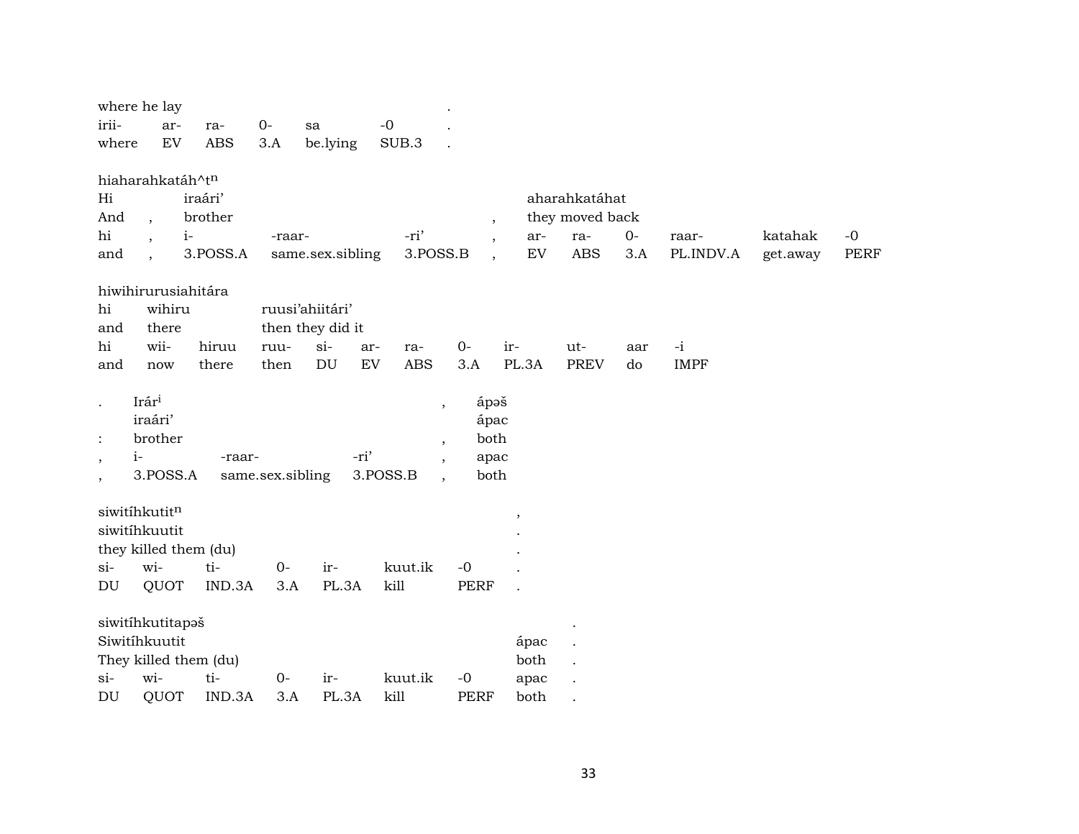| where he lay                      |                   |                  |                          |                          |              |                 |      |               |          |             |
|-----------------------------------|-------------------|------------------|--------------------------|--------------------------|--------------|-----------------|------|---------------|----------|-------------|
| irii-<br>ar-                      | $0-$<br>ra-       | sa               | $-0$                     |                          |              |                 |      |               |          |             |
| ${\rm EV}$<br>where               | <b>ABS</b><br>3.A | be.lying         | SUB.3                    |                          |              |                 |      |               |          |             |
| hiaharahkatáh^tn                  |                   |                  |                          |                          |              |                 |      |               |          |             |
| Hi<br>iraári'                     |                   |                  |                          |                          |              | aharahkatáhat   |      |               |          |             |
| And<br>$\cdot$                    | brother           |                  |                          | $\overline{\phantom{a}}$ |              | they moved back |      |               |          |             |
| hi<br>$i-$                        |                   | -raar-           | -ri'                     |                          | ar-          | ra-             | $0-$ | raar-         | katahak  | $-0$        |
| and                               | 3.POSS.A          | same.sex.sibling | 3.POSS.B                 | $\ddot{\phantom{1}}$     | ${\rm EV}$   | <b>ABS</b>      | 3.A  | PL.INDV.A     | get.away | <b>PERF</b> |
| hiwihirurusiahitára               |                   |                  |                          |                          |              |                 |      |               |          |             |
| hi<br>wihiru                      |                   | ruusi'ahiitári'  |                          |                          |              |                 |      |               |          |             |
| and<br>there                      |                   | then they did it |                          |                          |              |                 |      |               |          |             |
| hi<br>wii-                        | hiruu<br>ruu-     | $si-$            | ar-<br>ra-               | $0-$                     | ir-          | ut-             | aar  | $\mathbf{-i}$ |          |             |
| and<br>now                        | there             | DU<br>then       | EV<br><b>ABS</b>         | 3.A                      | PL.3A        | <b>PREV</b>     | do   | <b>IMPF</b>   |          |             |
| Irári                             |                   |                  | $\overline{\phantom{a}}$ | ápəš                     |              |                 |      |               |          |             |
| iraári'                           |                   |                  |                          | ápac                     |              |                 |      |               |          |             |
| brother                           |                   |                  | $\,$                     | both                     |              |                 |      |               |          |             |
| $i-$                              | -raar-            | -ri'             | $\overline{ }$ ,         | apac                     |              |                 |      |               |          |             |
| 3.POSS.A                          | same.sex.sibling  |                  | 3.POSS.B                 | both                     |              |                 |      |               |          |             |
| siwitíhkutitn                     |                   |                  |                          |                          |              |                 |      |               |          |             |
| siwitíhkuutit                     |                   |                  |                          |                          | $\, ,$       |                 |      |               |          |             |
| they killed them (du)             |                   |                  |                          |                          |              |                 |      |               |          |             |
| wi-<br>$si-$                      | ti-               | $0-$<br>ir-      | kuut.ik                  | $-0$                     |              |                 |      |               |          |             |
| QUOT<br>DU                        | IND.3A            | 3.A<br>PL.3A     | kill                     | <b>PERF</b>              |              |                 |      |               |          |             |
|                                   |                   |                  |                          |                          |              |                 |      |               |          |             |
| siwitihkutitapaš<br>Siwitíhkuutit |                   |                  |                          |                          |              |                 |      |               |          |             |
| They killed them (du)             |                   |                  |                          |                          | ápac<br>both |                 |      |               |          |             |
| wi-<br>$si-$                      | ti-               | $0-$<br>ir-      | kuut.ik                  | $-0$                     | apac         |                 |      |               |          |             |
| DU<br>QUOT                        | IND.3A            | 3.A<br>PL.3A     | kill                     | <b>PERF</b>              | both         |                 |      |               |          |             |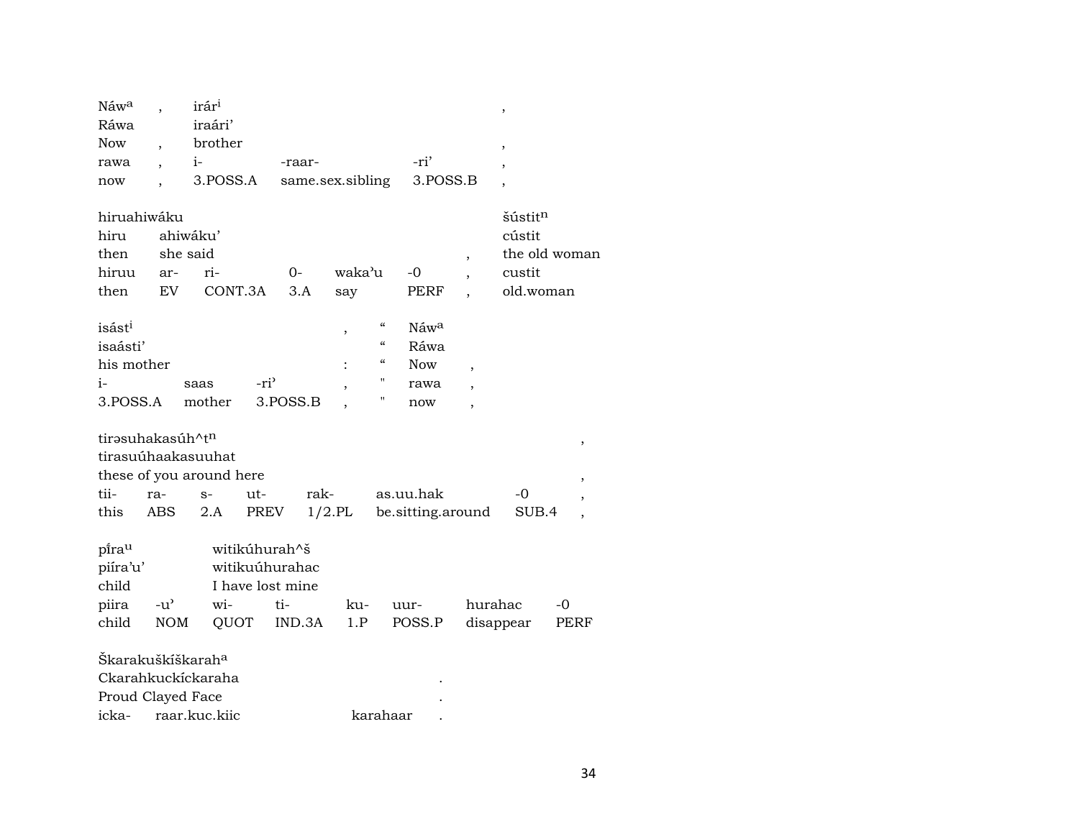| Náwa                                         |                              | irár <sup>i</sup>                                      |                  |                                                                      |               |            |                   |                          | $\,$                                                 |               |
|----------------------------------------------|------------------------------|--------------------------------------------------------|------------------|----------------------------------------------------------------------|---------------|------------|-------------------|--------------------------|------------------------------------------------------|---------------|
| Ráwa                                         |                              | iraári'                                                |                  |                                                                      |               |            |                   |                          |                                                      |               |
| <b>Now</b>                                   |                              | brother                                                |                  |                                                                      |               |            |                   |                          | $\overline{\phantom{a}}$                             |               |
| rawa                                         |                              | $i-$                                                   |                  | -raar-                                                               |               |            | -ri'              |                          | ,                                                    |               |
| now                                          |                              | 3.POSS.A                                               |                  | same.sex.sibling                                                     |               |            | 3.POSS.B          |                          | $\overline{\phantom{a}}$                             |               |
| hiruahiwáku<br>hiru<br>then<br>hiruu<br>then | she said<br>ar-<br><b>EV</b> | ahiwáku'<br>ri-<br>CONT.3A                             |                  | 0-<br>3.A                                                            | waka'u<br>say |            | -0<br>PERF        | $\overline{\phantom{a}}$ | šústit <sup>n</sup><br>cústit<br>custit<br>old.woman | the old woman |
| isást <sup>i</sup>                           |                              |                                                        |                  |                                                                      | ,             | "          | Náwa              |                          |                                                      |               |
| isaásti'                                     |                              |                                                        |                  |                                                                      |               | $\epsilon$ | Ráwa              |                          |                                                      |               |
| his mother                                   |                              |                                                        |                  |                                                                      |               | "          | <b>Now</b>        | $\overline{\phantom{a}}$ |                                                      |               |
| $i-$                                         |                              | saas                                                   | -ri <sup>3</sup> |                                                                      |               | Н          | rawa              |                          |                                                      |               |
| 3.POSS.A                                     |                              | mother                                                 |                  | 3.POSS.B                                                             |               | П          | now               | $\overline{\phantom{a}}$ |                                                      |               |
| tirasuhakasúh^tn<br>tii-                     | ra-                          | tirasuúhaakasuuhat<br>these of you around here<br>$S-$ | ut-              | rak-                                                                 |               |            | as.uu.hak         |                          | -0                                                   | ,<br>,        |
| this                                         | ABS                          | 2.A                                                    | PREV             |                                                                      | $1/2$ .PL     |            | be.sitting.around |                          | SUB.4                                                |               |
| pirau<br>piíra'u'<br>child<br>piira<br>child | $-u^{\prime}$<br><b>NOM</b>  | wi-<br>QUOT                                            |                  | witikúhurah^š<br>witikuúhurahac<br>I have lost mine<br>ti-<br>IND.3A | ku-<br>1.P    |            | uur-<br>POSS.P    | hurahac                  | disappear                                            | -0<br>PERF    |
| Škarakuškíškarah <sup>a</sup>                |                              |                                                        |                  |                                                                      |               |            |                   |                          |                                                      |               |
|                                              |                              | Ckarahkuckíckaraha                                     |                  |                                                                      |               |            |                   |                          |                                                      |               |
| Proud Clayed Face                            |                              |                                                        |                  |                                                                      |               |            |                   |                          |                                                      |               |
| icka-                                        |                              | raar.kuc.kiic                                          |                  |                                                                      |               | karahaar   |                   |                          |                                                      |               |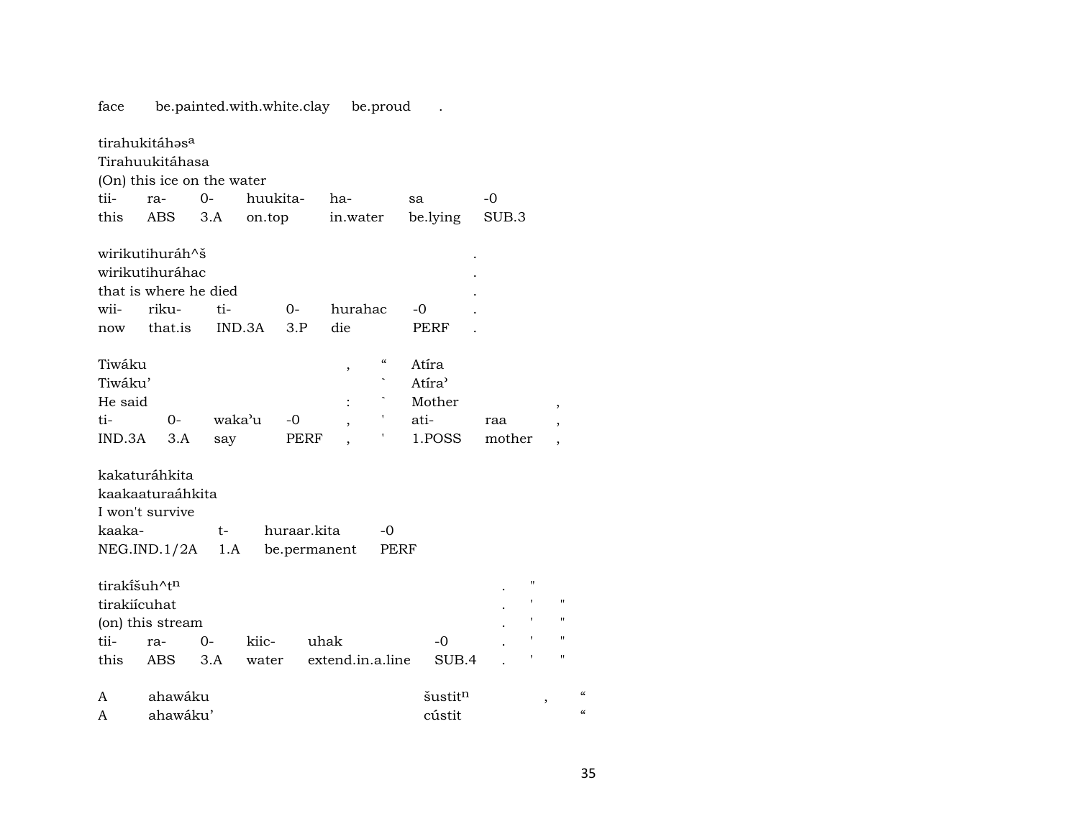face be.painted.with.white.clay be.proud . tirahukitáhəs<sup>a</sup> Tirahuukitáhasa (On) this ice on the water tii- ra- 0- huukita- ha- sa -0 this ABS 3.A on.top in.water be.lying SUB.3 wirikutihuráh^š . wirikutihuráhac . that is where he died . wii- riku- ti- 0- hurahac -0 now that.is IND.3A 3.P die . PERF Tiwáku , " Atíra Tiwáku' herecegén király a határa a határa a határa a határa a határa a határa a határa a határa a határa a határa a határa a határa a határa a határa a határa a határa a határa a határa a határa a határa a határa a határa He said  $\qquad \qquad : \qquad \hat{M}$  Mother , ti- 0- waka"u -0 , ' ati- raa , IND.3A 3.A say PERF , ' 1.POSS mother , kakaturáhkita kaakaaturaáhkita I won't survive kaaka- t- huraar.kita -0 NEG.IND.1/2A 1.A be.permanent PERF tiraki̇̃šuh^t $^{\rm n}$ tirakiícuhat  $\blacksquare$ (on) this stream  $\blacksquare$ tii- ra- 0- kiic- uhak -0 . ' " this ABS 3.A water extend.in.a.line SUB.4 . ' " A ahawáku šustit<sup>n</sup>, "

A ahawáku' cústit "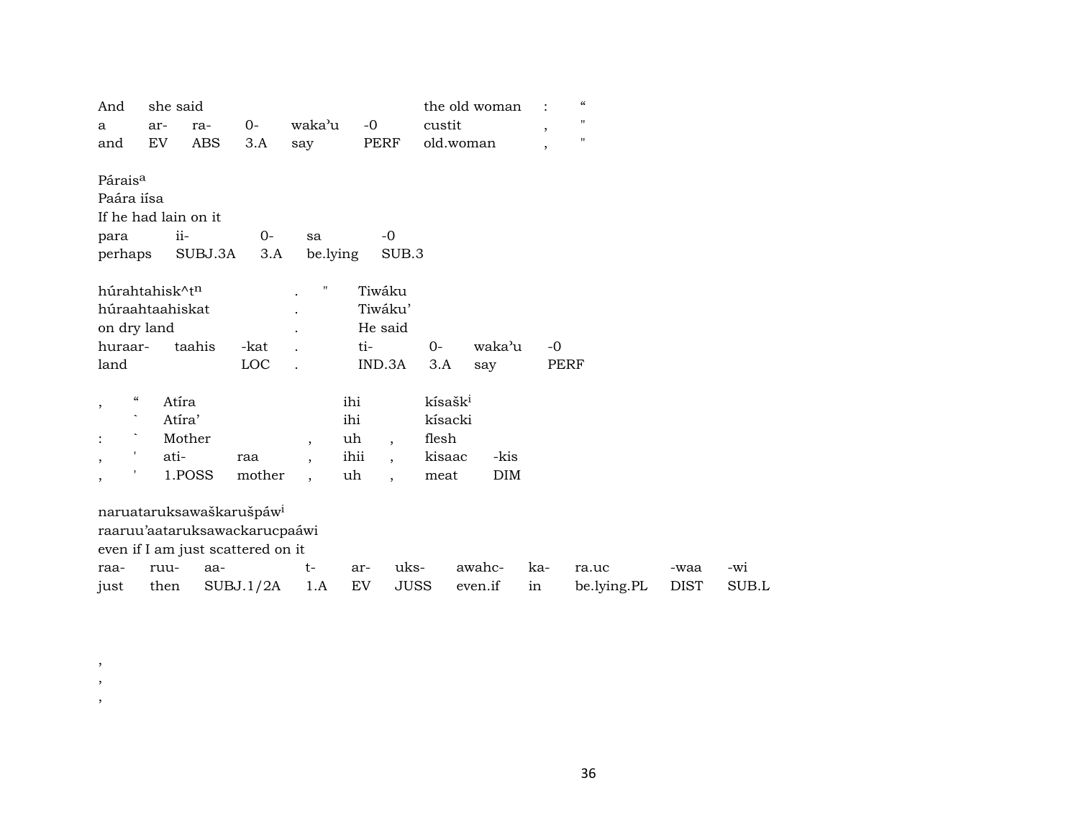| And                                            | she said |                                      |           |                          |      |                          |                     | the old woman |            |         | $\mathcal{C}\mathcal{C}$ |             |       |
|------------------------------------------------|----------|--------------------------------------|-----------|--------------------------|------|--------------------------|---------------------|---------------|------------|---------|--------------------------|-------------|-------|
| a                                              | ar-      | ra-                                  | $0-$      | waka'u                   | $-0$ |                          | custit              |               |            | $\cdot$ | $\mathbf H$              |             |       |
| and                                            | EV       | <b>ABS</b>                           | 3.A       | say                      |      | PERF                     | old.woman           |               |            | $\cdot$ | $\blacksquare$           |             |       |
| Párais <sup>a</sup>                            |          |                                      |           |                          |      |                          |                     |               |            |         |                          |             |       |
| Paára iísa                                     |          |                                      |           |                          |      |                          |                     |               |            |         |                          |             |       |
|                                                |          | If he had lain on it                 |           |                          |      |                          |                     |               |            |         |                          |             |       |
| para                                           |          | ii-                                  | $0-$      | sa                       |      | $-0$                     |                     |               |            |         |                          |             |       |
| perhaps                                        |          | SUBJ.3A                              | 3.A       | be.lying                 |      | SUB.3                    |                     |               |            |         |                          |             |       |
| húrahtahisk^tn                                 |          |                                      |           | 11                       |      | Tiwáku                   |                     |               |            |         |                          |             |       |
| húraahtaahiskat                                |          |                                      |           |                          |      | Tiwáku'                  |                     |               |            |         |                          |             |       |
| on dry land                                    |          |                                      |           |                          |      | He said                  |                     |               |            |         |                          |             |       |
| huraar-                                        |          | taahis                               | -kat      |                          | ti-  |                          | $0-$                | waka'u        |            | $-0$    |                          |             |       |
| land                                           |          |                                      | LOC       |                          |      | IND.3A                   | 3.A                 | say           |            | PERF    |                          |             |       |
| $\epsilon\epsilon$<br>$\overline{\phantom{a}}$ |          | Atíra                                |           |                          | ihi  |                          | kísašk <sup>i</sup> |               |            |         |                          |             |       |
|                                                |          | Atíra'                               |           |                          | ihi  |                          | kísacki             |               |            |         |                          |             |       |
|                                                |          | Mother                               |           | $\overline{ }$           | uh   | $\overline{\phantom{a}}$ | flesh               |               |            |         |                          |             |       |
| 1<br>$\overline{\phantom{a}}$                  | ati-     |                                      | raa       | $\overline{\phantom{a}}$ | ihii | $\ddot{\phantom{0}}$     | kisaac              |               | -kis       |         |                          |             |       |
| ٠<br>$\overline{\phantom{a}}$                  |          | 1.POSS                               | mother    | $\overline{\phantom{a}}$ | uh   | $\overline{\phantom{a}}$ | meat                |               | <b>DIM</b> |         |                          |             |       |
|                                                |          | naruataruksawaškarušpáw <sup>i</sup> |           |                          |      |                          |                     |               |            |         |                          |             |       |
|                                                |          | raaruu'aataruksawackarucpaáwi        |           |                          |      |                          |                     |               |            |         |                          |             |       |
|                                                |          | even if I am just scattered on it    |           |                          |      |                          |                     |               |            |         |                          |             |       |
| raa-                                           | ruu-     | aa-                                  |           | $t-$                     | ar-  | uks-                     |                     | awahc-        |            | ka-     | ra.uc                    | -waa        | -wi   |
| just                                           | then     |                                      | SUBJ.1/2A | 1.A                      | EV   | JUSS                     |                     | even.if       |            | in      | be.lying.PL              | <b>DIST</b> | SUB.L |

, , ,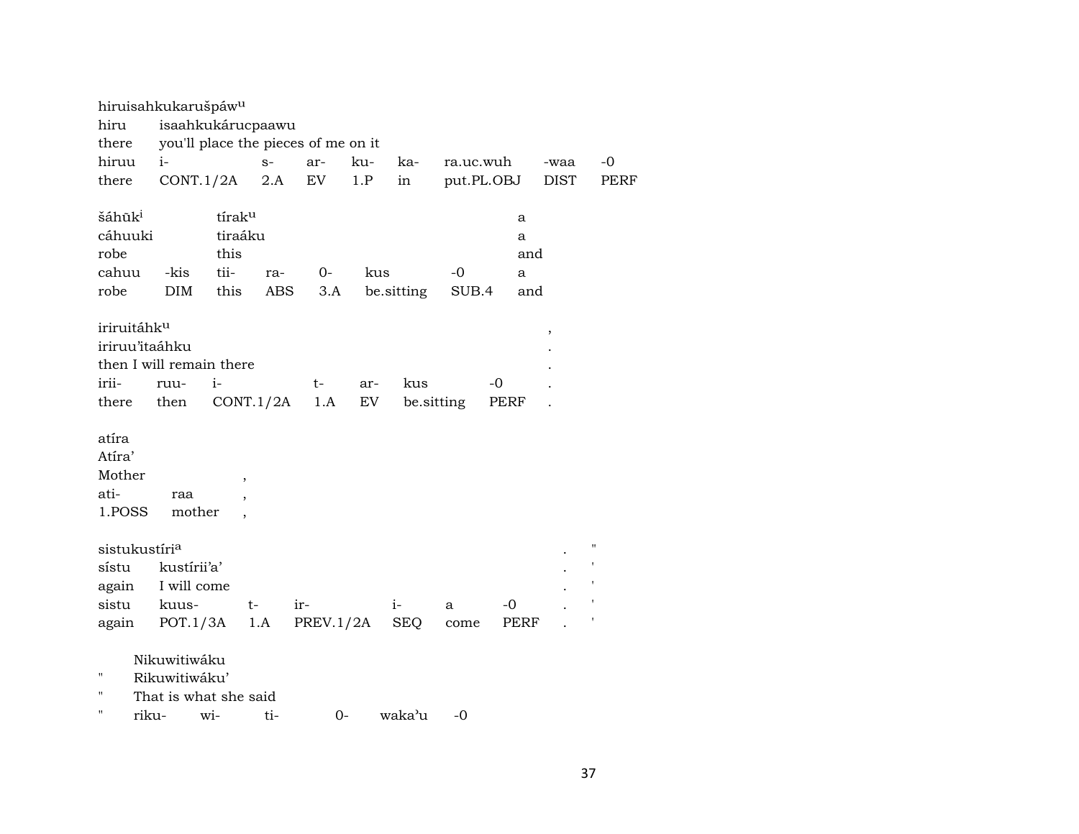|                           | hiruisahkukarušpáw <sup>u</sup>     |                          |       |           |     |            |            |            |             |                    |
|---------------------------|-------------------------------------|--------------------------|-------|-----------|-----|------------|------------|------------|-------------|--------------------|
| hiru                      | isaahkukárucpaawu                   |                          |       |           |     |            |            |            |             |                    |
| there                     | you'll place the pieces of me on it |                          |       |           |     |            |            |            |             |                    |
| hiruu                     | $i-$                                |                          | $S-$  | ar-       | ku- | ka-        | ra.uc.wuh  |            | -waa        | $-0$               |
| there                     | CONT.1/2A                           |                          | $2.A$ | EV        | 1.P | in         |            | put.PL.OBJ | <b>DIST</b> | <b>PERF</b>        |
| šáhūk <sup>i</sup>        |                                     | tíraku                   |       |           |     |            |            | a          |             |                    |
| cáhuuki                   |                                     | tiraáku                  |       |           |     |            |            | a          |             |                    |
| robe                      |                                     | this                     |       |           |     |            |            | and        |             |                    |
| cahuu                     | -kis                                | tii-                     | ra-   | $0-$      | kus |            | $-0$       | a          |             |                    |
| robe                      | <b>DIM</b>                          | this                     | ABS   | 3.A       |     | be.sitting | SUB.4      | and        |             |                    |
|                           |                                     |                          |       |           |     |            |            |            |             |                    |
| iriruitáhku               |                                     |                          |       |           |     |            |            |            | ,           |                    |
| iriruu'itaáhku            |                                     |                          |       |           |     |            |            |            |             |                    |
|                           | then I will remain there            |                          |       |           |     |            |            |            |             |                    |
| irii-                     | ruu-                                | $i-$                     |       | t-        | ar- | kus        |            | -0         |             |                    |
| there                     | then                                | CONT.1/2A                |       | 1.A       | EV  |            | be sitting | PERF       |             |                    |
|                           |                                     |                          |       |           |     |            |            |            |             |                    |
| atíra                     |                                     |                          |       |           |     |            |            |            |             |                    |
| Atíra'                    |                                     |                          |       |           |     |            |            |            |             |                    |
| Mother                    |                                     | $\overline{ }$           |       |           |     |            |            |            |             |                    |
| ati-                      | raa                                 |                          |       |           |     |            |            |            |             |                    |
| 1.POSS                    | mother                              | $\overline{\phantom{a}}$ |       |           |     |            |            |            |             |                    |
|                           |                                     |                          |       |           |     |            |            |            |             |                    |
| sistukustíri <sup>a</sup> |                                     |                          |       |           |     |            |            |            |             | $\pmb{\mathsf{H}}$ |
| sístu                     | kustírii'a'                         |                          |       |           |     |            |            |            |             |                    |
| again                     | I will come                         |                          |       |           |     |            |            |            |             |                    |
| sistu                     | kuus-                               |                          | t-    | ir-       |     | $i-$       | a          | -0         |             |                    |
| again                     | POT.1/3A                            |                          | 1.A   | PREV.1/2A |     | <b>SEQ</b> | come       | PERF       |             |                    |
|                           |                                     |                          |       |           |     |            |            |            |             |                    |
|                           | Nikuwitiwáku                        |                          |       |           |     |            |            |            |             |                    |
| п                         | Rikuwitiwáku'                       |                          |       |           |     |            |            |            |             |                    |
| $\blacksquare$            | That is what she said               |                          |       |           |     |            |            |            |             |                    |
| $\blacksquare$<br>riku-   |                                     | wi-                      | ti-   | $0-$      |     | waka'u     | -0         |            |             |                    |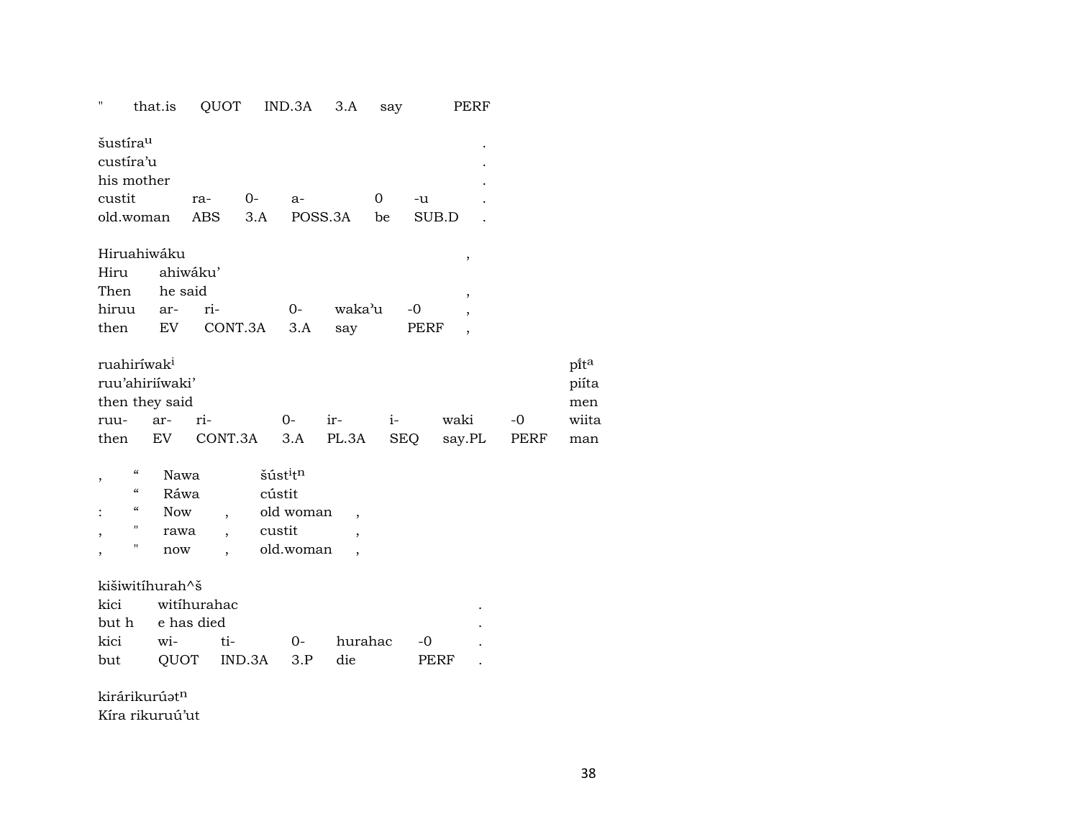| П                                                                  | that.is    | QUOT                     |      | IND.3A                           | 3.A                      | say  |       | PERF                     |      |
|--------------------------------------------------------------------|------------|--------------------------|------|----------------------------------|--------------------------|------|-------|--------------------------|------|
| šustíra <sup>u</sup>                                               |            |                          |      |                                  |                          |      |       |                          |      |
| custíra'u                                                          |            |                          |      |                                  |                          |      |       |                          |      |
| his mother                                                         |            |                          |      |                                  |                          |      |       |                          |      |
| custit                                                             |            | ra-                      | $0-$ | a-                               |                          | 0    | -u    |                          |      |
| old.woman                                                          |            | <b>ABS</b>               | 3.A  |                                  | POSS.3A                  | be   | SUB.D |                          |      |
| Hiruahiwáku                                                        |            |                          |      |                                  |                          |      |       | ,                        |      |
| Hiru                                                               |            | ahiwáku'                 |      |                                  |                          |      |       |                          |      |
| Then                                                               | he said    |                          |      |                                  |                          |      |       | $\overline{\phantom{a}}$ |      |
| hiruu                                                              | ar-        | ri-                      |      | $O-$                             | waka'u                   |      | $-0$  | $\overline{ }$           |      |
| then                                                               | EV         | CONT.3A                  |      | 3.A                              | say                      |      | PERF  | $\overline{ }$           |      |
| ruahiríwak <sup>i</sup>                                            |            |                          |      |                                  |                          |      |       |                          |      |
| ruu'ahiriíwaki'                                                    |            |                          |      |                                  |                          |      |       |                          |      |
| then they said                                                     |            |                          |      |                                  |                          |      |       |                          |      |
| ruu-                                                               | ar-        | ri-                      |      | $O-$                             | ir-                      | $i-$ |       | waki                     | $-0$ |
| then                                                               | EV         | CONT.3A                  |      | 3.A                              | PL.3A                    |      | SEQ   | say.PL                   | PERF |
| $\boldsymbol{\zeta}\boldsymbol{\zeta}$<br>$\overline{\phantom{a}}$ | Nawa       |                          |      | šúst <sup>i</sup> t <sup>n</sup> |                          |      |       |                          |      |
| $\boldsymbol{\zeta}\boldsymbol{\zeta}$                             | Ráwa       |                          |      | cústit                           |                          |      |       |                          |      |
| "                                                                  | <b>Now</b> | $\overline{\phantom{a}}$ |      | old woman                        | $\overline{\phantom{a}}$ |      |       |                          |      |
| 11<br>$\overline{\phantom{a}}$                                     | rawa       |                          |      | custit                           | $\overline{ }$           |      |       |                          |      |
| П<br>,                                                             | now        | $\overline{\phantom{a}}$ |      | old.woman                        | $\overline{\phantom{a}}$ |      |       |                          |      |
| kišiwitíhurah^š                                                    |            |                          |      |                                  |                          |      |       |                          |      |
| kici                                                               |            | witihurahac              |      |                                  |                          |      |       |                          |      |
| but h                                                              |            | e has died               |      |                                  |                          |      |       |                          |      |

| kici wi- ti- |                         | 0- hurahac -0 |      |  |
|--------------|-------------------------|---------------|------|--|
|              | but QUOT IND.3A 3.P die |               | PERF |  |

kirárikurúatn

Kíra rikuruú'ut

 $p$ ît<sup>a</sup> piíta men wiita

man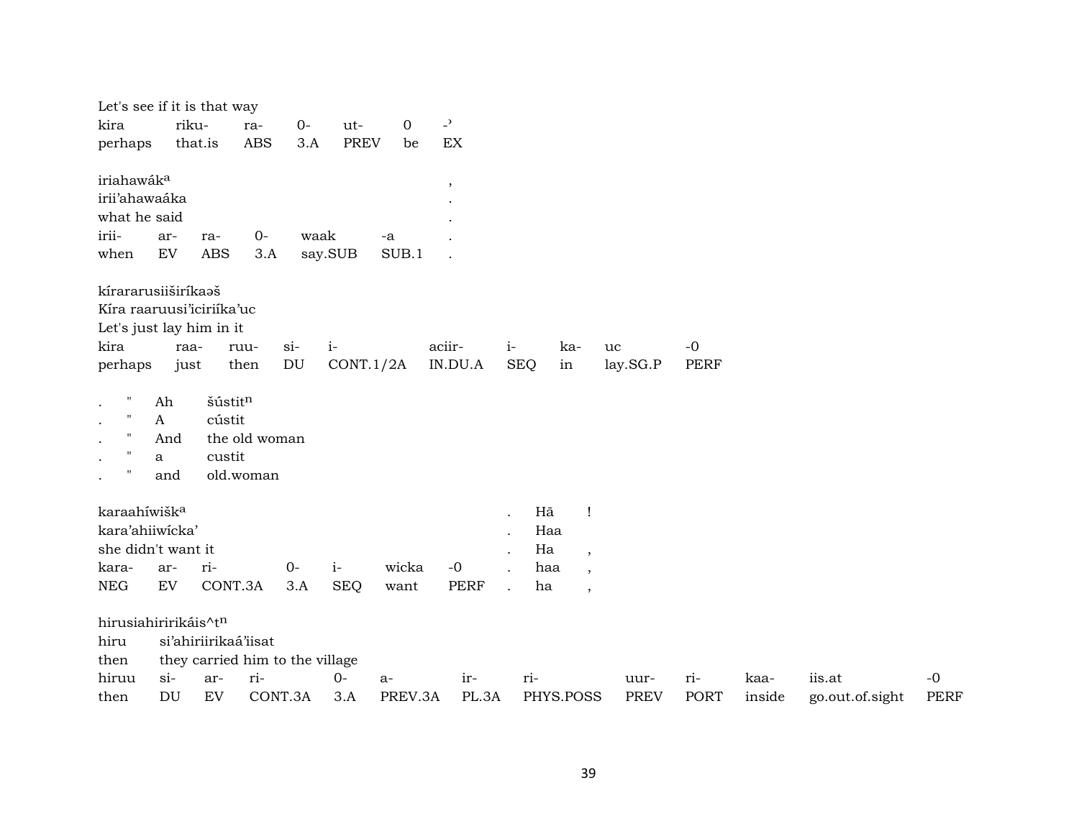| Let's see if it is that way<br>kira<br>perhaps                                                  | riku-                                 | that.is                           | ra-<br>ABS                                        | $0-$<br>3.A                          | ut-<br><b>PREV</b> | $\mathbf 0$<br>be | $\overline{\phantom{a}}$<br>EX |                    |                              |                                                                                        |                     |                    |                |                           |                     |
|-------------------------------------------------------------------------------------------------|---------------------------------------|-----------------------------------|---------------------------------------------------|--------------------------------------|--------------------|-------------------|--------------------------------|--------------------|------------------------------|----------------------------------------------------------------------------------------|---------------------|--------------------|----------------|---------------------------|---------------------|
| iriahawáka<br>irii'ahawaáka<br>what he said<br>irii-<br>when                                    | ar-<br>${\rm EV}$                     | ra-<br><b>ABS</b>                 | $O -$<br>3.A                                      | waak                                 | say.SUB            | -a<br>SUB.1       | $\,$                           |                    |                              |                                                                                        |                     |                    |                |                           |                     |
| kírararusiiširíkaaš<br>Kíra raaruusi'iciriíka'uc<br>Let's just lay him in it<br>kira<br>perhaps | raa-<br>just                          |                                   | ruu-<br>then                                      | $\sin$<br>$\mathop{\rm DU}\nolimits$ | $i-$<br>CONT.1/2A  |                   | aciir-<br>IN.DU.A              | $i-$<br><b>SEQ</b> | ka-<br>in                    | uc                                                                                     | lay.SG.P            | $-0$<br>PERF       |                |                           |                     |
| $\pmb{\mathsf{H}}$<br>$\mathbf{H}$<br>$\mathbf H$<br>$\blacksquare$<br>$\blacksquare$           | Ah<br>$\mathbf{A}$<br>And<br>a<br>and | šústitn<br>cústit<br>custit       | the old woman<br>old.woman                        |                                      |                    |                   |                                |                    |                              |                                                                                        |                     |                    |                |                           |                     |
| karaahíwišk <sup>a</sup><br>kara'ahiiwicka'<br>she didn't want it<br>kara-<br><b>NEG</b>        | ar-<br>EV                             | ri-<br>CONT.3A                    |                                                   | $0-$<br>3.A                          | $i-$<br><b>SEQ</b> | wicka<br>want     | $-0$<br><b>PERF</b>            |                    | Hã<br>Haa<br>Ha<br>haa<br>ha | $\mathbf{I}$<br>$\overline{ }$<br>$\overline{\phantom{a}}$<br>$\overline{\phantom{a}}$ |                     |                    |                |                           |                     |
| hirusiahiririkáis^tn<br>hiru<br>then<br>hiruu<br>then                                           | $si-$<br>DU                           | si'ahiriirikaá'iisat<br>ar-<br>EV | they carried him to the village<br>ri-<br>CONT.3A |                                      | $0-$<br>3.A        | $a-$<br>PREV.3A   | ir-<br>PL.3A                   | ri-                | PHYS.POSS                    |                                                                                        | uur-<br><b>PREV</b> | ri-<br><b>PORT</b> | kaa-<br>inside | iis.at<br>go.out.of.sight | $-0$<br><b>PERF</b> |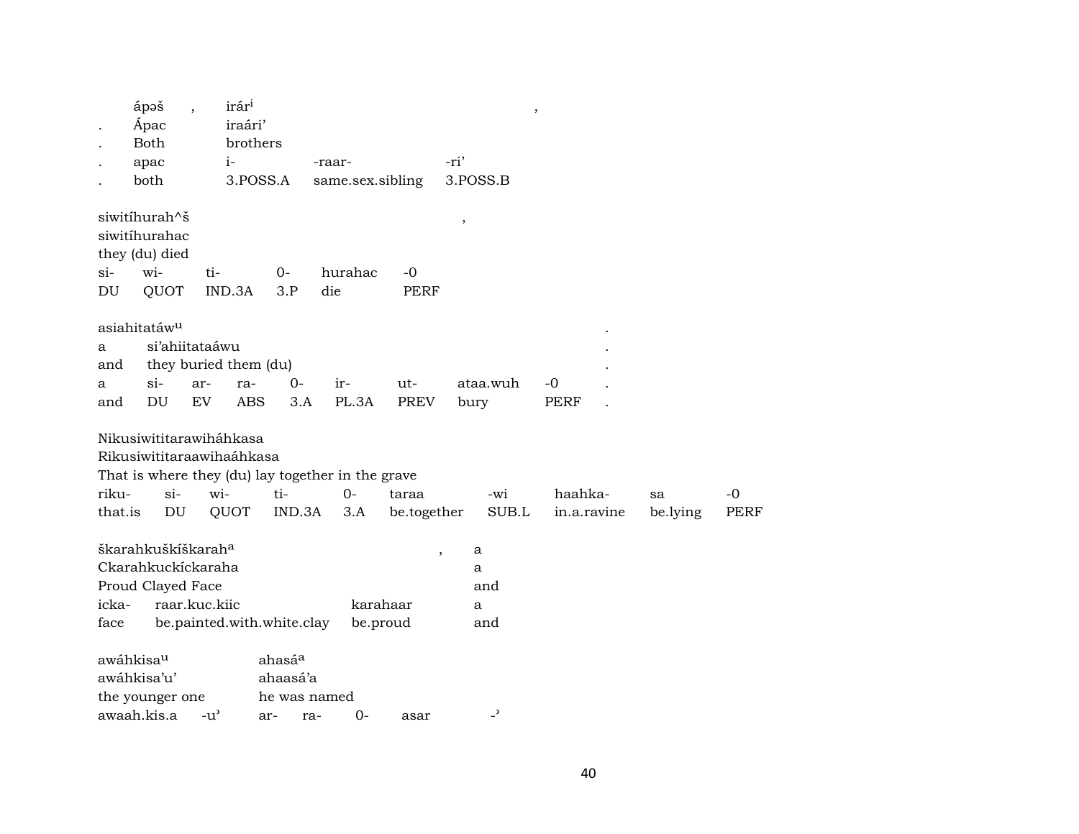|                  | ápəš<br>Ápac<br><b>Both</b><br>apac<br>both                               |               | irár <sup>i</sup><br>iraári'<br>brothers<br>$i-$<br>3.POSS.A        |                                | -raar-<br>same.sex.sibling                                       |                      | -ri'           | 3.POSS.B                 | $\, ,$                 |                |              |
|------------------|---------------------------------------------------------------------------|---------------|---------------------------------------------------------------------|--------------------------------|------------------------------------------------------------------|----------------------|----------------|--------------------------|------------------------|----------------|--------------|
| $\sin$           | siwitíhurah^š<br>siwitíhurahac<br>they (du) died<br>wi-                   | ti-           |                                                                     | $O -$                          | hurahac                                                          | $-0$                 | $\, ,$         |                          |                        |                |              |
| DU               | QUOT                                                                      |               | IND.3A                                                              | 3.P                            | die                                                              | PERF                 |                |                          |                        |                |              |
| а<br>and         | asiahitatáw <sup>u</sup><br>si'ahiitataáwu                                |               | they buried them (du)                                               |                                |                                                                  |                      |                |                          |                        |                |              |
| a                | $si-$                                                                     | ar-           | ra-                                                                 | $0-$                           | ir-                                                              | ut-                  |                | ataa.wuh                 | -0                     |                |              |
| and              | DU                                                                        | EV            | <b>ABS</b>                                                          | 3.A                            | PL.3A                                                            | PREV                 | bury           |                          | <b>PERF</b>            |                |              |
| riku-<br>that.is | $si-$<br>DU                                                               |               | Nikusiwititarawiháhkasa<br>Rikusiwititaraawihaáhkasa<br>wi-<br>QUOT | $ti-$<br>IND.3A                | That is where they (du) lay together in the grave<br>$0-$<br>3.A | taraa<br>be.together |                | -wi<br>SUB.L             | haahka-<br>in.a.ravine | sa<br>be.lying | $-0$<br>PERF |
|                  | škarahkuškíškarah <sup>a</sup><br>Ckarahkuckíckaraha<br>Proud Clayed Face |               |                                                                     |                                |                                                                  |                      | $\overline{ }$ | a<br>a<br>and            |                        |                |              |
| icka-            | raar.kuc.kiic                                                             |               |                                                                     |                                |                                                                  | karahaar             |                | a                        |                        |                |              |
| face             |                                                                           |               | be.painted.with.white.clay                                          |                                |                                                                  | be.proud             |                | and                      |                        |                |              |
|                  | awáhkisau<br>awáhkisa'u'<br>the younger one                               |               |                                                                     | ahasá <sup>a</sup><br>ahaasá'a | he was named                                                     |                      |                |                          |                        |                |              |
|                  | awaah.kis.a                                                               | $-u^{\prime}$ |                                                                     | ar-                            | $0-$<br>ra-                                                      | asar                 |                | $\overline{\phantom{a}}$ |                        |                |              |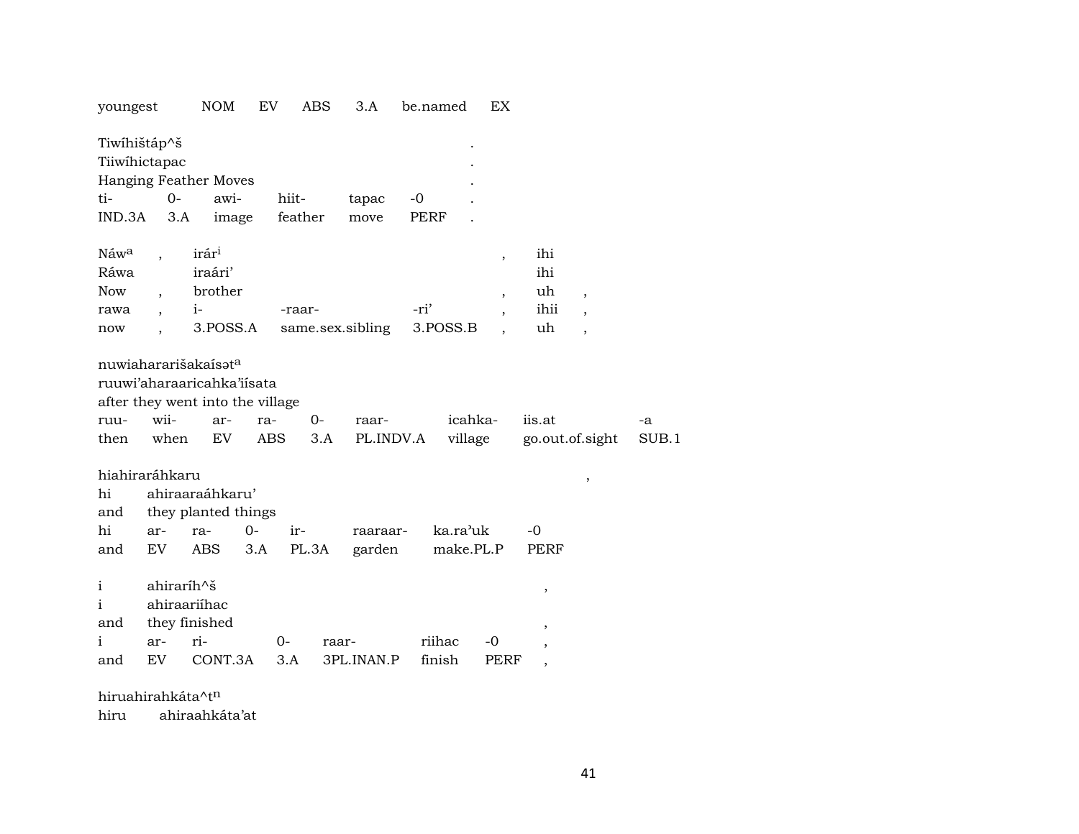| youngest                                                                                               |                                                    | NOM                                                           | EV                | <b>ABS</b>   | 3.A                | be.named            |                       | EX                                                                               |                                                                     |                                                 |             |
|--------------------------------------------------------------------------------------------------------|----------------------------------------------------|---------------------------------------------------------------|-------------------|--------------|--------------------|---------------------|-----------------------|----------------------------------------------------------------------------------|---------------------------------------------------------------------|-------------------------------------------------|-------------|
| Tiwihištáp^š<br>Tiiwihictapac<br>Hanging Feather Moves<br>ti-<br>IND.3A                                | $0 -$<br>3.A                                       | awi-<br>image                                                 | hiit-<br>feather  |              | tapac<br>move      | $-0$<br><b>PERF</b> |                       |                                                                                  |                                                                     |                                                 |             |
| Náw <sup>a</sup><br>Ráwa<br><b>Now</b><br>rawa<br>now                                                  | $i-$<br>$\ddot{\phantom{0}}$                       | irár <sup>i</sup><br>iraári'<br>brother<br>3.POSS.A           | -raar-            |              | same.sex.sibling   | -ri'<br>3.POSS.B    |                       | $\overline{\phantom{a}}$<br>$\overline{\phantom{a}}$<br>$\overline{\phantom{a}}$ | ihi<br>ihi<br>uh<br>ihii<br>uh                                      | $\overline{ }$<br>,<br>$\overline{\phantom{a}}$ |             |
| nuwiahararišakaísata<br>ruuwi'aharaaricahka'iisata<br>after they went into the village<br>ruu-<br>then | wii-<br>when                                       | ar-<br>EV                                                     | ra-<br><b>ABS</b> | $O -$<br>3.A | raar-<br>PL.INDV.A |                     | icahka-<br>village    |                                                                                  | iis.at<br>go.out.of.sight                                           |                                                 | -a<br>SUB.1 |
| hiahiraráhkaru<br>hi<br>and<br>hi<br>ar-<br>EV<br>and                                                  |                                                    | ahiraaraáhkaru'<br>they planted things<br>$0-$<br>ra-<br>ABS. | ir-<br>3.A        | PL.3A        | raaraar-<br>garden |                     | ka.ra'uk<br>make.PL.P |                                                                                  | $-0$<br>PERF                                                        | $\,$                                            |             |
| $\mathbf{i}$<br>i<br>and<br>i<br>ar-<br>EV<br>and                                                      | ahiraríh^š<br>ahiraariíhac<br>they finished<br>ri- | CONT.3A                                                       | 0-<br>3.A         | raar-        | 3PL.INAN.P         | riihac<br>finish    |                       | -0<br>PERF                                                                       | ,<br>$\, ,$<br>$\overline{\phantom{a}}$<br>$\overline{\phantom{a}}$ |                                                 |             |

hiruahirahkáta^t<sup>n</sup>

hiru ahiraahkáta'at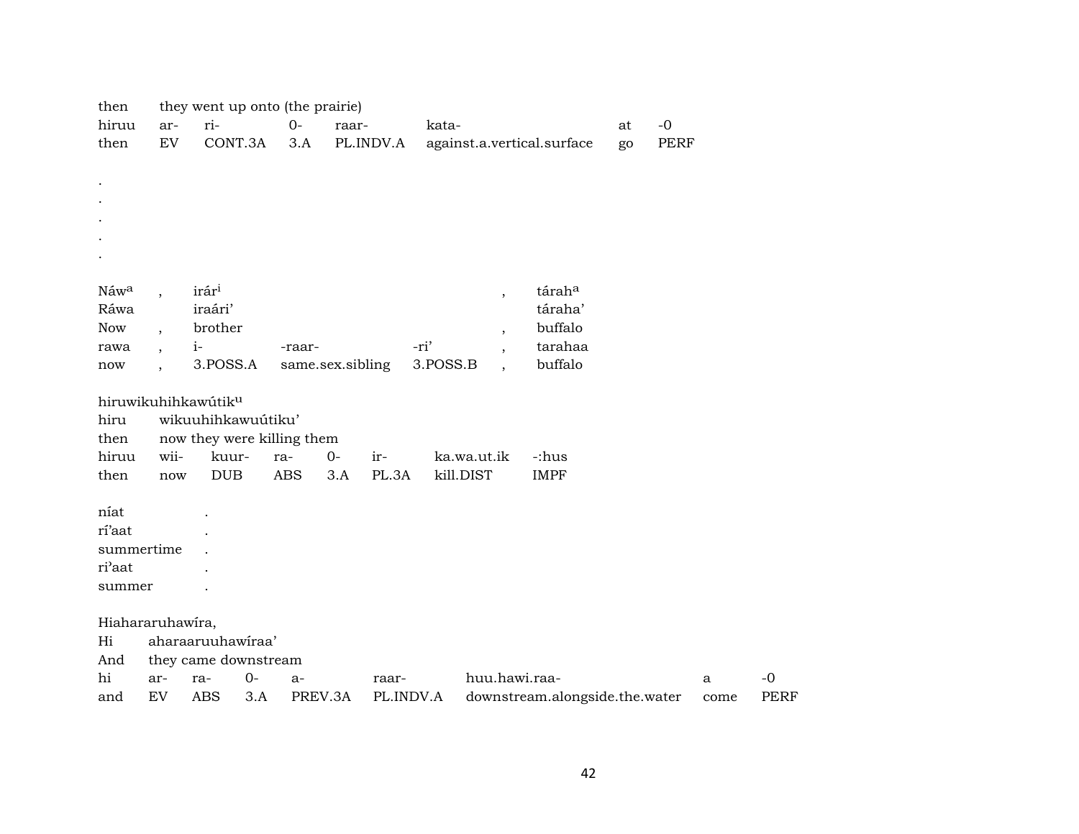| then             |                          | they went up onto (the prairie) |      |                  |       |           |          |             |                          |                                |    |             |              |             |
|------------------|--------------------------|---------------------------------|------|------------------|-------|-----------|----------|-------------|--------------------------|--------------------------------|----|-------------|--------------|-------------|
| hiruu            | ar-                      | ri-                             |      | $0-$             | raar- |           | kata-    |             |                          |                                | at | $-0$        |              |             |
| then             | ${\rm EV}$               | CONT.3A                         |      | 3.A              |       | PL.INDV.A |          |             |                          | against.a.vertical.surface     | go | <b>PERF</b> |              |             |
|                  |                          |                                 |      |                  |       |           |          |             |                          |                                |    |             |              |             |
|                  |                          |                                 |      |                  |       |           |          |             |                          |                                |    |             |              |             |
|                  |                          |                                 |      |                  |       |           |          |             |                          |                                |    |             |              |             |
|                  |                          |                                 |      |                  |       |           |          |             |                          |                                |    |             |              |             |
|                  |                          |                                 |      |                  |       |           |          |             |                          |                                |    |             |              |             |
|                  |                          |                                 |      |                  |       |           |          |             |                          |                                |    |             |              |             |
|                  |                          |                                 |      |                  |       |           |          |             |                          |                                |    |             |              |             |
| Náw <sup>a</sup> |                          | irár <sup>i</sup>               |      |                  |       |           |          |             | $\overline{\phantom{a}}$ | táraha                         |    |             |              |             |
| Ráwa             |                          | iraári'                         |      |                  |       |           |          |             |                          | táraha'                        |    |             |              |             |
| Now              | $\cdot$                  | brother                         |      |                  |       |           |          |             | $\overline{\phantom{a}}$ | buffalo                        |    |             |              |             |
| rawa             | $\overline{\phantom{a}}$ | $i-$                            |      | -raar-           |       |           | -ri'     |             | $\overline{\phantom{a}}$ | tarahaa<br>buffalo             |    |             |              |             |
| now              |                          | 3.POSS.A                        |      | same.sex.sibling |       |           | 3.POSS.B |             | $\ddot{\phantom{a}}$     |                                |    |             |              |             |
|                  |                          | hiruwikuhihkawútiku             |      |                  |       |           |          |             |                          |                                |    |             |              |             |
| hiru             |                          | wikuuhihkawuútiku'              |      |                  |       |           |          |             |                          |                                |    |             |              |             |
| then             |                          | now they were killing them      |      |                  |       |           |          |             |                          |                                |    |             |              |             |
| hiruu            | wii-                     | kuur-                           |      | ra-              | $0-$  | ir-       |          | ka.wa.ut.ik |                          | -:hus                          |    |             |              |             |
| then             | now                      | <b>DUB</b>                      |      | <b>ABS</b>       | 3.A   | PL.3A     |          | kill.DIST   |                          | <b>IMPF</b>                    |    |             |              |             |
|                  |                          |                                 |      |                  |       |           |          |             |                          |                                |    |             |              |             |
| níat             |                          |                                 |      |                  |       |           |          |             |                          |                                |    |             |              |             |
| rí'aat           |                          |                                 |      |                  |       |           |          |             |                          |                                |    |             |              |             |
| summertime       |                          |                                 |      |                  |       |           |          |             |                          |                                |    |             |              |             |
| ri'aat           |                          |                                 |      |                  |       |           |          |             |                          |                                |    |             |              |             |
| summer           |                          |                                 |      |                  |       |           |          |             |                          |                                |    |             |              |             |
|                  |                          |                                 |      |                  |       |           |          |             |                          |                                |    |             |              |             |
| Hiahararuhawira, |                          |                                 |      |                  |       |           |          |             |                          |                                |    |             |              |             |
| Hi               |                          | aharaaruuhawiraa'               |      |                  |       |           |          |             |                          |                                |    |             |              |             |
| And              |                          | they came downstream            |      |                  |       |           |          |             |                          |                                |    |             |              |             |
| hi               | ar-                      | ra-                             | $0-$ | a-               |       | raar-     |          |             |                          | huu.hawi.raa-                  |    |             | $\mathbf{a}$ | $-0$        |
| and              | ${\rm EV}$               | <b>ABS</b>                      | 3.A  | PREV.3A          |       | PL.INDV.A |          |             |                          | downstream.alongside.the.water |    |             | come         | <b>PERF</b> |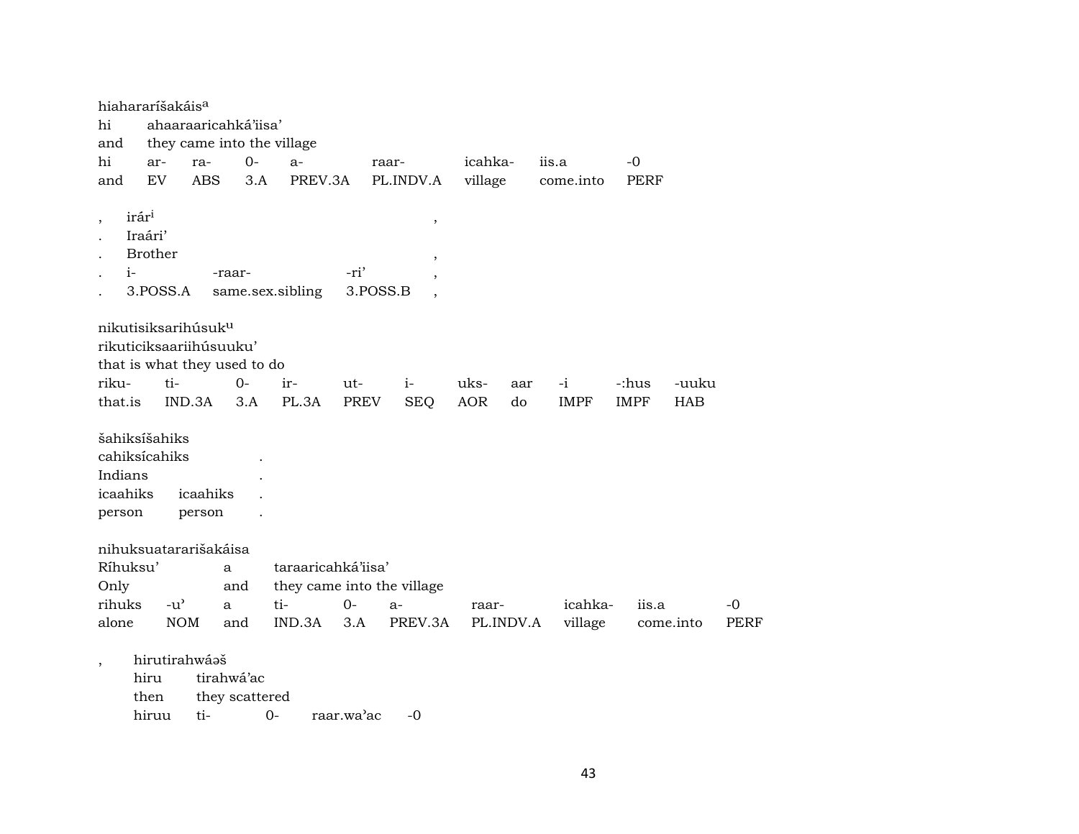| hiahararíšakáis <sup>a</sup>                                    |                                                                    |               |                                                            |                              |                            |             |                                      |            |           |             |             |            |             |
|-----------------------------------------------------------------|--------------------------------------------------------------------|---------------|------------------------------------------------------------|------------------------------|----------------------------|-------------|--------------------------------------|------------|-----------|-------------|-------------|------------|-------------|
| hi                                                              |                                                                    |               |                                                            | ahaaraaricahká'iisa'         |                            |             |                                      |            |           |             |             |            |             |
| and                                                             |                                                                    |               |                                                            |                              | they came into the village |             |                                      |            |           |             |             |            |             |
| hi                                                              | ar-                                                                |               | ra-                                                        | $0-$                         | $a-$                       |             | raar-                                | icahka-    |           | iis.a       | $-0$        |            |             |
| and                                                             | EV                                                                 |               | <b>ABS</b>                                                 | 3.A                          | PREV.3A                    |             | PL.INDV.A                            | village    |           | come.into   | PERF        |            |             |
| $\, ,$                                                          | irár <sup>i</sup><br>Iraári'<br><b>Brother</b><br>$i-$<br>3.POSS.A |               |                                                            | -raar-                       | same.sex.sibling           | -ri'        | $^\mathrm{,}$<br>$\cdot$<br>3.POSS.B |            |           |             |             |            |             |
|                                                                 |                                                                    |               | nikutisiksarihúsuk <sup>u</sup><br>rikuticiksaariihúsuuku' | that is what they used to do |                            |             |                                      |            |           |             |             |            |             |
| riku-                                                           |                                                                    | $ti-$         |                                                            | 0-                           | ir-                        | ut-         | $i-$                                 | uks-       | aar       | $-i$        | -:hus       | -uuku      |             |
| that.is                                                         |                                                                    | IND.3A        |                                                            | 3.A                          | PL.3A                      | <b>PREV</b> | <b>SEQ</b>                           | <b>AOR</b> | do        | <b>IMPF</b> | <b>IMPF</b> | <b>HAB</b> |             |
| šahiksíšahiks<br>cahiksícahiks<br>Indians<br>icaahiks<br>person |                                                                    |               | icaahiks<br>person                                         |                              |                            |             |                                      |            |           |             |             |            |             |
|                                                                 |                                                                    |               | nihuksuatararišakáisa                                      |                              |                            |             |                                      |            |           |             |             |            |             |
| Ríhuksu'                                                        |                                                                    |               |                                                            | a                            | taraaricahká'iisa'         |             |                                      |            |           |             |             |            |             |
| Only                                                            |                                                                    |               |                                                            | and                          |                            |             | they came into the village           |            |           |             |             |            |             |
| rihuks                                                          |                                                                    | $-u^{\prime}$ |                                                            | a                            | ti-                        | $O -$       | $a-$                                 | raar-      |           | icahka-     | iis.a       |            | -0          |
| alone                                                           |                                                                    | <b>NOM</b>    |                                                            | and                          | IND.3A                     | 3.A         | PREV.3A                              |            | PL.INDV.A | village     |             | come.into  | <b>PERF</b> |
| $\overline{\phantom{a}}$                                        | hiru<br>then<br>hiruu                                              |               | hirutirahwáaš<br>ti-                                       | tirahwá'ac<br>they scattered | $0-$                       | raar.wa'ac  | $-0$                                 |            |           |             |             |            |             |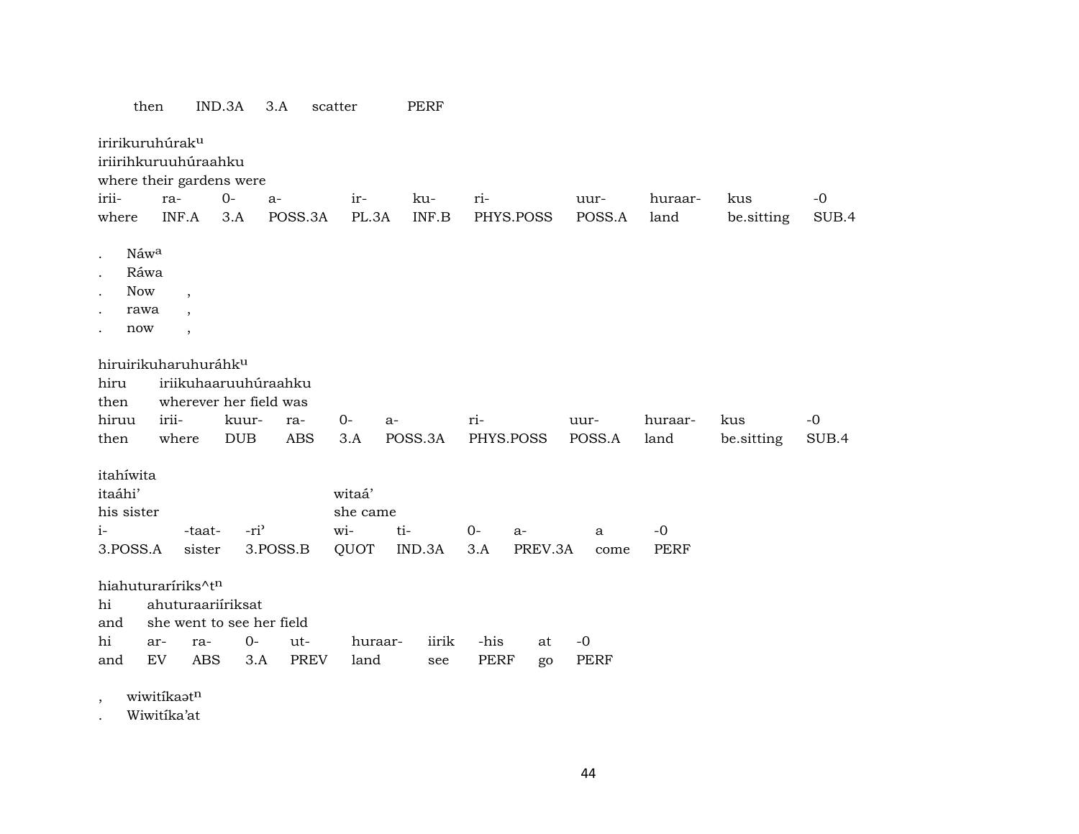|                                                                         | then                                                               | IND.3A                                 | 3.A                                            | scatter            |                                   | <b>PERF</b>  |              |                 |                     |                     |            |       |
|-------------------------------------------------------------------------|--------------------------------------------------------------------|----------------------------------------|------------------------------------------------|--------------------|-----------------------------------|--------------|--------------|-----------------|---------------------|---------------------|------------|-------|
| iririkuruhúrak <sup>u</sup><br>iriirihkuruuhúraahku                     |                                                                    | where their gardens were               |                                                |                    |                                   |              |              |                 |                     |                     |            |       |
| irii-                                                                   | ra-                                                                | $O -$                                  | $a-$                                           |                    | ir-                               | ku-          | ri-          |                 | uur-                | huraar-             | kus        | $-0$  |
| where                                                                   | INF.A                                                              | 3.A                                    |                                                | POSS.3A            | PL.3A                             | INF.B        |              | PHYS.POSS       | POSS.A              | land                | be.sitting | SUB.4 |
| Náwa<br>$\bullet$<br>Ráwa<br>Now<br>$\ddot{\phantom{0}}$<br>rawa<br>now | $\overline{\phantom{a}}$<br>$\ddot{\phantom{0}}$<br>$\overline{ }$ |                                        |                                                |                    |                                   |              |              |                 |                     |                     |            |       |
| hiru<br>then                                                            |                                                                    | hiruirikuharuhuráhk <sup>u</sup>       | iriikuhaaruuhúraahku<br>wherever her field was |                    |                                   |              |              |                 |                     |                     |            |       |
| hiruu                                                                   | irii-                                                              | kuur-                                  | ra-                                            | $0-$               | a-                                |              | ri-          |                 | uur-                | huraar-             | kus        | $-0$  |
| then                                                                    | where                                                              | <b>DUB</b>                             |                                                | <b>ABS</b>         | 3.A                               | POSS.3A      | PHYS.POSS    |                 | POSS.A              | land                | be.sitting | SUB.4 |
| itahíwita<br>itaáhi'<br>his sister<br>$i-$<br>3.POSS.A                  |                                                                    | -taat-<br>sister                       | $-ri$<br>3.POSS.B                              | wi-                | witaá'<br>she came<br>ti-<br>QUOT | IND.3A       | $0 -$<br>3.A | $a-$<br>PREV.3A | a<br>come           | $-0$<br><b>PERF</b> |            |       |
| hiahuturaríriks^tn<br>hi<br>and<br>hi<br>and                            | ar-<br>EV                                                          | ahuturaariiriksat<br>ra-<br><b>ABS</b> | she went to see her field<br>$0-$<br>3.A       | ut-<br><b>PREV</b> | huraar-<br>land                   | iirik<br>see | -his<br>PERF | at<br>go        | $-0$<br><b>PERF</b> |                     |            |       |

, wiwitíka $\mathfrak{a}$ t<sup>n</sup>

. Wiwitíka'at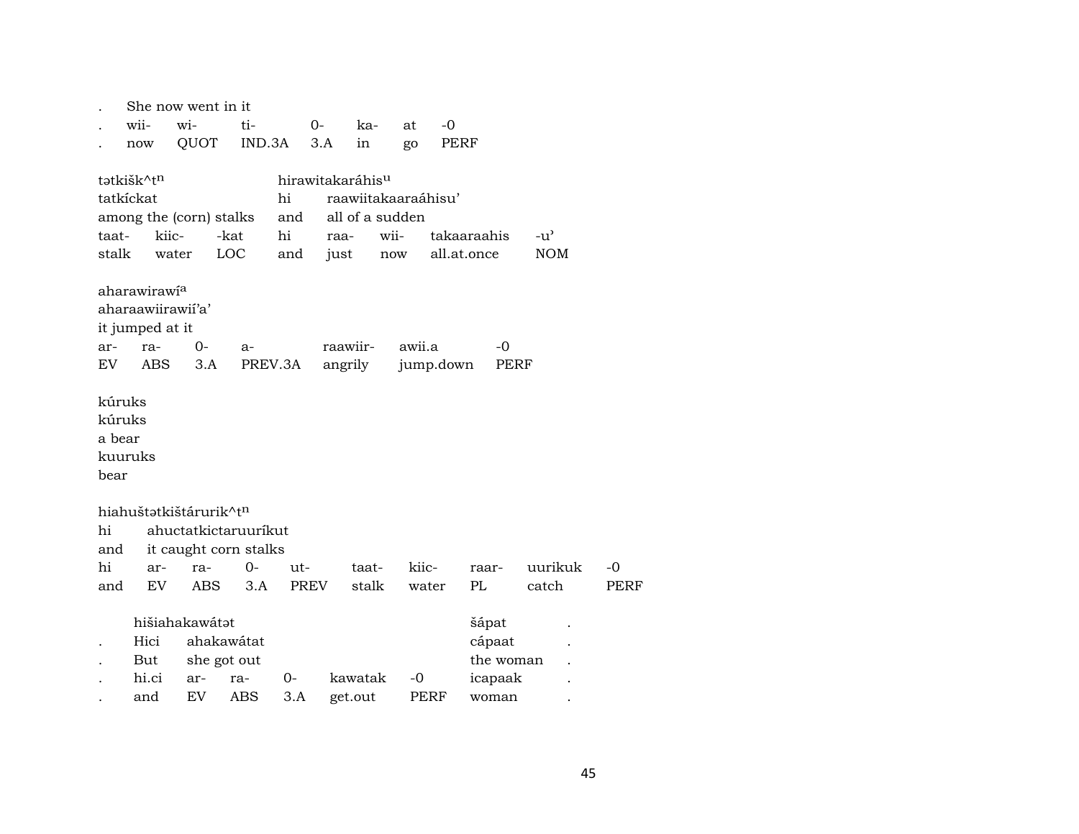| wii-<br>wi-<br>ti-<br>$-0$<br>$0-$<br>ka-<br>at                                           |             |
|-------------------------------------------------------------------------------------------|-------------|
|                                                                                           |             |
| QUOT<br>IND.3A<br>3.A<br>PERF<br>in<br>go<br>now                                          |             |
|                                                                                           |             |
| tatkišk^tn<br>hirawitakaráhis <sup>u</sup>                                                |             |
| tatkíckat<br>hi<br>raawiitakaaraáhisu'                                                    |             |
| all of a sudden<br>among the (corn) stalks<br>and                                         |             |
| kiic-<br>hi<br>takaaraahis<br>taat-<br>-kat<br>wii-<br>$-u^{\prime}$<br>raa-              |             |
| stalk<br>LOC<br>all.at.once<br><b>NOM</b><br>water<br>and<br>just<br>$\operatorname{now}$ |             |
| aharawirawi <sup>a</sup>                                                                  |             |
| aharaawiirawii'a'                                                                         |             |
| it jumped at it                                                                           |             |
| raawiir-<br>awii.a<br>0-<br>-0<br>ar-<br>ra-<br>$a-$                                      |             |
| <b>ABS</b><br>EV<br>3.A<br>PREV.3A<br>angrily<br>jump.down<br>PERF                        |             |
|                                                                                           |             |
| kúruks                                                                                    |             |
| kúruks                                                                                    |             |
| a bear                                                                                    |             |
| kuuruks                                                                                   |             |
| bear                                                                                      |             |
|                                                                                           |             |
| hiahuštatkištárurik^tn                                                                    |             |
| hi<br>ahuctatkictaruuríkut                                                                |             |
| it caught corn stalks<br>and                                                              |             |
| hi<br>kiic-<br>uurikuk<br>0-<br>ut-<br>$-0$<br>taat-<br>ar-<br>ra-<br>raar-               |             |
| <b>EV</b><br><b>PREV</b><br>stalk<br>PL<br>ABS<br>3.A<br>water<br>catch<br>and            | <b>PERF</b> |
| hišiahakawátat<br>šápat                                                                   |             |
| ahakawátat<br>Hici<br>cápaat                                                              |             |
| she got out<br>But<br>the woman                                                           |             |
| hi.ci<br>kawatak<br>$-0$<br>0-<br>icapaak<br>ra-<br>ar-                                   |             |
| EV<br>3.A<br>ABS<br>get.out<br>PERF<br>and<br>woman                                       |             |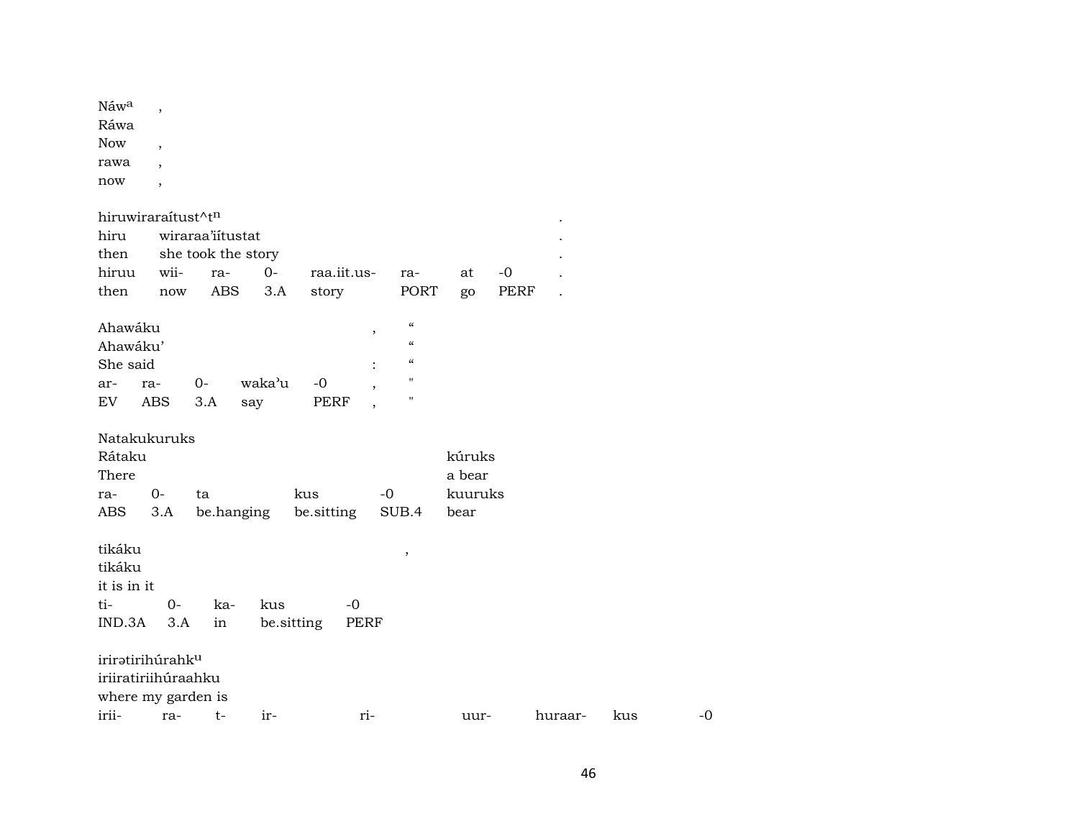| $N$ aw <sup>a</sup> |   |
|---------------------|---|
| Ráwa                |   |
| <b>Now</b>          |   |
| rawa                | , |
| now                 |   |

| hiruwiraraítust^tn           |            |                    |            |             |                          |                          |         |      |                      |     |      |
|------------------------------|------------|--------------------|------------|-------------|--------------------------|--------------------------|---------|------|----------------------|-----|------|
| hiru                         |            | wiraraa'iitustat   |            |             |                          |                          |         |      |                      |     |      |
| then                         |            | she took the story |            |             |                          |                          |         |      |                      |     |      |
| hiruu                        | wii-       | ra-                | $0 -$      | raa.iit.us- |                          | ra-                      | at      | $-0$ |                      |     |      |
| then                         | now        | <b>ABS</b>         | 3.A        | story       |                          | PORT                     | go      | PERF | $\ddot{\phantom{a}}$ |     |      |
|                              |            |                    |            |             |                          |                          |         |      |                      |     |      |
| Ahawáku                      |            |                    |            |             | $\,$                     | $\mathcal{C}\mathcal{C}$ |         |      |                      |     |      |
| Ahawáku'                     |            |                    |            |             |                          | $\pmb{\zeta}\pmb{\zeta}$ |         |      |                      |     |      |
| She said                     |            |                    |            |             |                          | $\pmb{\zeta}\pmb{\zeta}$ |         |      |                      |     |      |
| ra-<br>ar-                   |            | $0-$               | waka'u     | $-0$        | $\cdot$                  | $\mathbf H$              |         |      |                      |     |      |
| EV                           | <b>ABS</b> | 3.A                | say        | PERF        | $\overline{\phantom{a}}$ | $\mathbf{H}$             |         |      |                      |     |      |
|                              |            |                    |            |             |                          |                          |         |      |                      |     |      |
| Natakukuruks                 |            |                    |            |             |                          |                          |         |      |                      |     |      |
| Rátaku                       |            |                    |            |             |                          |                          | kúruks  |      |                      |     |      |
| There                        |            |                    |            |             |                          |                          | a bear  |      |                      |     |      |
| ra-                          | $0-$       | ta                 |            | kus         | $-0$                     |                          | kuuruks |      |                      |     |      |
| ABS                          | 3.A        |                    | be.hanging | be.sitting  |                          | SUB.4                    | bear    |      |                      |     |      |
|                              |            |                    |            |             |                          |                          |         |      |                      |     |      |
| tikáku                       |            |                    |            |             |                          | ,                        |         |      |                      |     |      |
| tikáku                       |            |                    |            |             |                          |                          |         |      |                      |     |      |
| it is in it                  |            |                    |            |             |                          |                          |         |      |                      |     |      |
| ti-                          | $0-$       | ka-                | kus        | $-0$        |                          |                          |         |      |                      |     |      |
| IND.3A                       | 3.A        | in                 |            | be.sitting  | PERF                     |                          |         |      |                      |     |      |
|                              |            |                    |            |             |                          |                          |         |      |                      |     |      |
| iriratirihúrahk <sup>u</sup> |            |                    |            |             |                          |                          |         |      |                      |     |      |
| iriiratiriihúraahku          |            |                    |            |             |                          |                          |         |      |                      |     |      |
| where my garden is           |            |                    |            |             |                          |                          |         |      |                      |     |      |
| irii-                        | ra-        | $t-$               | ir-        |             | ri-                      |                          | uur-    |      | huraar-              | kus | $-0$ |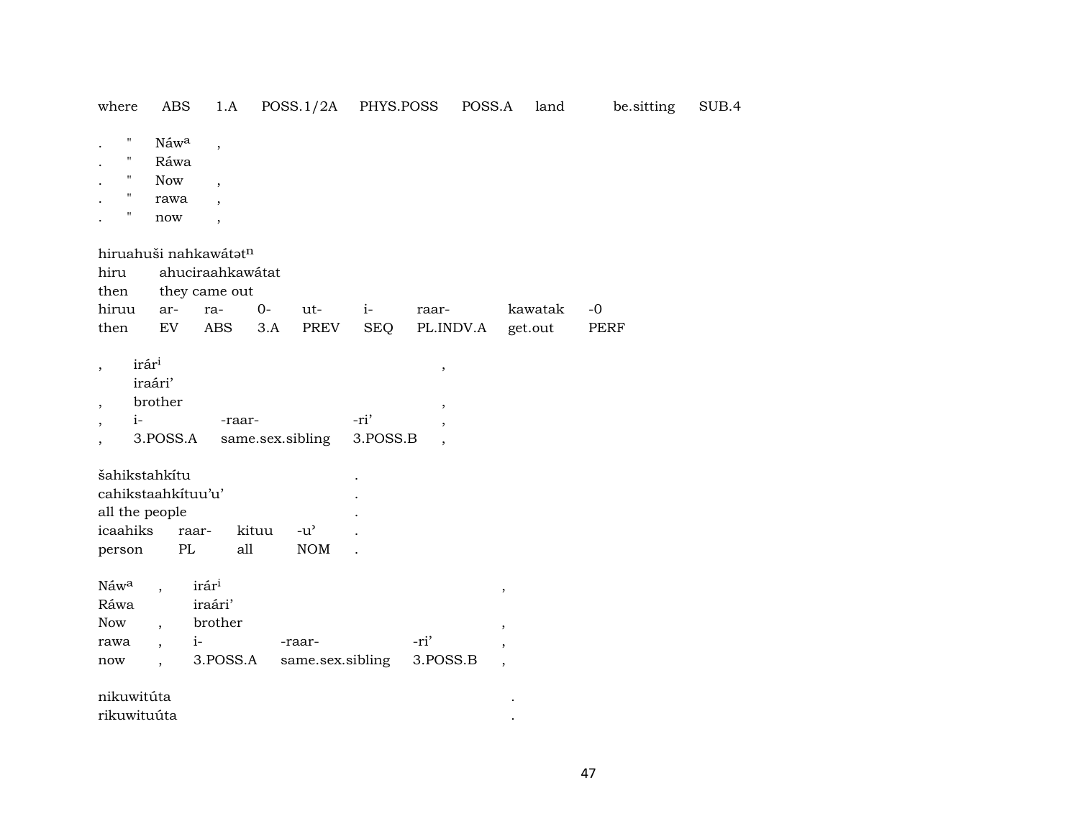| where                                                                                                      | ABS                                                                                                  | 1.A                                                                                        |                  | POSS.1/2A                           | PHYS.POSS        |                                              | POSS.A                                                 | land    | be.sitting  | SUB.4 |
|------------------------------------------------------------------------------------------------------------|------------------------------------------------------------------------------------------------------|--------------------------------------------------------------------------------------------|------------------|-------------------------------------|------------------|----------------------------------------------|--------------------------------------------------------|---------|-------------|-------|
| $\pmb{\mathsf{H}}$<br>$\pmb{\mathsf{H}}$<br>$\pmb{\mathsf{H}}$<br>$\pmb{\mathsf{H}}$<br>$\pmb{\mathsf{H}}$ | Náwa<br>Ráwa<br><b>Now</b><br>rawa<br>now                                                            | $\overline{\phantom{a}}$<br>$\, ,$<br>$\overline{\phantom{a}}$<br>$\overline{\phantom{a}}$ |                  |                                     |                  |                                              |                                                        |         |             |       |
| hiruahuši nahkawátatn                                                                                      |                                                                                                      |                                                                                            |                  |                                     |                  |                                              |                                                        |         |             |       |
| hiru<br>then<br>hiruu                                                                                      | ar-                                                                                                  | ahuciraahkawátat<br>they came out<br>ra-                                                   | $0-$             | ut-                                 | $i-$             | raar-                                        |                                                        | kawatak | $-0$        |       |
| then                                                                                                       | EV                                                                                                   | <b>ABS</b>                                                                                 | 3.A              | <b>PREV</b>                         | <b>SEQ</b>       | PL.INDV.A                                    | get.out                                                |         | <b>PERF</b> |       |
| irári<br>$i-$                                                                                              | iraári'<br>brother<br>3.POSS.A                                                                       | -raar-                                                                                     | same.sex.sibling |                                     | -ri'<br>3.POSS.B | $\, ,$<br>$\, ,$<br>$\overline{\phantom{a}}$ |                                                        |         |             |       |
| šahikstahkítu<br>cahikstaahkituu'u'<br>all the people<br>icaahiks                                          | raar-                                                                                                |                                                                                            | kituu            | $-u$ <sup><math>\prime</math></sup> |                  |                                              |                                                        |         |             |       |
| person                                                                                                     | PL                                                                                                   | all                                                                                        |                  | <b>NOM</b>                          |                  |                                              |                                                        |         |             |       |
| Náwa<br>Ráwa<br>Now<br>rawa<br>$\operatorname{now}$                                                        | $\ddot{\phantom{0}}$<br>$\overline{\phantom{a}}$<br>$\overline{\phantom{a}}$<br>$\ddot{\phantom{0}}$ | irár <sup>i</sup><br>iraári'<br>brother<br>$i-$<br>3.POSS.A                                |                  | -raar-<br>same.sex.sibling          |                  | -ri'<br>3.POSS.B                             | $\, ,$<br>$\, ,$<br>$\, ,$<br>$\overline{\phantom{a}}$ |         |             |       |
| nikuwitúta<br>rikuwituúta                                                                                  |                                                                                                      |                                                                                            |                  |                                     |                  |                                              |                                                        |         |             |       |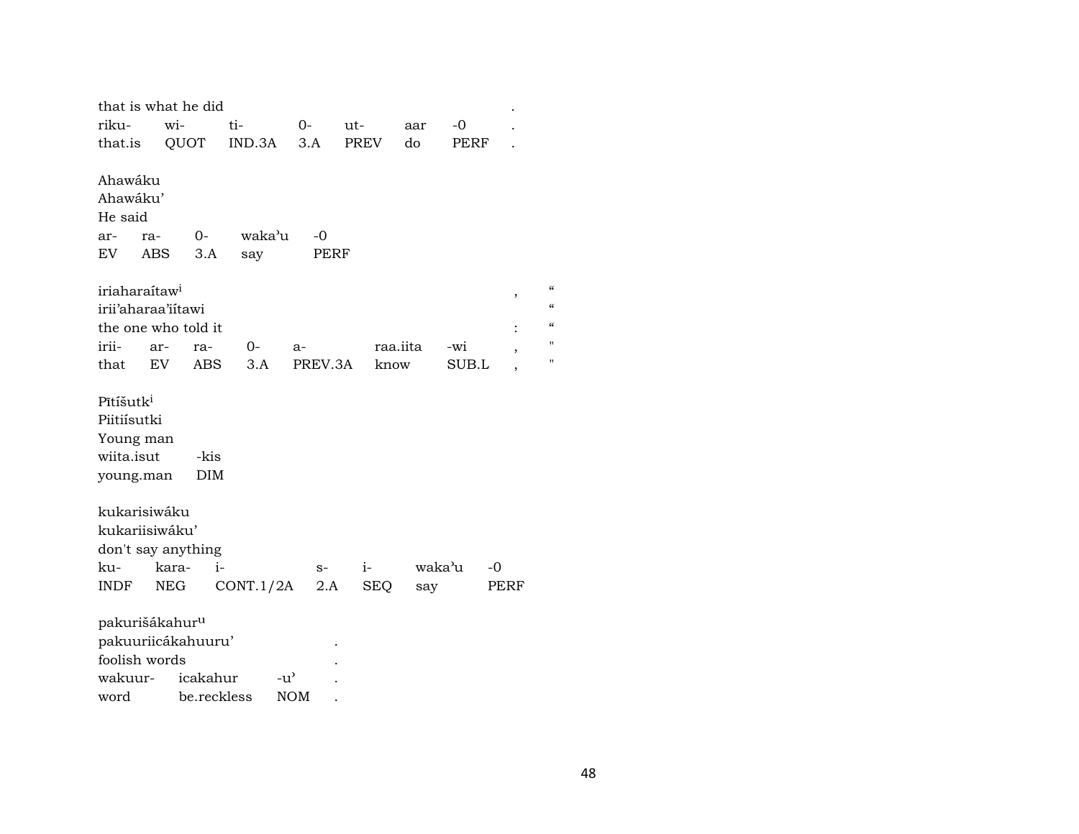|                                                                              | that is what he did                            |               |                 |                    |          |              |            |                                                                              |
|------------------------------------------------------------------------------|------------------------------------------------|---------------|-----------------|--------------------|----------|--------------|------------|------------------------------------------------------------------------------|
| riku-                                                                        | wi-                                            | ti-           | $O-$            | ut-                | aar      | $-0$         |            |                                                                              |
| that.is                                                                      | QUOT                                           | IND.3A        | 3.A             | PREV               | do       | PERF         |            |                                                                              |
| Ahawáku<br>Ahawáku'<br>He said<br>ar-<br>ra-<br>EV<br><b>ABS</b>             | $0-$<br>3.A                                    | waka'u<br>say | $-0$<br>PERF    |                    |          |              |            |                                                                              |
| iriaharaítaw <sup>i</sup><br>irii'aharaa'iitawi<br>irii-<br>that             | the one who told it<br>ar-<br>ra-<br>EV<br>ABS | $0-$<br>3.A   | $a-$<br>PREV.3A | know               | raa.iita | -wi<br>SUB.L | ,<br>,     | $\pmb{\zeta}\pmb{\zeta}$<br>$\pmb{\zeta}$<br>$\epsilon$<br>$^{\prime}$<br>11 |
| Pītíšutk <sup>i</sup><br>Piitiísutki<br>Young man<br>wiita.isut<br>young.man | -kis<br><b>DIM</b>                             |               |                 |                    |          |              |            |                                                                              |
| kukarisiwáku<br>kukariisiwáku'<br>ku-<br>INDF                                | don't say anything<br>$i-$<br>kara-<br>NEG     | CONT.1/2A     | $S-$<br>2.A     | $i-$<br><b>SEQ</b> | say      | waka'u       | -0<br>PERF |                                                                              |
| pakurišákahur <sup>u</sup><br>foolish words                                  | pakuuriicákahuuru'<br>wakuur- icakahur         | $-u^{\prime}$ |                 |                    |          |              |            |                                                                              |

| wakuur- | 1 cakanur   | -111       |  |
|---------|-------------|------------|--|
| word    | be.reckless | <b>NOM</b> |  |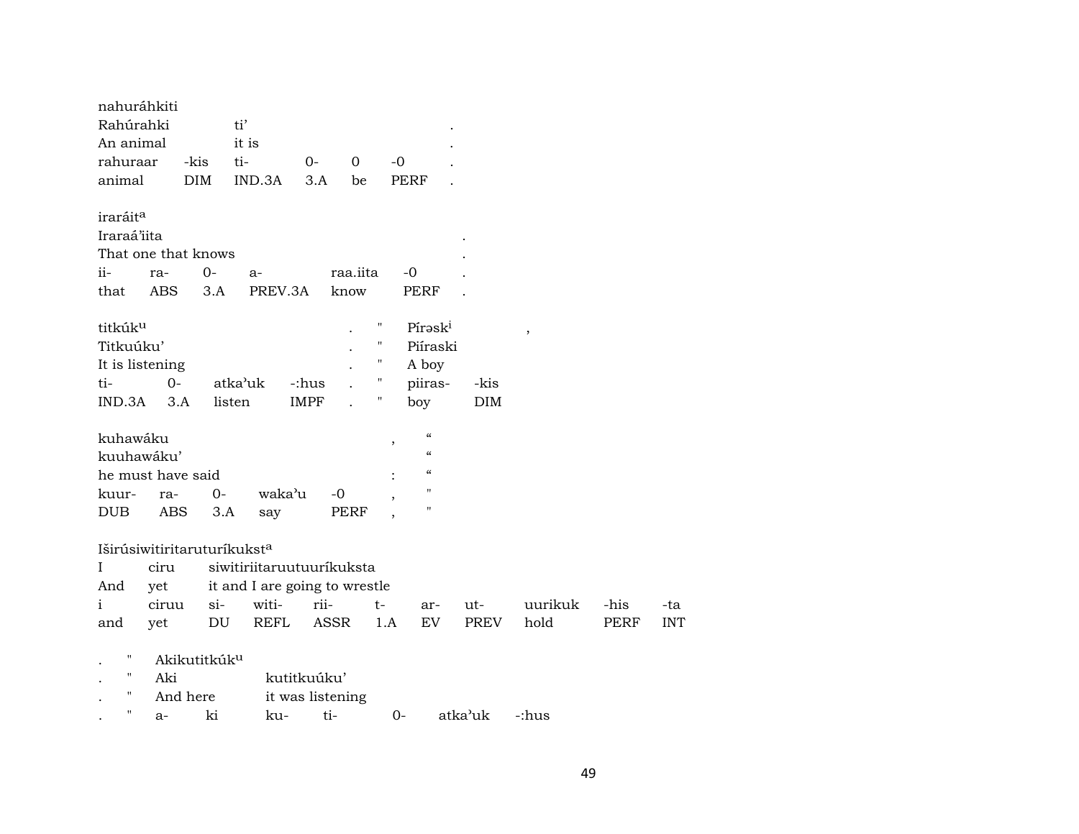| nahuráhkiti          |            |                          |                               |                  |          |                    |                            |            |               |      |            |
|----------------------|------------|--------------------------|-------------------------------|------------------|----------|--------------------|----------------------------|------------|---------------|------|------------|
| Rahúrahki            |            |                          | ti'                           |                  |          |                    |                            |            |               |      |            |
| An animal            |            |                          | it is                         |                  |          |                    |                            |            |               |      |            |
| rahuraar             |            | -kis                     | ti-                           | $O -$            | 0        | $-0$               |                            |            |               |      |            |
| animal               |            | <b>DIM</b>               | IND.3A                        | 3.A              | be       |                    | <b>PERF</b>                |            |               |      |            |
| iraráit <sup>a</sup> |            |                          |                               |                  |          |                    |                            |            |               |      |            |
| Iraraá'iita          |            |                          |                               |                  |          |                    |                            |            |               |      |            |
|                      |            | That one that knows      |                               |                  |          |                    |                            |            |               |      |            |
| $ii-$                | ra-        | $0-$                     | $a-$                          |                  | raa.iita |                    | -0                         |            |               |      |            |
| that                 | <b>ABS</b> | 3.A                      | PREV.3A                       |                  | know     |                    | <b>PERF</b>                |            |               |      |            |
| titkúk <sup>u</sup>  |            |                          |                               |                  |          | "                  | Pírask <sup>i</sup>        |            | $^\mathrm{,}$ |      |            |
| Titkuúku'            |            |                          |                               |                  |          | $\pmb{\mathsf{H}}$ | Piíraski                   |            |               |      |            |
| It is listening      |            |                          |                               |                  |          | 11                 | A boy                      |            |               |      |            |
| ti-                  | $0 -$      |                          | atka'uk                       | -:hus            |          | "                  | piiras-                    | -kis       |               |      |            |
| IND.3A               | 3.A        |                          | listen                        | <b>IMPF</b>      |          | Ħ                  | boy                        | <b>DIM</b> |               |      |            |
| kuhawáku             |            |                          |                               |                  |          | $\overline{ }$     | $\boldsymbol{\mathcal{C}}$ |            |               |      |            |
| kuuhawáku'           |            |                          |                               |                  |          |                    | $\epsilon$                 |            |               |      |            |
| he must have said    |            |                          |                               |                  |          |                    | $\epsilon\epsilon$         |            |               |      |            |
| kuur-                | ra-        | $0-$                     | waka'u                        |                  | $-0$     | $\cdot$            | $^{\prime}$                |            |               |      |            |
| <b>DUB</b>           | ABS        | 3.A                      | say                           |                  | PERF     |                    | П                          |            |               |      |            |
|                      |            |                          | Iširúsiwitiritaruturíkuksta   |                  |          |                    |                            |            |               |      |            |
| $\mathbf I$          | ciru       |                          | siwitiriitaruutuuríkuksta     |                  |          |                    |                            |            |               |      |            |
| And                  | yet        |                          | it and I are going to wrestle |                  |          |                    |                            |            |               |      |            |
| i                    | ciruu      | $si-$                    | witi-                         | rii-             |          | $t-$               | ar-                        | ut-        | uurikuk       | -his | -ta        |
| and                  | yet        | DU                       | <b>REFL</b>                   | ASSR             |          | 1.A                | EV                         | PREV       | hold          | PERF | <b>INT</b> |
|                      |            |                          |                               |                  |          |                    |                            |            |               |      |            |
| 11                   |            | Akikutitkúk <sup>u</sup> |                               |                  |          |                    |                            |            |               |      |            |
| $\mathbf{H}$         | Aki        |                          |                               | kutitkuúku'      |          |                    |                            |            |               |      |            |
| $\pmb{\pi}$          |            | And here                 |                               | it was listening |          |                    |                            |            |               |      |            |
| п                    | a-         | ki                       | ku-                           | ti-              |          | $0-$               |                            | atka'uk    | c:hus:-       |      |            |
|                      |            |                          |                               |                  |          |                    |                            |            |               |      |            |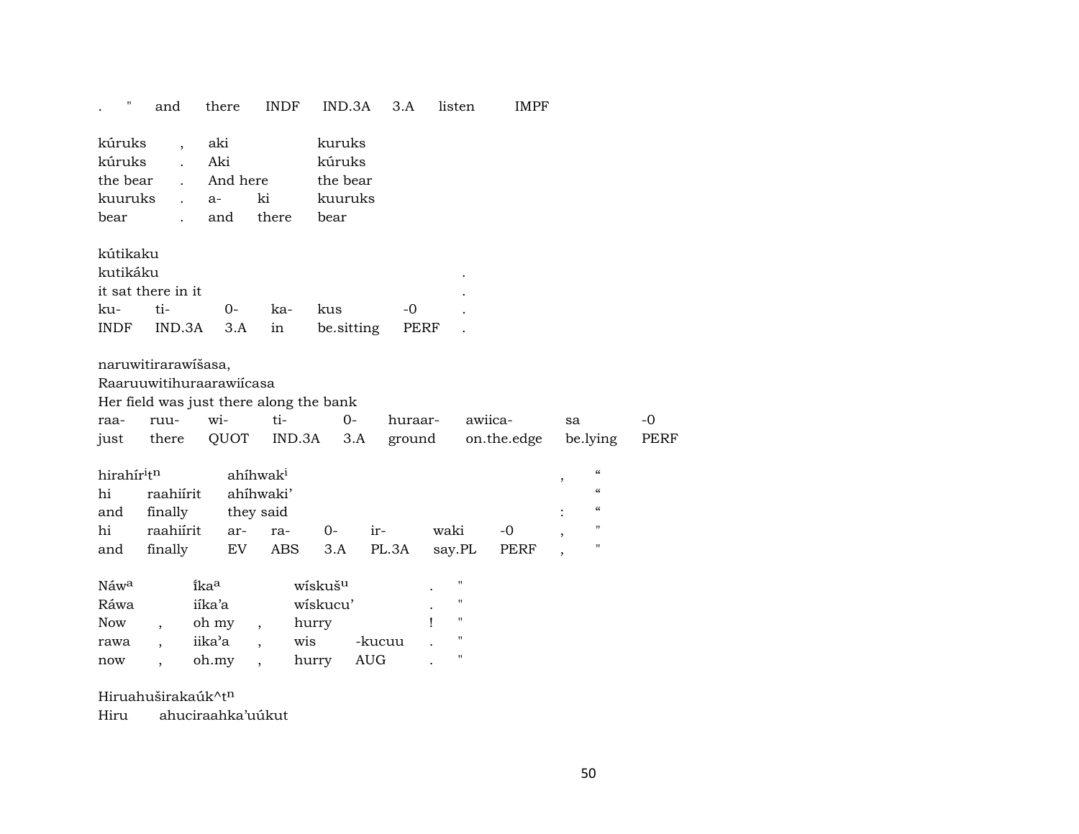|                                                 | and                                                                      | there                                      | <b>INDF</b>                                                  | IND.3A                                            | 3.A                  | listen                                                                                    | <b>IMPF</b>            |                                                                                                                                                           |              |
|-------------------------------------------------|--------------------------------------------------------------------------|--------------------------------------------|--------------------------------------------------------------|---------------------------------------------------|----------------------|-------------------------------------------------------------------------------------------|------------------------|-----------------------------------------------------------------------------------------------------------------------------------------------------------|--------------|
| kúruks<br>kúruks<br>the bear<br>kuuruks<br>bear | $\overline{\phantom{a}}$<br>$\ddot{\phantom{a}}$<br>$\ddot{\phantom{a}}$ | aki<br>Aki<br>And here<br>$a-$<br>and      | ki<br>there                                                  | kuruks<br>kúruks<br>the bear<br>kuuruks<br>bear   |                      |                                                                                           |                        |                                                                                                                                                           |              |
| kútikaku<br>kutikáku<br>ku-<br><b>INDF</b>      | it sat there in it<br>ti-<br>IND.3A                                      | $0-$<br>3.A                                | ka-<br>in                                                    | kus<br>be sitting                                 | $-0$<br>PERF         |                                                                                           |                        |                                                                                                                                                           |              |
| raa-<br>just                                    | naruwitirarawišasa,<br>Raaruuwitihuraarawiicasa<br>ruu-<br>there         | wi-<br>QUOT                                | Her field was just there along the bank<br>ti-<br>IND.3A     | $0-$<br>3.A                                       | huraar-<br>ground    |                                                                                           | awiica-<br>on.the.edge | sa<br>be.lying                                                                                                                                            | $-0$<br>PERF |
| hirahíritn<br>hi<br>and<br>hi<br>and            | raahiírit<br>finally<br>raahiírit<br>finally                             | ar-<br>EV.                                 | ahíhwak <sup>i</sup><br>ahíhwaki'<br>they said<br>ra-<br>ABS | $0-$<br>3.A                                       | ir-<br>PL.3A         | waki<br>say.PL                                                                            | $-0$<br>PERF           | $\boldsymbol{\zeta}\boldsymbol{\zeta}$<br>,<br>$\pmb{\zeta}\pmb{\zeta}$<br>$\boldsymbol{\zeta}\boldsymbol{\zeta}$<br>11<br>$\overline{\phantom{a}}$<br>11 |              |
| Náwa<br>Ráwa<br><b>Now</b><br>rawa<br>now       | $\overline{\phantom{a}}$                                                 | ikaa<br>iika'a<br>oh my<br>iika'a<br>oh.my | $\cdot$<br>wis<br>$\overline{\phantom{a}}$                   | wískuš <sup>u</sup><br>wiskucu'<br>hurry<br>hurry | -kucuu<br><b>AUG</b> | п<br>$\pmb{\mathsf{H}}$<br>$\pmb{\mathsf{H}}$<br>$\pmb{\mathsf{H}}$<br>$\pmb{\mathsf{H}}$ |                        |                                                                                                                                                           |              |

Hiruahuširakaúk^tn

Hiru ahuciraahka'uúkut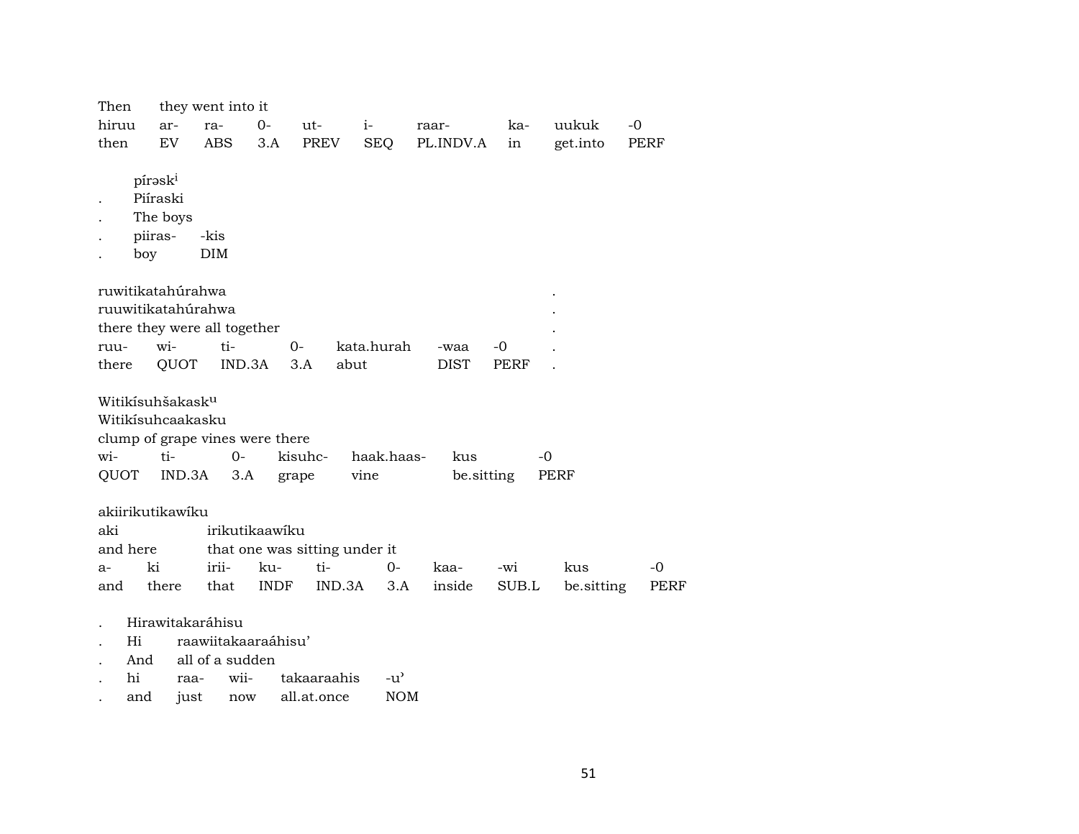| Then                                        |                                                   | they went into it                                   |                                                 |                               |                             |                   |       |            |             |
|---------------------------------------------|---------------------------------------------------|-----------------------------------------------------|-------------------------------------------------|-------------------------------|-----------------------------|-------------------|-------|------------|-------------|
| hiruu                                       | ar-                                               | ra-                                                 | $0-$                                            | ut-                           | $i-$                        | raar-             | ka-   | uukuk      | -0          |
| then                                        | EV                                                | ABS.                                                | 3.A                                             | PREV                          | <b>SEQ</b>                  | PL.INDV.A         | in    | get.into   | PERF        |
|                                             | píraski<br>Piíraski<br>The boys<br>piiras-<br>boy | -kis<br><b>DIM</b>                                  |                                                 |                               |                             |                   |       |            |             |
|                                             |                                                   | ruwitikatahúrahwa                                   |                                                 |                               |                             |                   |       |            |             |
|                                             |                                                   | ruuwitikatahúrahwa                                  |                                                 |                               |                             |                   |       |            |             |
|                                             |                                                   | there they were all together                        |                                                 |                               |                             |                   |       |            |             |
| ruu-                                        | wi-                                               | ti-                                                 |                                                 | $0-$                          | kata.hurah                  | -waa              | -0    |            |             |
| there                                       |                                                   | QUOT                                                | IND.3A                                          | 3.A                           | abut                        | DIST              | PERF  |            |             |
| Witikísuhšakask <sup>u</sup><br>wi-<br>QUOT | ti-                                               | Witikísuhcaakasku<br>IND.3A                         | clump of grape vines were there<br>$0 -$<br>3.A | kisuhc-<br>grape              | haak.haas-<br>vine          | kus<br>be.sitting |       | -0<br>PERF |             |
| akiirikutikawiku                            |                                                   |                                                     |                                                 |                               |                             |                   |       |            |             |
| aki                                         |                                                   |                                                     | irikutikaawiku                                  |                               |                             |                   |       |            |             |
| and here                                    |                                                   |                                                     |                                                 | that one was sitting under it |                             |                   |       |            |             |
| $a-$                                        | ki                                                | irii-                                               | ku-                                             | ti-                           | $0 -$                       | kaa-              | -wi   | kus        | $-0$        |
| and                                         | there                                             | that                                                | <b>INDF</b>                                     | IND.3A                        | 3.A                         | inside            | SUB.L | be sitting | <b>PERF</b> |
| Hi<br>hi                                    | And<br>and                                        | Hirawitakaráhisu<br>all of a sudden<br>raa-<br>just | raawiitakaaraáhisu'<br>wii-<br>now              | takaaraahis<br>all.at.once    | $-u^{\prime}$<br><b>NOM</b> |                   |       |            |             |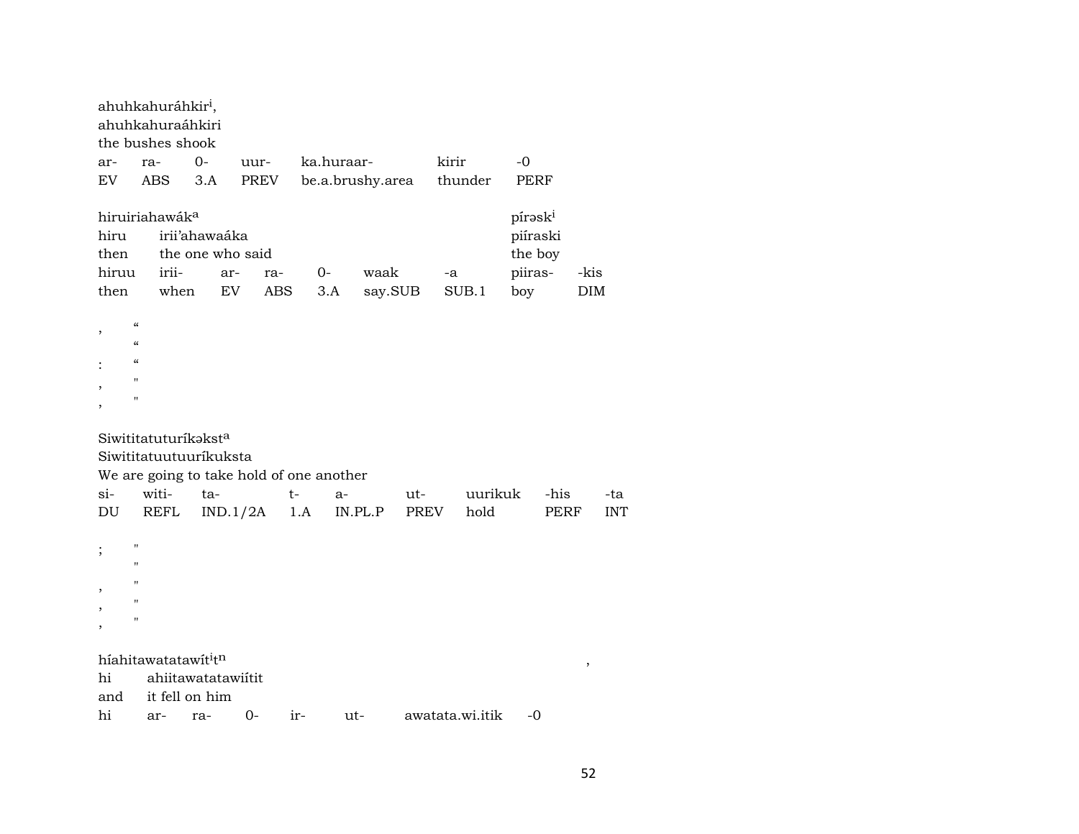|               | ahuhkahuráhkir <sup>i</sup> ,<br>ahuhkahuraáhkiri<br>the bushes shook                    |                                      |                                          |      |                  |             |                 |                    |            |
|---------------|------------------------------------------------------------------------------------------|--------------------------------------|------------------------------------------|------|------------------|-------------|-----------------|--------------------|------------|
| ar-           | ra-                                                                                      | $O -$                                | uur-                                     |      | ka.huraar-       |             | kirir           | $-0$               |            |
| <b>EV</b>     | <b>ABS</b>                                                                               | 3.A                                  | PREV                                     |      | be.a.brushy.area |             | thunder         | <b>PERF</b>        |            |
|               | hiruiriahawáka                                                                           |                                      |                                          |      |                  |             |                 | píraski            |            |
| hiru          |                                                                                          | irii'ahawaáka                        |                                          |      |                  |             |                 | piíraski           |            |
| then<br>hiruu | irii-                                                                                    | the one who said<br>ar-              | ra-                                      | $0-$ | waak             |             | -a              | the boy<br>piiras- | -kis       |
| then          | when                                                                                     |                                      | <b>EV</b><br><b>ABS</b>                  | 3.A  |                  | say.SUB     | SUB.1           | boy                | <b>DIM</b> |
| ,<br>$\alpha$ | $\pmb{\zeta}\pmb{\zeta}$<br>$\pmb{\zeta}\pmb{\zeta}$<br>$\blacksquare$<br>$\blacksquare$ |                                      |                                          |      |                  |             |                 |                    |            |
|               | Siwititatuturíkaksta<br>Siwititatuutuuríkuksta                                           |                                      | We are going to take hold of one another |      |                  |             |                 |                    |            |
| $si-$         | witi-                                                                                    | ta-                                  |                                          | $t-$ | a-               | ut-         | uurikuk         | -his               | -ta        |
| DU            | <b>REFL</b>                                                                              |                                      | IND.1/2A                                 | 1.A  | IN.PL.P          | <b>PREV</b> | hold            | <b>PERF</b>        | <b>INT</b> |
| ;             | $\blacksquare$                                                                           |                                      |                                          |      |                  |             |                 |                    |            |
|               | $\blacksquare$                                                                           |                                      |                                          |      |                  |             |                 |                    |            |
|               | 11                                                                                       |                                      |                                          |      |                  |             |                 |                    |            |
|               | $^{\prime}$                                                                              |                                      |                                          |      |                  |             |                 |                    |            |
| hi<br>and     | híahitawatatawít <sup>i</sup> tn                                                         | ahiitawatatawiitit<br>it fell on him |                                          |      |                  |             |                 | -0                 | $\, ,$     |
| hi            | П<br>ar-                                                                                 | ra-                                  | $O -$                                    | ir-  | ut-              |             | awatata.wi.itik |                    |            |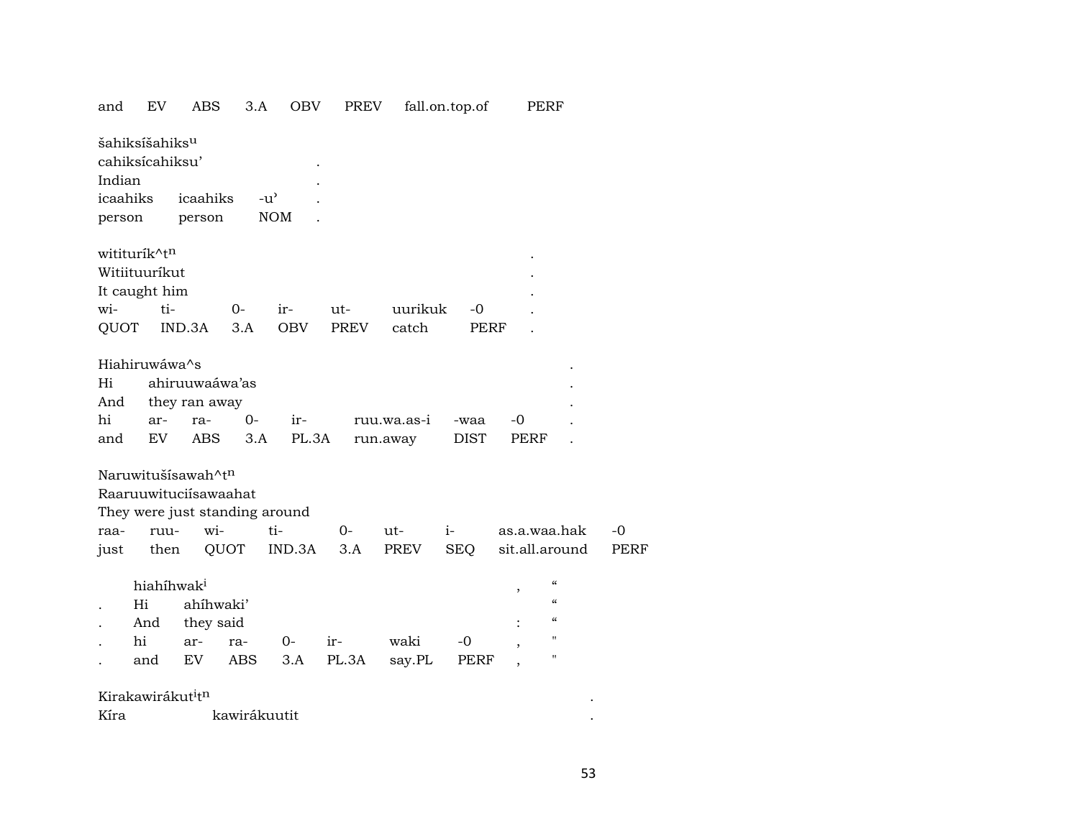| and      | EV                                            | ABS                                         | 3.A           | OBV        | <b>PREV</b> |             | fall.on.top.of | PERF           |                    |             |
|----------|-----------------------------------------------|---------------------------------------------|---------------|------------|-------------|-------------|----------------|----------------|--------------------|-------------|
| Indian   | šahiksíšahiks <sup>u</sup><br>cahiksícahiksu' |                                             |               |            |             |             |                |                |                    |             |
| icaahiks |                                               | icaahiks                                    | $-u^{\prime}$ |            |             |             |                |                |                    |             |
| person   |                                               | person                                      |               | <b>NOM</b> |             |             |                |                |                    |             |
|          | wititurík^tn<br>Witiituuríkut                 |                                             |               |            |             |             |                |                |                    |             |
|          | It caught him<br>ti-                          |                                             |               |            |             |             |                |                |                    |             |
| wi-      |                                               |                                             | $0 -$         | ir-        | ut-         | uurikuk     | -0             |                |                    |             |
| QUOT     |                                               | IND.3A                                      | 3.A           | OBV        | PREV        | catch       | <b>PERF</b>    |                |                    |             |
|          | Hiahiruwáwa^s                                 |                                             |               |            |             |             |                |                |                    |             |
| Hi       |                                               | ahiruuwaáwa'as                              |               |            |             |             |                |                |                    |             |
| And      |                                               | they ran away                               |               |            |             |             |                |                |                    |             |
| hi       | ar-                                           | ra-                                         | 0-            | ir-        |             | ruu.wa.as-i | -waa           | -0             |                    |             |
| and      | EV                                            | <b>ABS</b>                                  | 3.A           | PL.3A      |             | run.away    | DIST           | PERF           |                    |             |
|          |                                               | Naruwitušísawah^tn<br>Raaruuwituciísawaahat |               |            |             |             |                |                |                    |             |
|          |                                               | They were just standing around              |               |            |             |             |                |                |                    |             |
| raa-     | ruu-                                          | wi-                                         |               | ti-        | $0-$        | ut-         | $i-$           | as.a.waa.hak   |                    | -0          |
| just     | then                                          |                                             | QUOT          | IND.3A     | 3.A         | PREV        | SEQ            | sit.all.around |                    | <b>PERF</b> |
|          | hiahíhwak <sup>i</sup>                        |                                             |               |            |             |             |                |                | $\epsilon\epsilon$ |             |
|          | Hi                                            | ahíhwaki'                                   |               |            |             |             |                | ,              | $\mathcal{C}$      |             |
|          | And                                           | they said                                   |               |            |             |             |                |                | $\epsilon\epsilon$ |             |
|          | hi                                            | ar-                                         | ra-           | $0-$       | ir-         | waki        | -0             |                | $\pmb{\mathsf{H}}$ |             |
|          | and                                           | EV.                                         | ABS           | 3.A        | PL.3A       | say.PL      | PERF           |                | $\pmb{\mathsf{H}}$ |             |
|          | Kirakawirákut <sup>i</sup> t <sup>n</sup>     |                                             |               |            |             |             |                |                |                    |             |
| Kíra     |                                               |                                             | kawirákuutit  |            |             |             |                |                |                    |             |
|          |                                               |                                             |               |            |             |             |                |                |                    |             |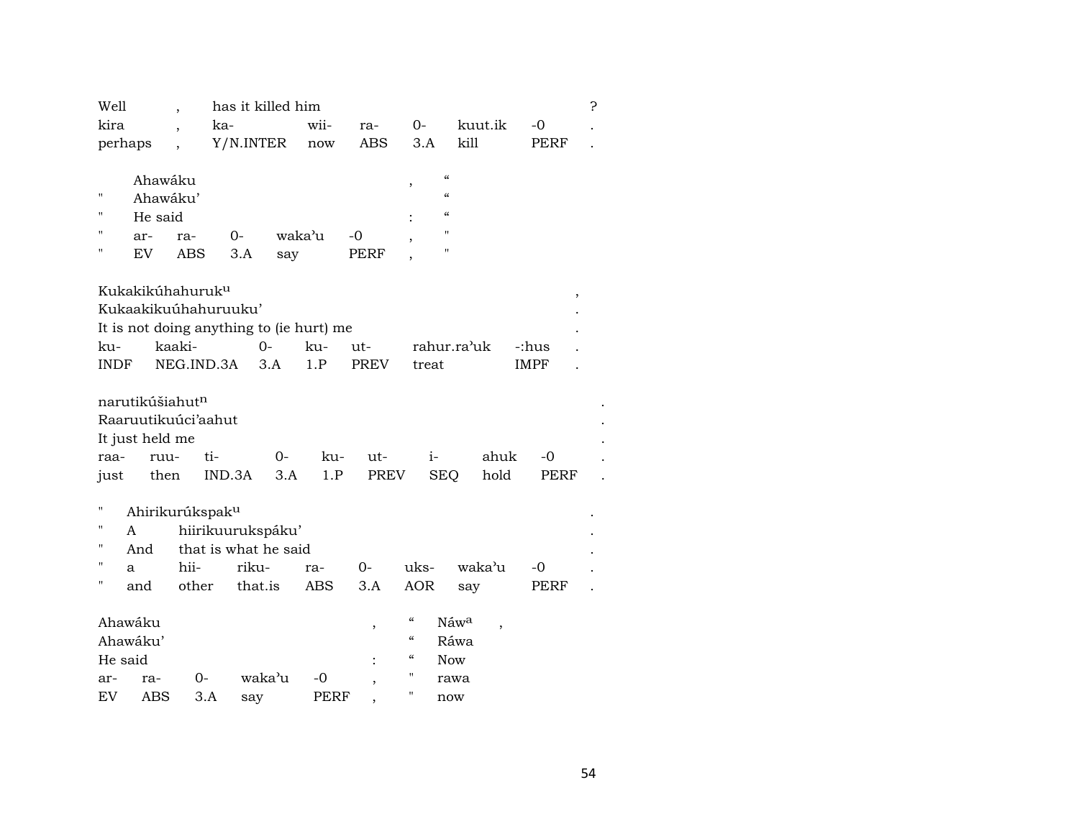| Well<br>kira                                  | $\overline{\phantom{a}}$<br>$\overline{\phantom{a}}$                  | ka-                                                           | has it killed him<br>wii-                | ra-          | 0-                                                                                                                        | kuut.ik                                              | $-0$        | 5. |
|-----------------------------------------------|-----------------------------------------------------------------------|---------------------------------------------------------------|------------------------------------------|--------------|---------------------------------------------------------------------------------------------------------------------------|------------------------------------------------------|-------------|----|
| perhaps                                       | $\overline{\phantom{a}}$                                              | Y/N.INTER                                                     | $\operatorname{now}$                     | ABS          | 3.A                                                                                                                       | kill                                                 | PERF        |    |
| 11<br>"<br>П<br>ar-<br>Н<br>EV.               | Ahawáku<br>Ahawáku'<br>He said<br>ra-<br>ABS                          | $0-$<br>3.A                                                   | waka'u<br>say                            | $-0$<br>PERF | $\pmb{\zeta}\pmb{\zeta}$<br>,<br>$\pmb{\zeta}\pmb{\zeta}$<br>$\pmb{\zeta}\pmb{\zeta}$<br>$\blacksquare$<br>$\blacksquare$ |                                                      |             |    |
|                                               | Kukakikúhahuruk <sup>u</sup>                                          |                                                               |                                          |              |                                                                                                                           |                                                      | $\,$        |    |
|                                               |                                                                       | Kukaakikuúhahuruuku'                                          |                                          |              |                                                                                                                           |                                                      |             |    |
|                                               |                                                                       |                                                               | It is not doing anything to (ie hurt) me |              |                                                                                                                           |                                                      |             |    |
| ku-                                           | kaaki-                                                                |                                                               | $0 -$<br>ku-                             | ut-          |                                                                                                                           | rahur.ra'uk                                          | -:hus       |    |
| INDF                                          | NEG.IND.3A                                                            |                                                               | 1.P<br>3.A                               | <b>PREV</b>  | treat                                                                                                                     |                                                      | <b>IMPF</b> |    |
|                                               | narutikúšiahut <sup>n</sup><br>Raaruutikuúci'aahut<br>It just held me |                                                               |                                          |              |                                                                                                                           |                                                      |             |    |
| raa-                                          | ruu-                                                                  | ti-                                                           | ku-<br>0-                                | ut-          | $i-$                                                                                                                      | ahuk                                                 | -0          |    |
| just                                          | then                                                                  | IND.3A                                                        | 3.A<br>1.P                               | PREV         | <b>SEQ</b>                                                                                                                | hold                                                 | <b>PERF</b> |    |
| Ħ<br>П<br>A<br>н<br>And<br>н<br>a<br>П<br>and | Ahirikurúkspak <sup>u</sup><br>hii-<br>other                          | hiirikuurukspáku'<br>that is what he said<br>riku-<br>that.is | ra-<br>ABS                               | $0-$<br>3.A  | uks-<br><b>AOR</b>                                                                                                        | waka'u<br>say                                        | -0<br>PERF  |    |
|                                               |                                                                       |                                                               |                                          |              | $\mathcal{C}\mathcal{C}$                                                                                                  |                                                      |             |    |
| Ahawáku<br>Ahawáku'                           |                                                                       |                                                               |                                          | ,            | $\mathcal{C}\mathcal{C}$                                                                                                  | Náw <sup>a</sup><br>$\overline{\phantom{a}}$<br>Ráwa |             |    |
| He said                                       |                                                                       |                                                               |                                          |              | $\boldsymbol{\zeta}\boldsymbol{\zeta}$                                                                                    | <b>Now</b>                                           |             |    |
| ar-                                           | ra-                                                                   | 0-                                                            | waka'u<br>-0                             |              | н                                                                                                                         | rawa                                                 |             |    |
| EV                                            | ABS                                                                   | 3.A<br>say                                                    | <b>PERF</b>                              |              | Н                                                                                                                         | now                                                  |             |    |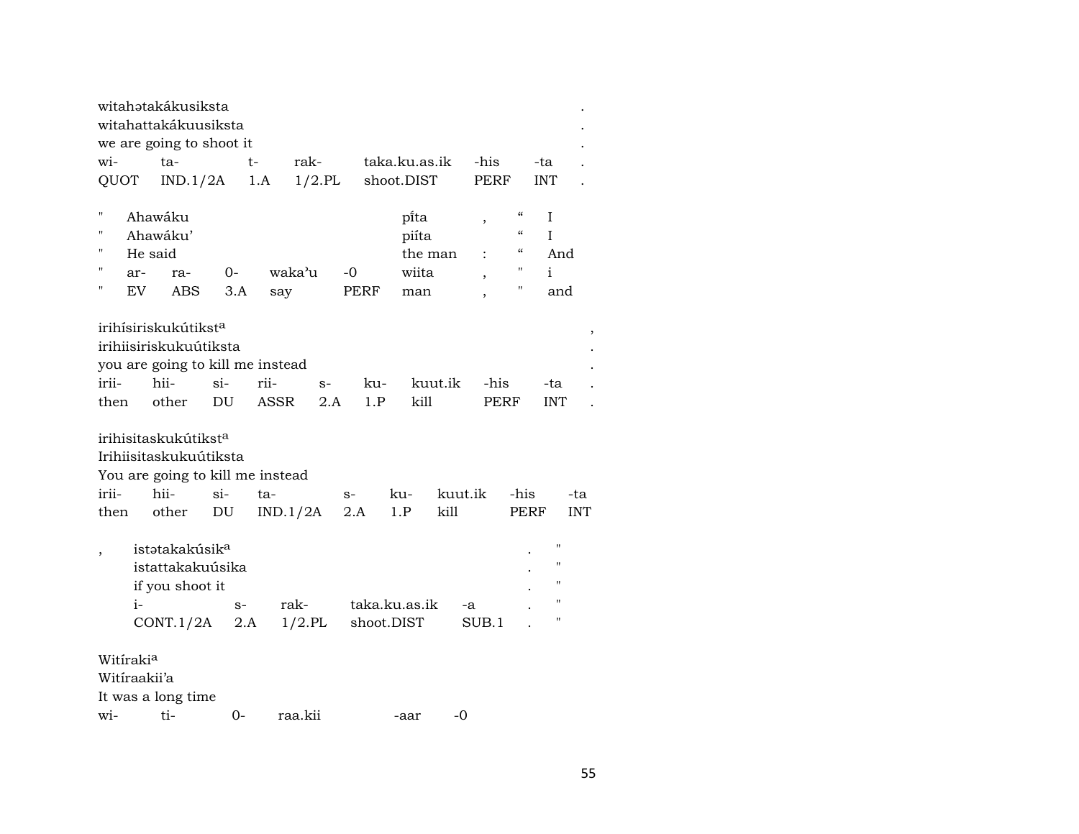|                          |         | witahətakákusiksta               |        |      |           |      |               |         |                          |                                        |                    |            |
|--------------------------|---------|----------------------------------|--------|------|-----------|------|---------------|---------|--------------------------|----------------------------------------|--------------------|------------|
|                          |         | witahattakákuusiksta             |        |      |           |      |               |         |                          |                                        |                    |            |
|                          |         | we are going to shoot it         |        |      |           |      |               |         |                          |                                        |                    |            |
| wi-                      |         | ta-                              |        | t-   | rak-      |      | taka.ku.as.ik |         | -his                     |                                        | -ta                |            |
| QUOT                     |         | IND.1/2A                         |        | 1.A  | $1/2$ .PL |      | shoot.DIST    |         | <b>PERF</b>              |                                        | <b>INT</b>         |            |
|                          |         |                                  |        |      |           |      |               |         |                          |                                        |                    |            |
| $\blacksquare$           |         | Ahawáku                          |        |      |           |      | pi̇̃ta        |         | $\, ,$                   | $\boldsymbol{\zeta}\boldsymbol{\zeta}$ | I                  |            |
| $\mathbf{H}$             |         | Ahawáku'                         |        |      |           |      | piíta         |         |                          | $\boldsymbol{\zeta}\boldsymbol{\zeta}$ | L                  |            |
| П                        | He said |                                  |        |      |           |      | the man       |         |                          | "                                      | And                |            |
| П                        | ar-     | ra-                              | $0-$   |      | waka'u    | $-0$ | wiita         |         | $\overline{\phantom{a}}$ | $\pmb{\mathsf{H}}$                     | i                  |            |
| п                        | EV.     | <b>ABS</b>                       | 3.A    | say  |           | PERF | man           |         | $\overline{\phantom{a}}$ | 11                                     | and                |            |
|                          |         |                                  |        |      |           |      |               |         |                          |                                        |                    |            |
|                          |         | irihísiriskukútikst <sup>a</sup> |        |      |           |      |               |         |                          |                                        |                    |            |
|                          |         | irihiisiriskukuútiksta           |        |      |           |      |               |         |                          |                                        |                    |            |
|                          |         | you are going to kill me instead |        |      |           |      |               |         |                          |                                        |                    |            |
| irii-                    |         | hii-                             | $si$ - | rii- | $S-$      | ku-  |               | kuut.ik | -his                     |                                        | -ta                |            |
| then                     |         | other                            | DU     | ASSR | 2.A       | 1.P  | kill          |         | PERF                     |                                        | <b>INT</b>         |            |
|                          |         |                                  |        |      |           |      |               |         |                          |                                        |                    |            |
|                          |         | irihisitaskukútikst <sup>a</sup> |        |      |           |      |               |         |                          |                                        |                    |            |
|                          |         | Irihiisitaskukuútiksta           |        |      |           |      |               |         |                          |                                        |                    |            |
|                          |         | You are going to kill me instead |        |      |           |      |               |         |                          |                                        |                    |            |
| irii-                    |         | hii-                             | $\sin$ | ta-  |           | $S-$ | ku-           | kuut.ik |                          | -his                                   |                    | -ta        |
| then                     |         | other                            | DU     |      | IND.1/2A  | 2.A  | 1.P           | kill    |                          | PERF                                   |                    | <b>INT</b> |
|                          |         |                                  |        |      |           |      |               |         |                          |                                        |                    |            |
|                          |         | istətakakúsik <sup>a</sup>       |        |      |           |      |               |         |                          |                                        | $\mathbf{H}$       |            |
| $\overline{\phantom{a}}$ |         | istattakakuúsika                 |        |      |           |      |               |         |                          |                                        | $\pmb{\mathsf{H}}$ |            |
|                          |         | if you shoot it                  |        |      |           |      |               |         |                          |                                        | п                  |            |
|                          | $i-$    |                                  |        |      | rak-      |      | taka.ku.as.ik |         |                          |                                        | $\mathbf H$        |            |
|                          |         |                                  | $S-$   |      |           |      |               | -a      |                          |                                        | $\pmb{\mathsf{H}}$ |            |
|                          |         | CONT.1/2A                        | 2.A    |      | $1/2$ .PL |      | shoot.DIST    |         | SUB.1                    |                                        |                    |            |
| Witirakia                |         |                                  |        |      |           |      |               |         |                          |                                        |                    |            |
|                          |         |                                  |        |      |           |      |               |         |                          |                                        |                    |            |
| Witiraakii'a             |         |                                  |        |      |           |      |               |         |                          |                                        |                    |            |
|                          |         | It was a long time               |        |      |           |      |               |         |                          |                                        |                    |            |
| wi-                      |         | ti-                              | 0-     |      | raa.kii   |      | -aar          | -0      |                          |                                        |                    |            |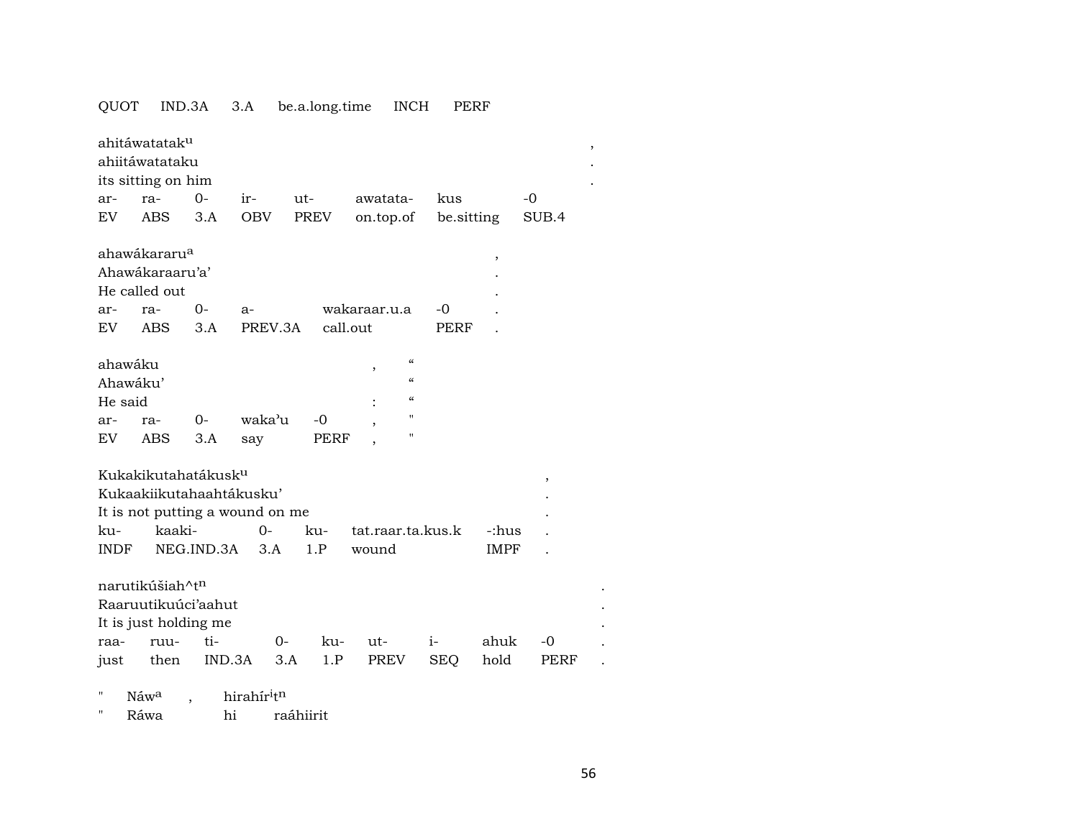### QUOT IND.3A 3.A be.a.long.time INCH PERF

|          | ahitáwatatak <sup>u</sup>       |            |        |                  |      |                   |                          |             |             |       |  |
|----------|---------------------------------|------------|--------|------------------|------|-------------------|--------------------------|-------------|-------------|-------|--|
|          | ahiitáwatataku                  |            |        |                  |      |                   |                          |             |             |       |  |
|          | its sitting on him              |            |        |                  |      |                   |                          |             |             |       |  |
| ar-      | ra-                             | $O -$      | $ir-$  | ut-              |      | awatata-          |                          | kus         |             | -0    |  |
| EV.      | ABS                             | 3.A        | OBV    | PREV             |      | on.top.of         |                          | be sitting  |             | SUB.4 |  |
|          |                                 |            |        |                  |      |                   |                          |             |             |       |  |
|          | ahawákararu <sup>a</sup>        |            |        |                  |      |                   |                          |             | ,           |       |  |
|          | Ahawakaraaru'a'                 |            |        |                  |      |                   |                          |             |             |       |  |
|          | He called out                   |            |        |                  |      |                   |                          |             |             |       |  |
| ar-      | ra-                             | $0-$       | a-     |                  |      | wakaraar.u.a      |                          | -0          |             |       |  |
| EV       | ABS                             | 3.A        |        | PREV.3A call.out |      |                   |                          | <b>PERF</b> |             |       |  |
|          |                                 |            |        |                  |      |                   |                          |             |             |       |  |
| ahawáku  |                                 |            |        |                  |      | ,                 | $\mathcal{C}\mathcal{C}$ |             |             |       |  |
| Ahawáku' |                                 |            |        |                  |      |                   | $\mathcal{C}$            |             |             |       |  |
| He said  |                                 |            |        |                  |      |                   | $\mathcal{C}\mathcal{C}$ |             |             |       |  |
| ar-      | ra-                             | $0-$       | waka'u |                  | $-0$ |                   | п                        |             |             |       |  |
| EV.      | ABS                             | 3.A        | say    |                  | PERF |                   | п                        |             |             |       |  |
|          |                                 |            |        |                  |      |                   |                          |             |             |       |  |
|          | Kukakikutahatákusk <sup>u</sup> |            |        |                  |      |                   |                          |             |             | $\,$  |  |
|          | Kukaakiikutahaahtákusku'        |            |        |                  |      |                   |                          |             |             |       |  |
|          | It is not putting a wound on me |            |        |                  |      |                   |                          |             |             |       |  |
| ku-      | kaaki-                          |            | $0-$   |                  | ku-  | tat.raar.ta.kus.k |                          |             | -:hus       |       |  |
| INDF     |                                 | NEG.IND.3A | 3.A    |                  | 1.P  | wound             |                          |             | <b>IMPF</b> |       |  |
|          |                                 |            |        |                  |      |                   |                          |             |             |       |  |
|          | narutikúšiah^t <sup>n</sup>     |            |        |                  |      |                   |                          |             |             |       |  |
|          | Raaruutikuúci'aahut             |            |        |                  |      |                   |                          |             |             |       |  |
|          | It is just holding me           |            |        |                  |      |                   |                          |             |             |       |  |
| raa-     | ruu-                            | ti-        |        | $O-$             | ku-  | ut-               |                          | $i-$        | ahuk        | -0    |  |
| just     | then                            | IND.3A     |        | 3.A              | 1.P  | PREV              |                          | SEQ         | hold        | PERF  |  |
|          |                                 |            |        |                  |      |                   |                          |             |             |       |  |

" Náw<sup>a</sup> , hirahír<sup>i</sup>t<sup>n</sup><br>" Ráwa hi raáhiirit " Ráwa hi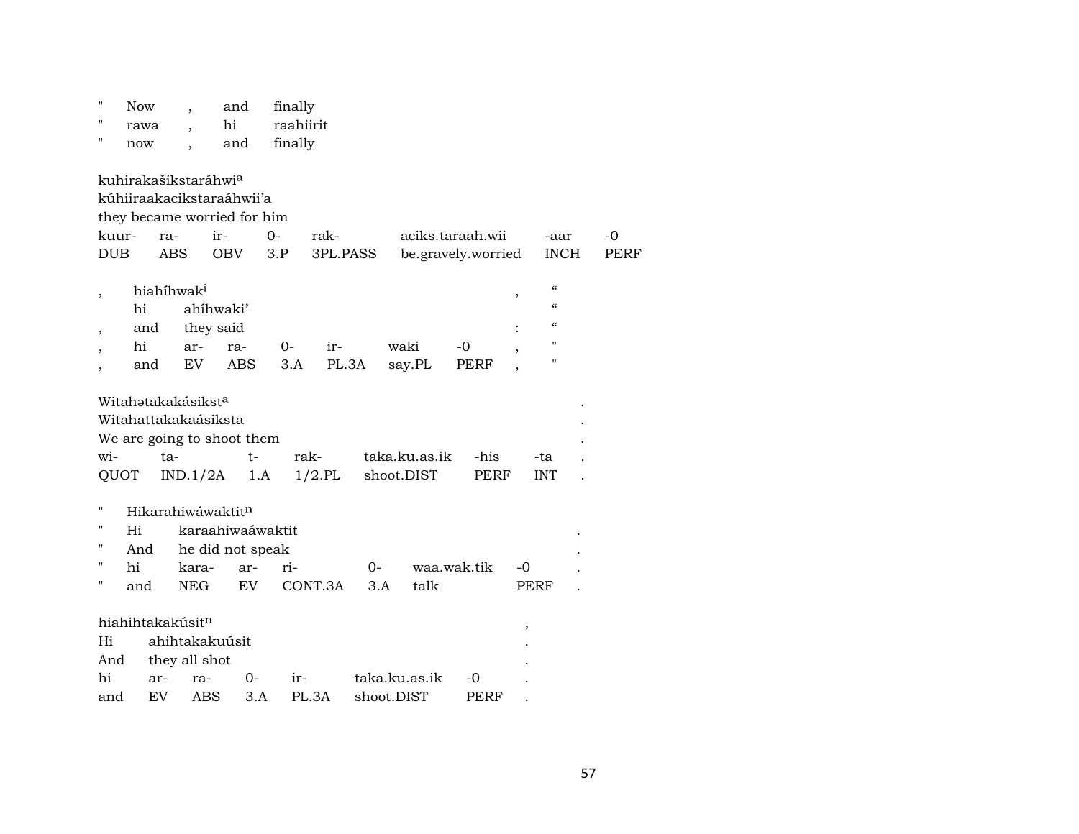| $\pmb{\mathsf{H}}$<br>$^{\prime}$<br>$^{\prime\prime}$ | <b>Now</b><br>rawa<br>now | $\overline{\phantom{a}}$                                      | and<br>hi<br>and                            |                                                           | finally<br>raahiirit<br>finally |            |                             |                                        |                                                                                                      |             |            |
|--------------------------------------------------------|---------------------------|---------------------------------------------------------------|---------------------------------------------|-----------------------------------------------------------|---------------------------------|------------|-----------------------------|----------------------------------------|------------------------------------------------------------------------------------------------------|-------------|------------|
| kuur-<br><b>DUB</b>                                    |                           | kuhirakašikstaráhwia<br>ra-<br><b>ABS</b>                     | kúhiiraakacikstaraáhwii'a<br>ir-<br>OBV     | they became worried for him<br>$0-$<br>3.P                | rak-<br>3PL.PASS                |            |                             | aciks.taraah.wii<br>be.gravely.worried | -aar                                                                                                 | <b>INCH</b> | -0<br>PERF |
| $\overline{\phantom{a}}$                               | hi<br>and<br>hi<br>and    | hiahíhwak <sup>i</sup><br>ar-<br>EV <sub></sub>               | ahíhwaki'<br>they said<br>ra-<br><b>ABS</b> | $0-$                                                      | ir-<br>3.A                      | PL.3A      | waki<br>say.PL              | -0<br>PERF                             | $\epsilon$<br>,<br>$\epsilon\epsilon$<br>$\boldsymbol{\zeta}\boldsymbol{\zeta}$<br>Ħ<br>$\mathbf{H}$ |             |            |
| wi-<br>QUOT                                            |                           | Witahatakakásiksta<br>Witahattakakaásiksta<br>ta-<br>IND.1/2A | We are going to shoot them                  | t-<br>1.A                                                 | rak-<br>$1/2$ .PL               |            | taka.ku.as.ik<br>shoot.DIST | -his<br>PERF                           | -ta<br><b>INT</b>                                                                                    |             |            |
| п<br>п<br>н<br>"<br>$\pmb{\mathsf{H}}$                 | Hi<br>And<br>hi<br>and    | kara-<br><b>NEG</b>                                           | Hikarahiwáwaktit <sup>n</sup>               | karaahiwaáwaktit<br>he did not speak<br>ri-<br>ar-<br>EV. | CONT.3A                         | 0-<br>3.A  | talk                        | waa.wak.tik                            | -0<br>PERF                                                                                           |             |            |
| Hi<br>And<br>hi<br>and                                 | ar-<br>EV                 | hiahihtakakúsitn<br>they all shot<br>ra-                      | ahihtakakuúsit<br>ABS                       | 0-<br>3.A                                                 | ir-<br>PL.3A                    | shoot.DIST | taka.ku.as.ik               | -0<br><b>PERF</b>                      | ,                                                                                                    |             |            |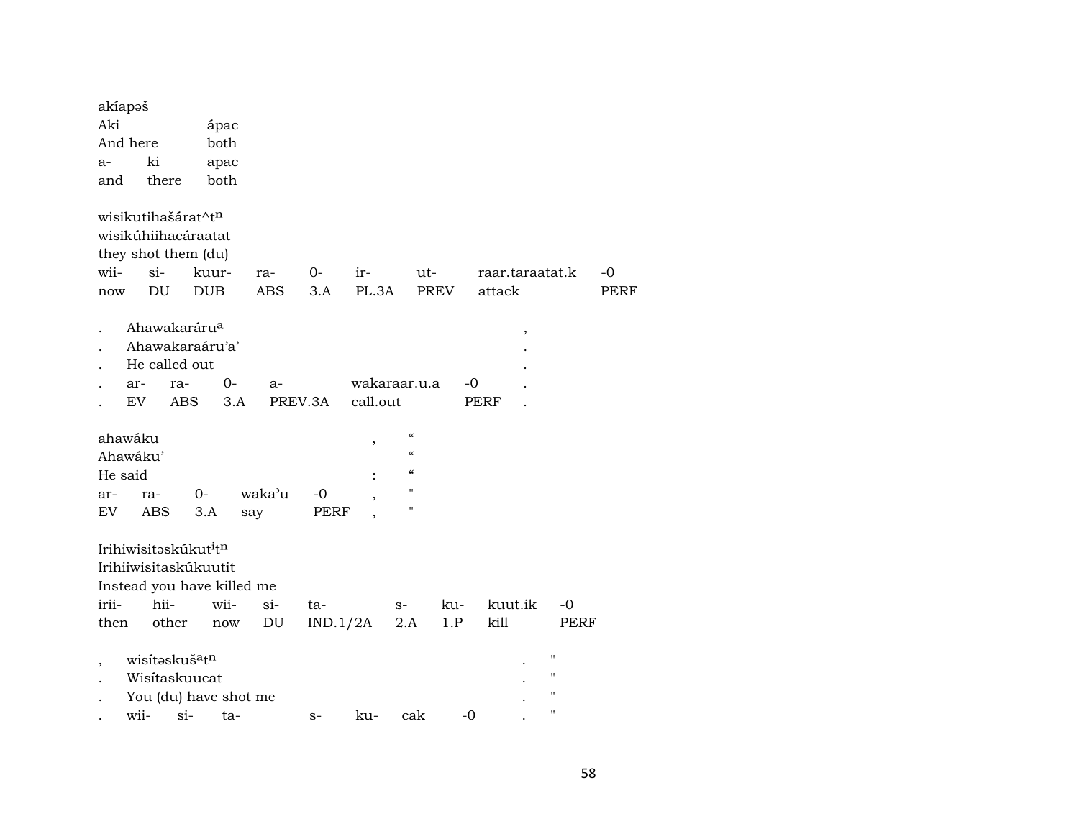| Aki<br>ápac<br>both<br>And here<br>ki<br>apac<br>a-<br>both<br>there<br>and<br>wisikutihašárat^tn<br>wisikúhiihacáraatat<br>they shot them (du)<br>wii-<br>$si-$<br>kuur-<br>0-<br>ir-<br>ut-<br>raar.taraatat.k<br>-0<br>ra-<br><b>ABS</b><br>PL.3A<br><b>PREV</b><br>DU<br><b>DUB</b><br>3.A<br>attack<br><b>PERF</b><br>now<br>Ahawakaráru <sup>a</sup><br>$\, ,$<br>Ahawakaraáru'a'<br>He called out<br>$0-$<br>wakaraar.u.a<br>-0<br>ar-<br>ra-<br>a-<br>EV<br>ABS<br>3.A<br>PREV.3A<br>call.out<br>PERF<br>$\epsilon$<br>ahawáku<br>$\,$<br>$\boldsymbol{\mathcal{C}}$<br>Ahawáku'<br>$\boldsymbol{\mathcal{C}}$<br>He said<br>11<br>waka'u<br>0-<br>-0<br>ra-<br>ar-<br>Н<br>EV<br>ABS<br>3.A<br>PERF<br>say<br>Irihiwisitaskúkut <sup>i</sup> tn<br>Irihiiwisitaskúkuutit<br>Instead you have killed me<br>irii-<br>hii-<br>wii-<br>$si-$<br>kuut.ik<br>$-0$<br>ku-<br>ta-<br>$S-$<br>kill<br>other<br>DU<br>IND.1/2A<br>2.A<br>1.P<br>then<br>PERF<br>now<br>н<br>wisítaskuš <sup>a</sup> tn<br>$\overline{ }$<br>"<br>Wisitaskuucat<br>н<br>You (du) have shot me<br>н<br>wii-<br>$si-$<br>$-0$<br>ku-<br>cak<br>ta-<br>$S-$ | akíapəš |  |  |  |  |  |
|----------------------------------------------------------------------------------------------------------------------------------------------------------------------------------------------------------------------------------------------------------------------------------------------------------------------------------------------------------------------------------------------------------------------------------------------------------------------------------------------------------------------------------------------------------------------------------------------------------------------------------------------------------------------------------------------------------------------------------------------------------------------------------------------------------------------------------------------------------------------------------------------------------------------------------------------------------------------------------------------------------------------------------------------------------------------------------------------------------------------------------------|---------|--|--|--|--|--|
|                                                                                                                                                                                                                                                                                                                                                                                                                                                                                                                                                                                                                                                                                                                                                                                                                                                                                                                                                                                                                                                                                                                                        |         |  |  |  |  |  |
|                                                                                                                                                                                                                                                                                                                                                                                                                                                                                                                                                                                                                                                                                                                                                                                                                                                                                                                                                                                                                                                                                                                                        |         |  |  |  |  |  |
|                                                                                                                                                                                                                                                                                                                                                                                                                                                                                                                                                                                                                                                                                                                                                                                                                                                                                                                                                                                                                                                                                                                                        |         |  |  |  |  |  |
|                                                                                                                                                                                                                                                                                                                                                                                                                                                                                                                                                                                                                                                                                                                                                                                                                                                                                                                                                                                                                                                                                                                                        |         |  |  |  |  |  |
|                                                                                                                                                                                                                                                                                                                                                                                                                                                                                                                                                                                                                                                                                                                                                                                                                                                                                                                                                                                                                                                                                                                                        |         |  |  |  |  |  |
|                                                                                                                                                                                                                                                                                                                                                                                                                                                                                                                                                                                                                                                                                                                                                                                                                                                                                                                                                                                                                                                                                                                                        |         |  |  |  |  |  |
|                                                                                                                                                                                                                                                                                                                                                                                                                                                                                                                                                                                                                                                                                                                                                                                                                                                                                                                                                                                                                                                                                                                                        |         |  |  |  |  |  |
|                                                                                                                                                                                                                                                                                                                                                                                                                                                                                                                                                                                                                                                                                                                                                                                                                                                                                                                                                                                                                                                                                                                                        |         |  |  |  |  |  |
|                                                                                                                                                                                                                                                                                                                                                                                                                                                                                                                                                                                                                                                                                                                                                                                                                                                                                                                                                                                                                                                                                                                                        |         |  |  |  |  |  |
|                                                                                                                                                                                                                                                                                                                                                                                                                                                                                                                                                                                                                                                                                                                                                                                                                                                                                                                                                                                                                                                                                                                                        |         |  |  |  |  |  |
|                                                                                                                                                                                                                                                                                                                                                                                                                                                                                                                                                                                                                                                                                                                                                                                                                                                                                                                                                                                                                                                                                                                                        |         |  |  |  |  |  |
|                                                                                                                                                                                                                                                                                                                                                                                                                                                                                                                                                                                                                                                                                                                                                                                                                                                                                                                                                                                                                                                                                                                                        |         |  |  |  |  |  |
|                                                                                                                                                                                                                                                                                                                                                                                                                                                                                                                                                                                                                                                                                                                                                                                                                                                                                                                                                                                                                                                                                                                                        |         |  |  |  |  |  |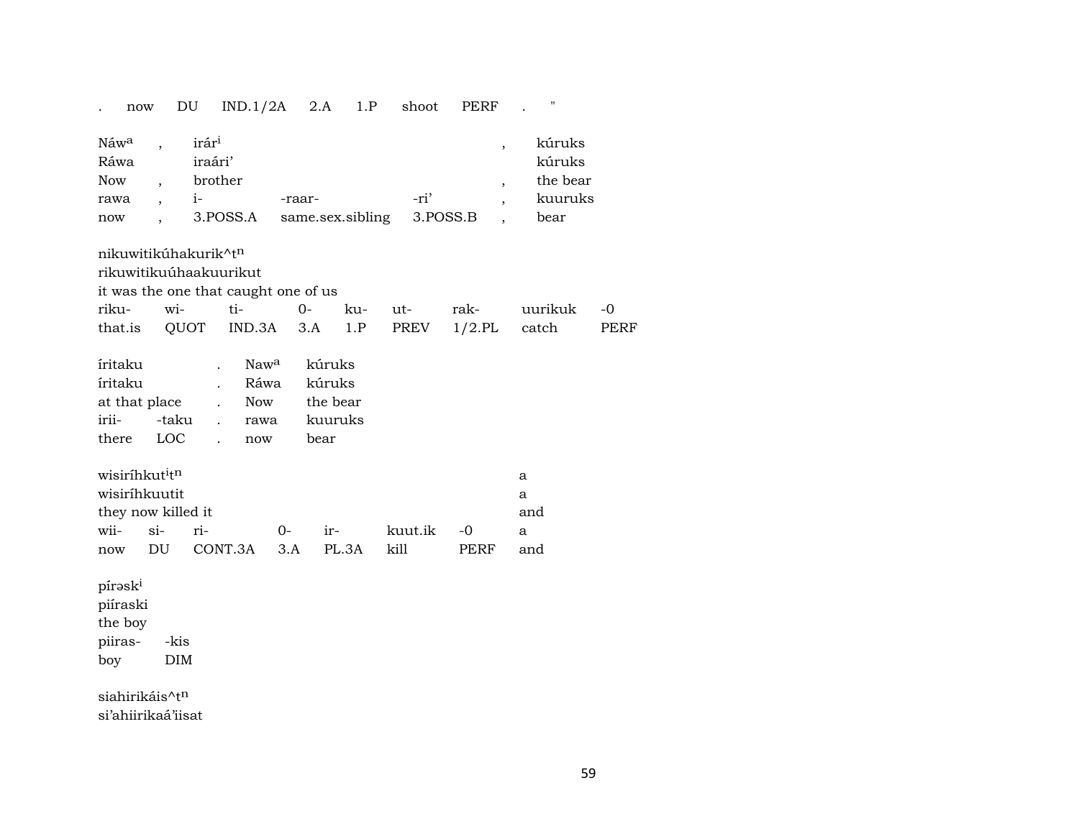| now                                                     | DU                         | IND.1/2A                                                                                           |             | 2.A<br>1.P                                      | shoot       | PERF                                                                               | "                                               |              |
|---------------------------------------------------------|----------------------------|----------------------------------------------------------------------------------------------------|-------------|-------------------------------------------------|-------------|------------------------------------------------------------------------------------|-------------------------------------------------|--------------|
| Náwa<br>Ráwa<br>Now<br>rawa<br>now                      |                            | irár <sup>i</sup><br>iraári'<br>brother<br>$i-$<br>3.POSS.A                                        | -raar-      | same.sex.sibling                                | -ri'        | $\overline{\phantom{a}}$<br>$\overline{\phantom{a}}$<br>$\overline{ }$<br>3.POSS.B | kúruks<br>kúruks<br>the bear<br>kuuruks<br>bear |              |
|                                                         |                            | nikuwitikúhakurik^t <sup>n</sup><br>rikuwitikuúhaakuurikut<br>it was the one that caught one of us |             |                                                 |             |                                                                                    |                                                 |              |
| riku-<br>that.is                                        | wi-<br>QUOT                | ti-<br>IND.3A                                                                                      | $0-$<br>3.A | ku-<br>1.P                                      | ut-<br>PREV | rak-<br>$1/2$ .PL                                                                  | uurikuk<br>catch                                | $-0$<br>PERF |
| íritaku<br>íritaku<br>at that place<br>irii-<br>there   | -taku<br>LOC               | Nawa<br>Ráwa<br>Now<br>rawa<br>$\ddot{\phantom{a}}$<br>now                                         |             | kúruks<br>kúruks<br>the bear<br>kuuruks<br>bear |             |                                                                                    |                                                 |              |
| wisiríhkut <sup>i</sup> t <sup>n</sup><br>wisiríhkuutit | they now killed it         |                                                                                                    |             |                                                 |             |                                                                                    | a<br>a<br>and                                   |              |
| wii-                                                    | $si-$                      | ri-                                                                                                | $0-$        | ir-                                             | kuut.ik     | $-0$                                                                               | a                                               |              |
| now<br>píraski<br>piíraski<br>the boy<br>piiras-<br>boy | DU<br>-kis<br>DIM          | CONT.3A                                                                                            | 3.A         | PL.3A                                           | kill        | PERF                                                                               | and                                             |              |
|                                                         | siahirikáis^t <sup>n</sup> |                                                                                                    |             |                                                 |             |                                                                                    |                                                 |              |

si'ahiirikaá'iisat